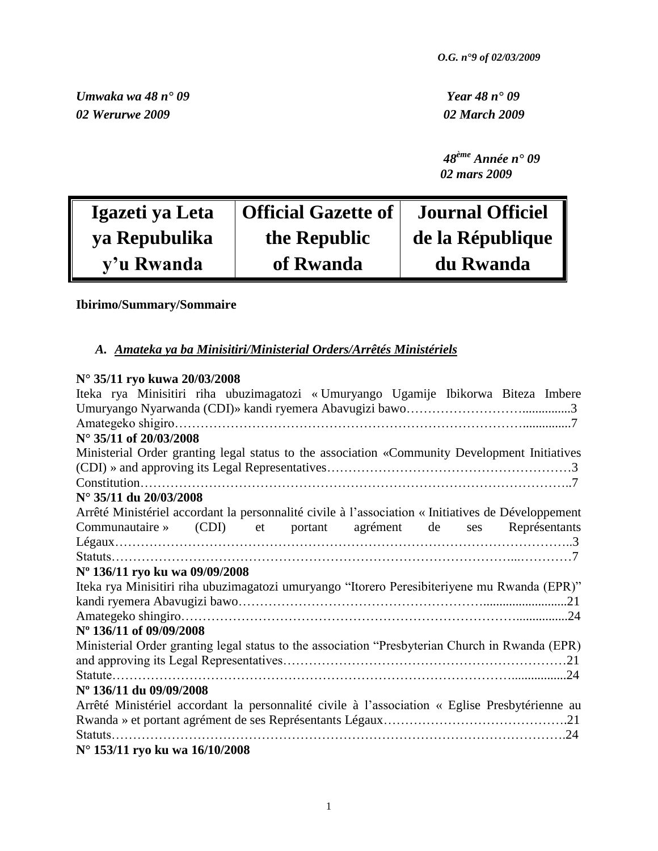*Umwaka wa 48 n° 09 Year 48 n° 09 02 Werurwe 2009 02 March 2009*

 *48ème Année n° 09 02 mars 2009*

| Igazeti ya Leta | <b>Official Gazette of</b> | <b>Journal Officiel</b> |
|-----------------|----------------------------|-------------------------|
| ya Repubulika   | the Republic               | de la République        |
| y'u Rwanda      | of Rwanda                  | du Rwanda               |

# **Ibirimo/Summary/Sommaire**

# *A. Amateka ya ba Minisitiri/Ministerial Orders/Arrêtés Ministériels*

# **N° 35/11 ryo kuwa 20/03/2008**

| Iteka rya Minisitiri riha ubuzimagatozi «Umuryango Ugamije Ibikorwa Biteza Imbere                  |
|----------------------------------------------------------------------------------------------------|
|                                                                                                    |
|                                                                                                    |
| $N^{\circ}$ 35/11 of 20/03/2008                                                                    |
| Ministerial Order granting legal status to the association «Community Development Initiatives      |
|                                                                                                    |
|                                                                                                    |
| N° 35/11 du 20/03/2008                                                                             |
| Arrêté Ministériel accordant la personnalité civile à l'association « Initiatives de Développement |
| (CDI) et portant agrément de ses Représentants<br>Communautaire »                                  |
|                                                                                                    |
| Statuts                                                                                            |
| Nº 136/11 ryo ku wa 09/09/2008                                                                     |
| Iteka rya Minisitiri riha ubuzimagatozi umuryango "Itorero Peresibiteriyene mu Rwanda (EPR)"       |
|                                                                                                    |
|                                                                                                    |
| N° 136/11 of 09/09/2008                                                                            |
| Ministerial Order granting legal status to the association "Presbyterian Church in Rwanda (EPR)    |
|                                                                                                    |
|                                                                                                    |
| Nº 136/11 du 09/09/2008                                                                            |
| Arrêté Ministériel accordant la personnalité civile à l'association « Eglise Presbytérienne au     |
|                                                                                                    |
| Statuts                                                                                            |
| N° 153/11 ryo ku wa 16/10/2008                                                                     |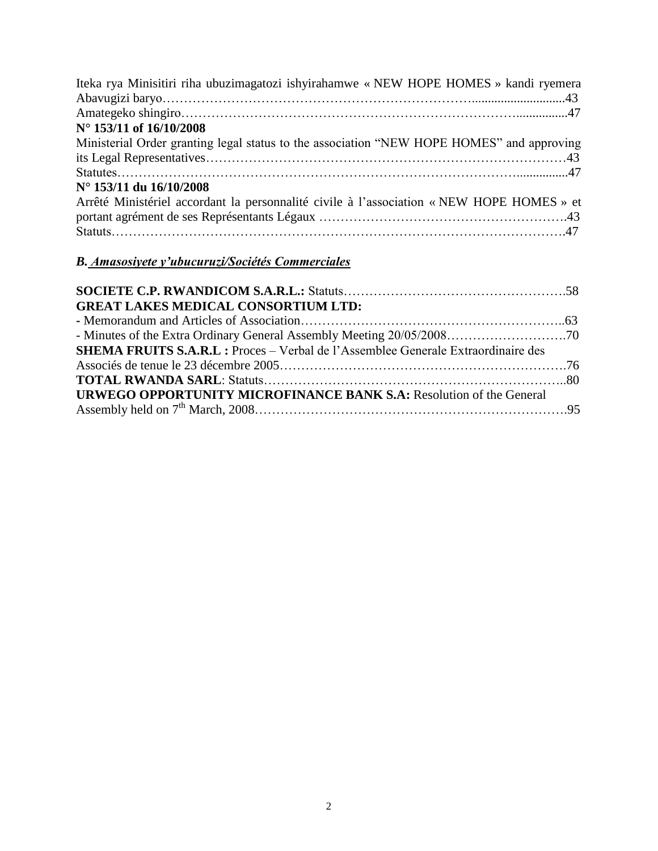| Iteka rya Minisitiri riha ubuzimagatozi ishyirahamwe « NEW HOPE HOMES » kandi ryemera     |  |
|-------------------------------------------------------------------------------------------|--|
|                                                                                           |  |
|                                                                                           |  |
| N° 153/11 of 16/10/2008                                                                   |  |
| Ministerial Order granting legal status to the association "NEW HOPE HOMES" and approving |  |
|                                                                                           |  |
|                                                                                           |  |
| N° 153/11 du 16/10/2008                                                                   |  |
| Arrêté Ministériel accordant la personnalité civile à l'association « NEW HOPE HOMES » et |  |
|                                                                                           |  |
|                                                                                           |  |

# *B. Amasosiyete y'ubucuruzi/Sociétés Commerciales*

| <b>GREAT LAKES MEDICAL CONSORTIUM LTD:</b>                                               |  |
|------------------------------------------------------------------------------------------|--|
|                                                                                          |  |
|                                                                                          |  |
| <b>SHEMA FRUITS S.A.R.L : Proces - Verbal de l'Assemblee Generale Extraordinaire des</b> |  |
|                                                                                          |  |
|                                                                                          |  |
| <b>URWEGO OPPORTUNITY MICROFINANCE BANK S.A: Resolution of the General</b>               |  |
|                                                                                          |  |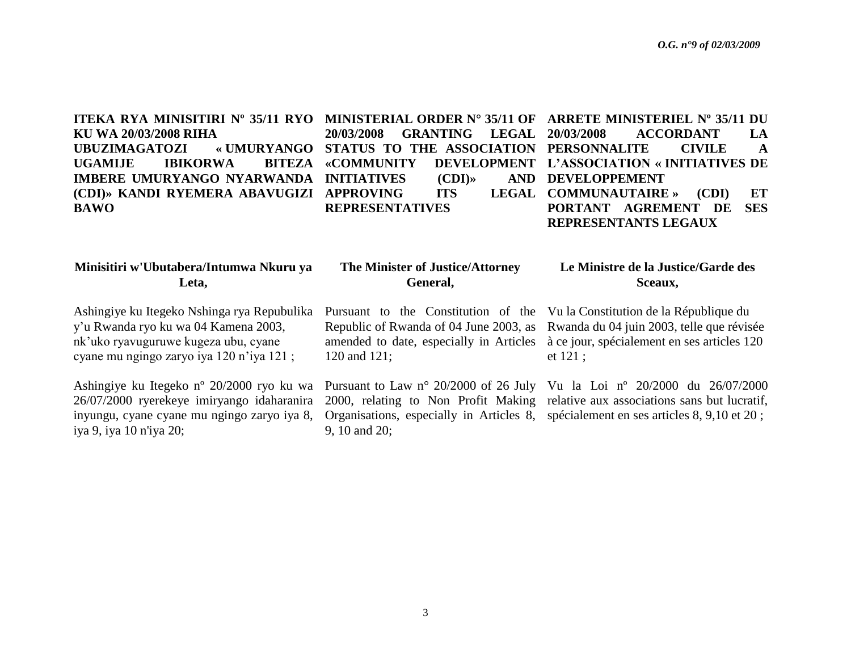**ITEKA RYA MINISITIRI Nº 35/11 RYO MINISTERIAL ORDER N° 35/11 OF ARRETE MINISTERIEL Nº 35/11 DU KU WA 20/03/2008 RIHA**  $URUZIMAGATOZI$ **UGAMIJE IBIKORWA BITEZA IMBERE UMURYANGO NYARWANDA INITIATIVES (CDI)» AND (CDI)» KANDI RYEMERA ABAVUGIZI APPROVING ITS LEGAL BAWO**

**20/03/2008 GRANTING LEGAL REPRESENTATIVES**

**STATUS TO THE ASSOCIATION PERSONNALITE CIVILE A «COMMUNITY DEVELOPMENT L"ASSOCIATION « INITIATIVES DE 20/03/2008 ACCORDANT LA AND DEVELOPPEMENT COMMUNAUTAIRE » (CDI) ET PORTANT AGREMENT DE SES REPRESENTANTS LEGAUX**

| Minisitiri w'Ubutabera/Intumwa Nkuru ya                                                                                                                          | The Minister of Justice/Attorney | Le Ministre de la Justice/Garde des |
|------------------------------------------------------------------------------------------------------------------------------------------------------------------|----------------------------------|-------------------------------------|
| Leta.                                                                                                                                                            | General,                         | Sceaux,                             |
| $\Lambda$ -1.1. The Hotel of McLines and Department Le Democratic and $\Lambda$ are the decomposited in $\Lambda$ . Me Le Department and $\Lambda$ and $\Lambda$ |                                  |                                     |

9, 10 and 20;

Ashingiye ku Itegeko Nshinga rya Repubulika y"u Rwanda ryo ku wa 04 Kamena 2003, nk"uko ryavuguruwe kugeza ubu, cyane cyane mu ngingo zaryo iya 120 n"iya 121 ;

Ashingiye ku Itegeko nº 20/2000 ryo ku wa 26/07/2000 ryerekeye imiryango idaharanira inyungu, cyane cyane mu ngingo zaryo iya 8, iya 9, iya 10 n'iya 20;

120 and 121;

Pursuant to the Constitution of the Vu la Constitution de la République du Republic of Rwanda of 04 June 2003, as Rwanda du 04 juin 2003, telle que révisée amended to date, especially in Articles à ce jour, spécialement en ses articles 120 et 121 ;

Pursuant to Law n° 20/2000 of 26 July Vu la Loi nº 20/2000 du 26/07/2000 2000, relating to Non Profit Making relative aux associations sans but lucratif, Organisations, especially in Articles 8, spécialement en ses articles 8, 9,10 et 20 ;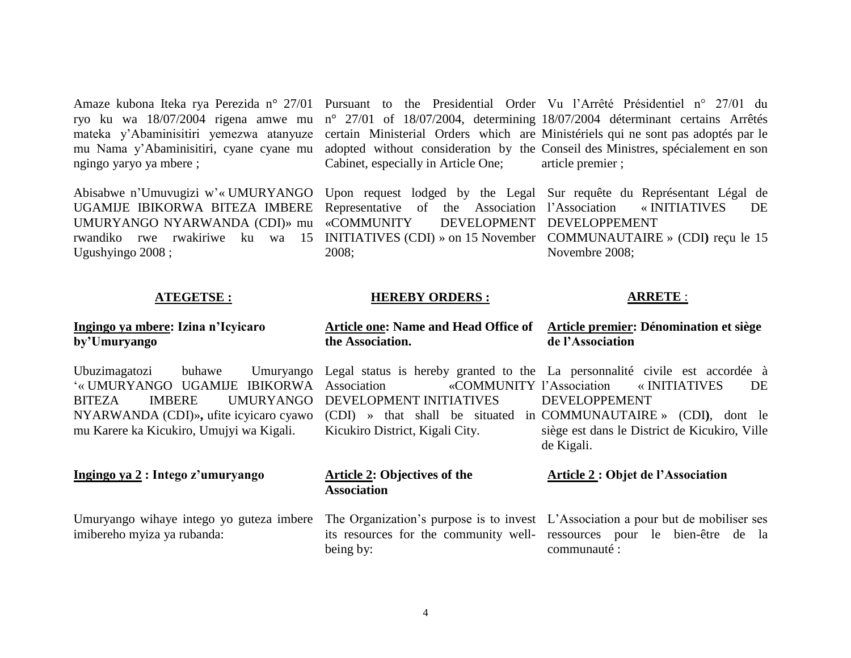Amaze kubona Iteka rya Perezida n° 27/01 Pursuant to the Presidential Order Vu l"Arrêté Présidentiel n° 27/01 du ryo ku wa 18/07/2004 rigena amwe mu mateka y"Abaminisitiri yemezwa atanyuze mu Nama y"Abaminisitiri, cyane cyane mu ngingo yaryo ya mbere ;

Abisabwe n"Umuvugizi w"« UMURYANGO UGAMIJE IBIKORWA BITEZA IMBERE UMURYANGO NYARWANDA (CDI)» mu rwandiko rwe rwakiriwe ku wa 15 INITIATIVES (CDI) » on 15 November COMMUNAUTAIRE » (CDI**)** reçu le 15 Ugushyingo 2008 ;

Cabinet, especially in Article One;

Representative of the Association l'Association «COMMUNITY DEVELOPMENT DEVELOPPEMENT 2008;

n° 27/01 of 18/07/2004, determining 18/07/2004 déterminant certains Arrêtés certain Ministerial Orders which are Ministériels qui ne sont pas adoptés par le adopted without consideration by the Conseil des Ministres, spécialement en son article premier ;

Upon request lodged by the Legal Sur requête du Représentant Légal de l"Association « INITIATIVES DE Novembre 2008;

### **ATEGETSE :**

### **HEREBY ORDERS :**

### **ARRETE** :

### **Ingingo ya mbere: Izina n"Icyicaro by"Umuryango**

Ubuzimagatozi buhawe Umuryango "« UMURYANGO UGAMIJE IBIKORWA BITEZA IMBERE UMURYANGO DEVELOPMENT INITIATIVES NYARWANDA (CDI)»**,** ufite icyicaro cyawo mu Karere ka Kicukiro, Umujyi wa Kigali.

#### **Ingingo ya 2 : Intego z"umuryango**

Umuryango wihaye intego yo guteza imbere imibereho myiza ya rubanda:

Legal status is hereby granted to the La personnalité civile est accordée à «COMMUNITY l'Association (CDI) » that shall be situated in COMMUNAUTAIRE » (CDI**)**, dont le Kicukiro District, Kigali City. l"Association « INITIATIVES DE DEVELOPPEMENT siège est dans le District de Kicukiro, Ville

de Kigali.

**Article one: Name and Head Office of Article premier: Dénomination et siège**

**de l"Association**

### **Article 2: Objectives of the Association**

**the Association.**

being by:

#### **Article 2 : Objet de l"Association**

The Organization's purpose is to invest L'Association a pour but de mobiliser ses its resources for the community well-ressources pour le bien-être de la communauté :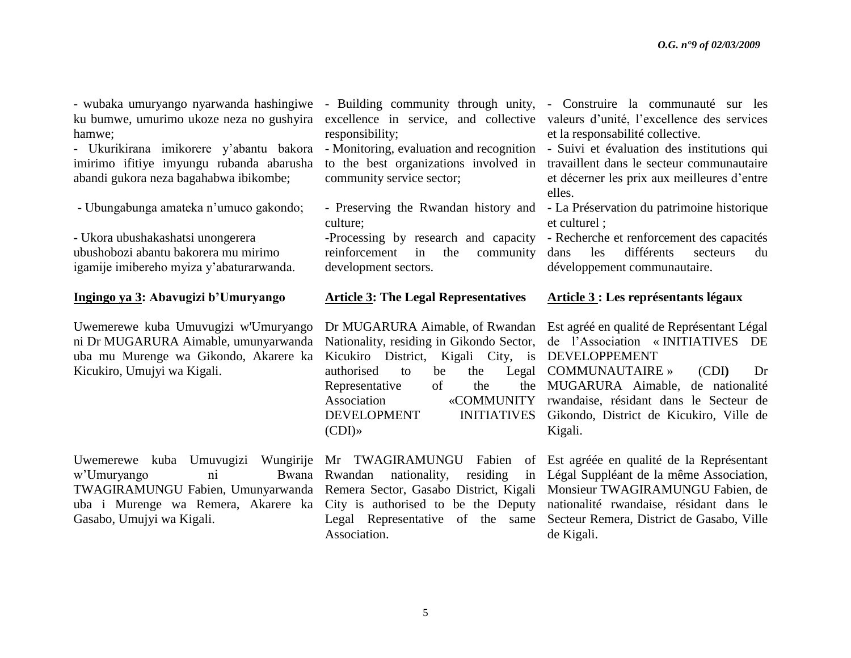- wubaka umuryango nyarwanda hashingiwe - Building community through unity, - Construire la communauté sur les ku bumwe, umurimo ukoze neza no gushyira hamwe;

- Ukurikirana imikorere y'abantu bakora - Monitoring, evaluation and recognition - Suivi et évaluation des institutions qui imirimo ifitiye imyungu rubanda abarusha abandi gukora neza bagahabwa ibikombe;

- Ubungabunga amateka n"umuco gakondo;

**-** Ukora ubushakashatsi unongerera ubushobozi abantu bakorera mu mirimo igamije imibereho myiza y"abaturarwanda.

#### **Ingingo ya 3: Abavugizi b"Umuryango**

Uwemerewe kuba Umuvugizi w'Umuryango ni Dr MUGARURA Aimable, umunyarwanda uba mu Murenge wa Gikondo, Akarere ka Kicukiro, Umujyi wa Kigali.

Uwemerewe kuba Umuvugizi Wungirije Mr TWAGIRAMUNGU Fabien of Est agréée en qualité de la Représentant w'Umuryango ni Bwana Rwandan TWAGIRAMUNGU Fabien, Umunyarwanda Remera Sector, Gasabo District, Kigali Monsieur TWAGIRAMUNGU Fabien, de uba i Murenge wa Remera, Akarere ka City is authorised to be the Deputy Gasabo, Umujyi wa Kigali.

responsibility;

community service sector;

- Preserving the Rwandan history and - La Préservation du patrimoine historique culture;

-Processing by research and capacity reinforcement in the community development sectors.

#### **Article 3: The Legal Representatives**

Dr MUGARURA Aimable, of Rwandan Kicukiro District, Kigali City, is DEVELOPPEMENT authorised to be the Representative of the (CDI)»

nationality, residing in Association.

excellence in service, and collective valeurs d'unité, l'excellence des services et la responsabilité collective.

to the best organizations involved in travaillent dans le secteur communautaire et décerner les prix aux meilleures d"entre elles.

et culturel ;

- Recherche et renforcement des capacités dans les différents secteurs du développement communautaire.

## **Article 3 : Les représentants légaux**

Nationality, residing in Gikondo Sector, de l"Association « INITIATIVES DE Est agréé en qualité de Représentant Légal

Association «COMMUNITY rwandaise, résidant dans le Secteur de DEVELOPMENT INITIATIVES Gikondo, District de Kicukiro, Ville de Legal COMMUNAUTAIRE » (CDI) Dr MUGARURA Aimable, de nationalité Kigali.

Legal Representative of the same Secteur Remera, District de Gasabo, Ville Légal Suppléant de la même Association, nationalité rwandaise, résidant dans le de Kigali.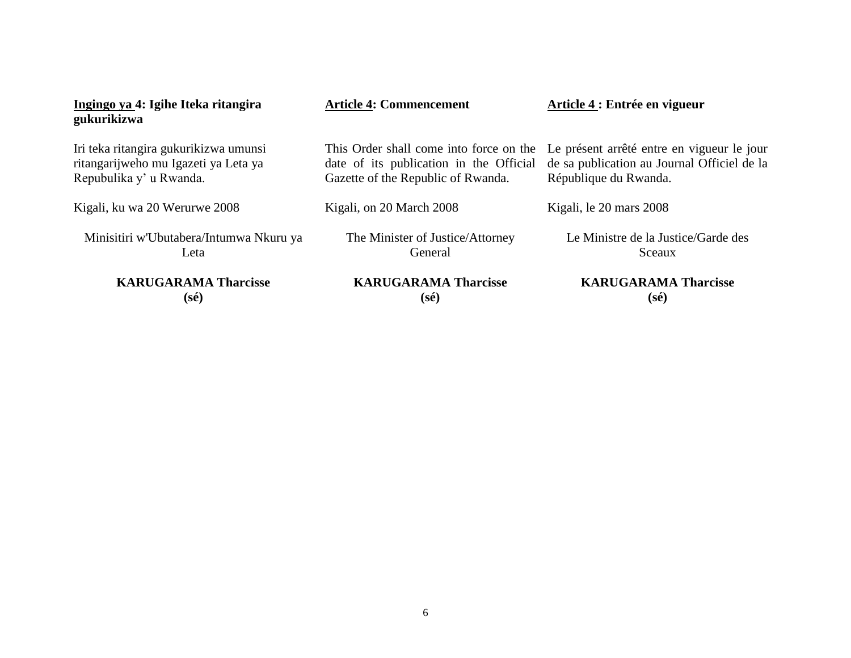| Ingingo ya 4: Igihe Iteka ritangira<br>gukurikizwa | <b>Article 4: Commencement</b>          | Article 4 : Entrée en vigueur               |
|----------------------------------------------------|-----------------------------------------|---------------------------------------------|
| Iri teka ritangira gukurikizwa umunsi              | This Order shall come into force on the | Le présent arrêté entre en vigueur le jour  |
| ritangarijweho mu Igazeti ya Leta ya               | date of its publication in the Official | de sa publication au Journal Officiel de la |
| Repubulika y' u Rwanda.                            | Gazette of the Republic of Rwanda.      | République du Rwanda.                       |
| Kigali, ku wa 20 Werurwe 2008                      | Kigali, on 20 March 2008                | Kigali, le 20 mars 2008                     |
| Minisitiri w'Ubutabera/Intumwa Nkuru ya            | The Minister of Justice/Attorney        | Le Ministre de la Justice/Garde des         |
| Leta                                               | General                                 | Sceaux                                      |
| <b>KARUGARAMA Tharcisse</b>                        | <b>KARUGARAMA Tharcisse</b>             | <b>KARUGARAMA Tharcisse</b>                 |
| (sé)                                               | (sé)                                    | (sé)                                        |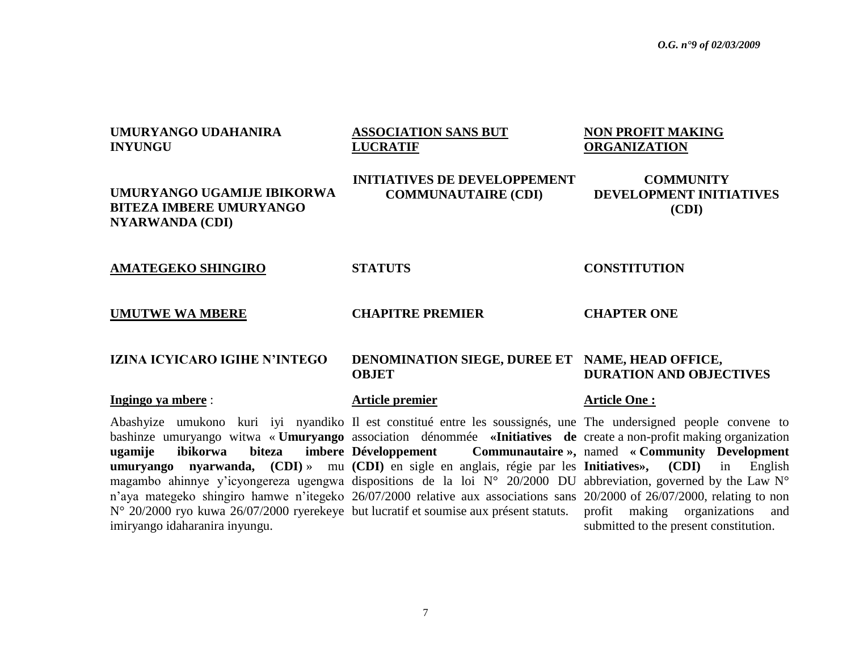submitted to the present constitution.

## **UMURYANGO UDAHANIRA INYUNGU ASSOCIATION SANS BUT LUCRATIF NON PROFIT MAKING ORGANIZATION UMURYANGO UGAMIJE IBIKORWA BITEZA IMBERE UMURYANGO NYARWANDA (CDI) INITIATIVES DE DEVELOPPEMENT COMMUNAUTAIRE (CDI) COMMUNITY DEVELOPMENT INITIATIVES (CDI) AMATEGEKO SHINGIRO STATUTS CONSTITUTION UMUTWE WA MBERE CHAPITRE PREMIER CHAPTER ONE IZINA ICYICARO IGIHE N"INTEGO DENOMINATION SIEGE, DUREE ET NAME, HEAD OFFICE, OBJET DURATION AND OBJECTIVES Ingingo ya mbere** : **Article premier Article One :** Abashyize umukono kuri iyi nyandiko Il est constitué entre les soussignés, une The undersigned people convene to bashinze umuryango witwa « **Umuryango**  association dénommée **«Initiatives de**  create a non-profit making organization **ugamije ibikorwa biteza imbere umuryango nyarwanda, (CDI)** » mu (CDI) en sigle en anglais, régie par les Initiatives», (CDI) in English magambo ahinnye y'icyongereza ugengwa dispositions de la loi N° 20/2000 DU abbreviation, governed by the Law N° n'aya mategeko shingiro hamwe n'itegeko 26/07/2000 relative aux associations sans 20/2000 of 26/07/2000, relating to non N° 20/2000 ryo kuwa 26/07/2000 ryerekeye but lucratif et soumise aux présent statuts. profit making organizations and **Développement Communautaire »,**  named **« Community Development**

imiryango idaharanira inyungu.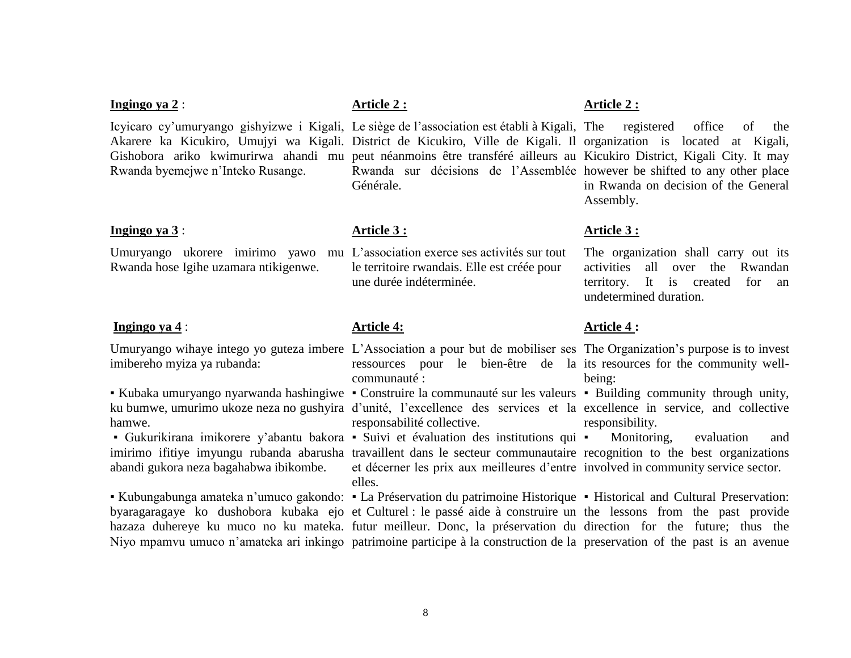#### **Ingingo ya 2** : **Article 2** : **Article 2** : **Article 2** : **Article 2** :

Icyicaro cy"umuryango gishyizwe i Kigali, Le siège de l"association est établi à Kigali, The registered office of the Akarere ka Kicukiro, Umujyi wa Kigali. District de Kicukiro, Ville de Kigali. Il organization is located at Kigali, Gishobora ariko kwimurirwa ahandi mu peut néanmoins être transféré ailleurs au Kicukiro District, Kigali City. It may Rwanda byemejwe n"Inteko Rusange.

#### **Ingingo ya 3** : *Article 3 :**Article 3 :**Article 3 :**Article 3 :**Article 3 :**Article 3 :**Article 3 :**Article 3 :**Article 3 :**Article 3 :**Article 3 :**Article 3 :**Article 3 :**Article 3 :**Article*

Umuryango ukorere imirimo yawo mu L"association exerce ses activités sur tout Rwanda hose Igihe uzamara ntikigenwe.

#### **Ingingo ya 4** : **Article 4: Article 4: Article 4: Article 4: Article 4: Article 4: Article 4: Article 4: Article 4: Article 4: Article 4: Article 4: Article 4: Article 4: Article 4: Article 4**

Umuryango wihaye intego yo guteza imbere L'Association a pour but de mobiliser ses The Organization's purpose is to invest imibereho myiza ya rubanda:

• Kubaka umuryango nyarwanda hashingiwe • Construire la communauté sur les valeurs • Building community through unity, ku bumwe, umurimo ukoze neza no gushyira d'unité, l'excellence des services et la excellence in service, and collective hamwe.

▪ Gukurikirana imikorere y"abantu bakora ▪ Suivi et évaluation des institutions qui abandi gukora neza bagahabwa ibikombe.

Rwanda sur décisions de l"Assemblée however be shifted to any other place Générale.

le territoire rwandais. Elle est créée pour une durée indéterminée.

ressources pour le bien-être de la its resources for the community wellcommunauté :

responsabilité collective.

imirimo ifitiye imyungu rubanda abarusha travaillent dans le secteur communautaire recognition to the best organizations et décerner les prix aux meilleures d"entre involved in community service sector. elles.

• Kubungabunga amateka n'umuco gakondo: • La Préservation du patrimoine Historique • Historical and Cultural Preservation: byaragaragaye ko dushobora kubaka ejo et Culturel : le passé aide à construire un the lessons from the past provide hazaza duhereye ku muco no ku mateka. futur meilleur. Donc, la préservation du direction for the future; thus the Niyo mpamvu umuco n'amateka ari inkingo patrimoine participe à la construction de la preservation of the past is an avenue

being:

responsibility.

Monitoring, evaluation and

in Rwanda on decision of the General Assembly.

The organization shall carry out its activities all over the Rwandan territory. It is created for an undetermined duration.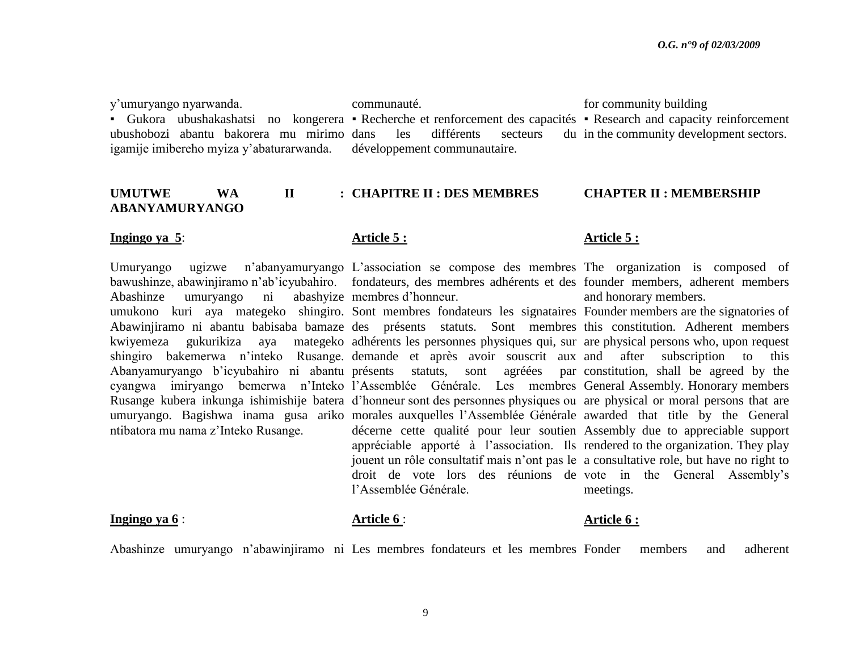y"umuryango nyarwanda.

Abashinze umuryango ni

ntibatora mu nama z"Inteko Rusange.

• Gukora ubushakashatsi no kongerera • Recherche et renforcement des capacités • Research and capacity reinforcement ubushobozi abantu bakorera mu mirimo igamije imibereho myiza y"abaturarwanda.

communauté.

les différents secteurs développement communautaire.

for community building

du in the community development sectors.

#### UMUTWE WA II **ABANYAMURYANGO CHAPITRE II : DES MEMBRES CHAPTER II : MEMBERSHIP**

#### **Ingingo ya 5: Article 5 : Article 5 : Article 5 : Article 5 : Article 5 :**

Umuryango ugizwe n'abanyamuryango L'association se compose des membres The organization is composed of bawushinze, abawinjiramo n'ab'icyubahiro. fondateurs, des membres adhérents et des founder members, adherent members abashyize membres d'honneur.

umukono kuri aya mategeko shingiro. Sont membres fondateurs les signataires Founder members are the signatories of Abawinjiramo ni abantu babisaba bamaze des présents statuts. Sont membres this constitution. Adherent members kwiyemeza gukurikiza aya mategeko adhérents les personnes physiques qui, sur are physical persons who, upon request shingiro bakemerwa n"inteko Rusange. demande et après avoir souscrit aux and after subscription to this Abanyamuryango b"icyubahiro ni abantu présents statuts, sont agréées par cyangwa imiryango bemerwa n"Inteko l"Assemblée Générale. Les membres General Assembly. Honorary members Rusange kubera inkunga ishimishije batera d"honneur sont des personnes physiques ou are physical or moral persons that are umuryango. Bagishwa inama gusa ariko morales auxquelles l'Assemblée Générale awarded that title by the General décerne cette qualité pour leur soutien Assembly due to appreciable support appréciable apporté à l"association. Ils rendered to the organization. They play jouent un rôle consultatif mais n"ont pas le a consultative role, but have no right to droit de vote lors des réunions de vote in the General Assembly"s l"Assemblée Générale.

and honorary members.

agrées par constitution, shall be agreed by the meetings.

#### **Ingingo ya 6** : **Article 6 : <b>Article 6** : **Article 6 : Article 6 :** *Article 6 :*

Abashinze umuryango n"abawinjiramo ni Les membres fondateurs et les membres Fonder members and adherent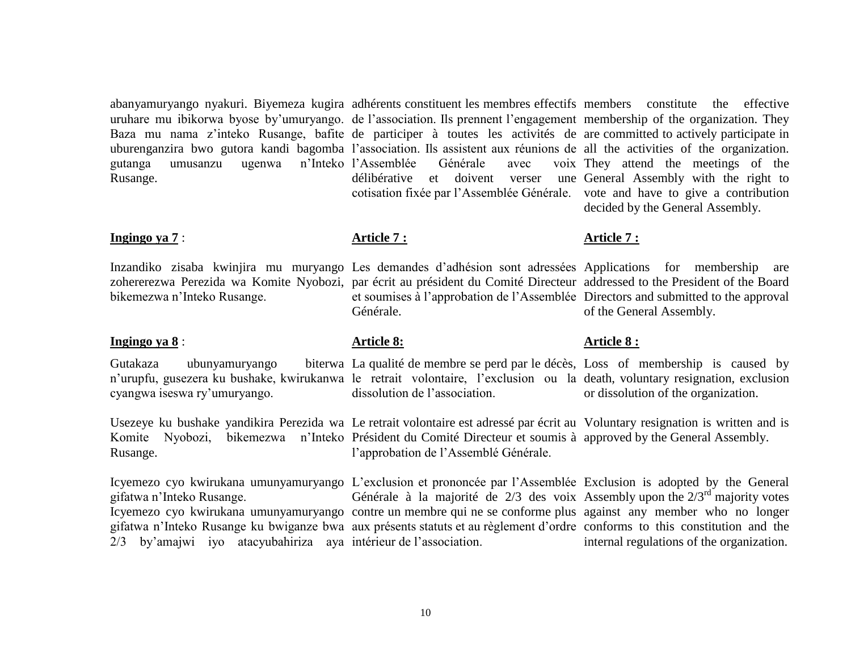abanyamuryango nyakuri. Biyemeza kugira adhérents constituent les membres effectifs members constitute the effective uruhare mu ibikorwa byose by'umuryango. de l'association. Ils prennent l'engagement membership of the organization. They Baza mu nama z'inteko Rusange, bafite de participer à toutes les activités de are committed to actively participate in uburenganzira bwo gutora kandi bagomba l'association. Ils assistent aux réunions de all the activities of the organization. gutanga umusanzu ugenwa n"Inteko l"Assemblée Générale avec voix Rusange.

#### **Ingingo ya 7** : **Article 7 : Article 7 : Article 7 : Article 7 : Article 7 :**

bikemezwa n"Inteko Rusange.

### **Ingingo ya 8** : **Article 8: Article 8 :**

Gutakaza ubunyamuryango n'urupfu, gusezera ku bushake, kwirukanwa le retrait volontaire, l'exclusion ou la death, voluntary resignation, exclusion cyangwa iseswa ry"umuryango.

Usezeye ku bushake yandikira Perezida wa Le retrait volontaire est adressé par écrit au Voluntary resignation is written and is Komite Nyobozi, bikemezwa n"Inteko Président du Comité Directeur et soumis à approved by the General Assembly. Rusange.

gifatwa n"Inteko Rusange. 2/3 by"amajwi iyo atacyubahiriza aya intérieur de l"association.

délibérative et doivent verser une General Assembly with the right to cotisation fixée par l"Assemblée Générale. vote and have to give a contribution

They attend the meetings of the decided by the General Assembly.

Inzandiko zisaba kwinjira mu muryango Les demandes d"adhésion sont adressées Applications for membership are zohererezwa Perezida wa Komite Nyobozi, par écrit au président du Comité Directeur addressed to the President of the Board et soumises à l"approbation de l"Assemblée Directors and submitted to the approval Générale.

of the General Assembly.

La qualité de membre se perd par le décès, Loss of membership is caused by or dissolution of the organization.

Icyemezo cyo kwirukana umunyamuryango L"exclusion et prononcée par l"Assemblée Exclusion is adopted by the General Icyemezo cyo kwirukana umunyamuryango contre un membre qui ne se conforme plus against any member who no longer gifatwa n"Inteko Rusange ku bwiganze bwa aux présents statuts et au règlement d"ordre conforms to this constitution and the Générale à la majorité de  $2/3$  des voix Assembly upon the  $2/3<sup>rd</sup>$  majority votes

internal regulations of the organization.

dissolution de l"association.

l"approbation de l"Assemblé Générale.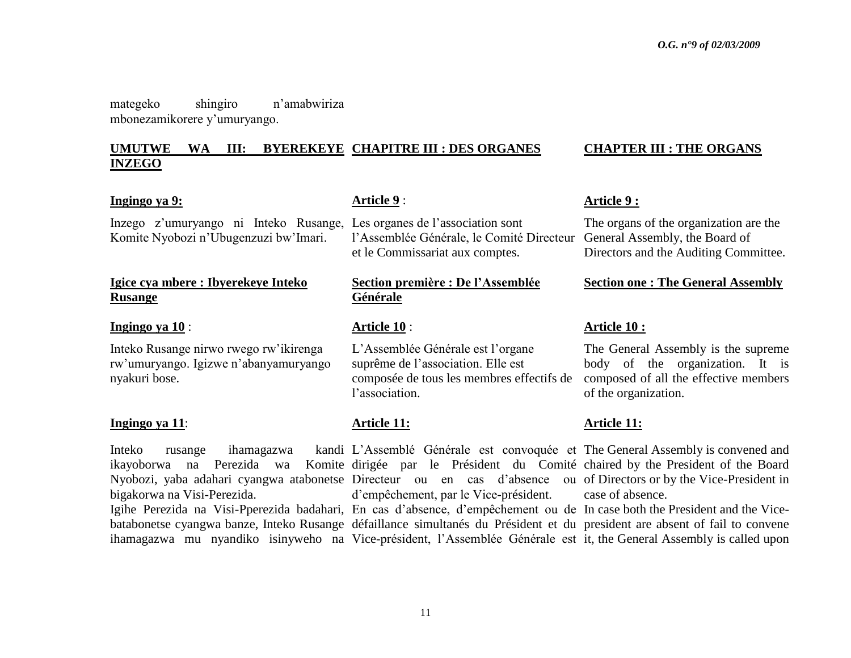mategeko shingiro n"amabwiriza mbonezamikorere y"umuryango.

#### **UMUTWE WA III: BYEREKEYE INZEGO CHAPITRE III : DES ORGANES CHAPTER III : THE ORGANS**

### **Ingingo ya 9: Article 9** : **Article 9** : **Article 9** : **Article 9** :

Inzego z"umuryango ni Inteko Rusange, Les organes de l"association sont Komite Nyobozi n"Ubugenzuzi bw"Imari.

# **Igice cya mbere : Ibyerekeye Inteko Rusange**

#### **Ingingo ya 10** : **Article 10** : **Article 10 :**

Inteko Rusange nirwo rwego rw"ikirenga rw"umuryango. Igizwe n"abanyamuryango nyakuri bose.

#### **Ingingo ya 11**: **Article 11: Article 11:**

Inteko rusange ihamagazwa ikayoborwa na Perezida wa Komite dirigée par le Président du Comité chaired by the President of the Board Nyobozi, yaba adahari cyangwa atabonetse Directeur ou en cas d'absence ou of Directors or by the Vice-President in bigakorwa na Visi-Perezida.

Igihe Perezida na Visi-Pperezida badahari, En cas d'absence, d'empêchement ou de In case both the President and the Vicebatabonetse cyangwa banze, Inteko Rusange défaillance simultanés du Président et du president are absent of fail to convene ihamagazwa mu nyandiko isinyweho na Vice-président, l"Assemblée Générale est it, the General Assembly is called upon

l'Assemblée Générale, le Comité Directeur General Assembly, the Board of et le Commissariat aux comptes.

# **Section première : De l"Assemblée Générale**

L"Assemblée Générale est l"organe suprême de l"association. Elle est composée de tous les membres effectifs de composed of all the effective members l'association.

L"Assemblé Générale est convoquée et The General Assembly is convened and d"empêchement, par le Vice-président.

The organs of the organization are the Directors and the Auditing Committee.

#### **Section one : The General Assembly**

The General Assembly is the supreme body of the organization. It is of the organization.

case of absence.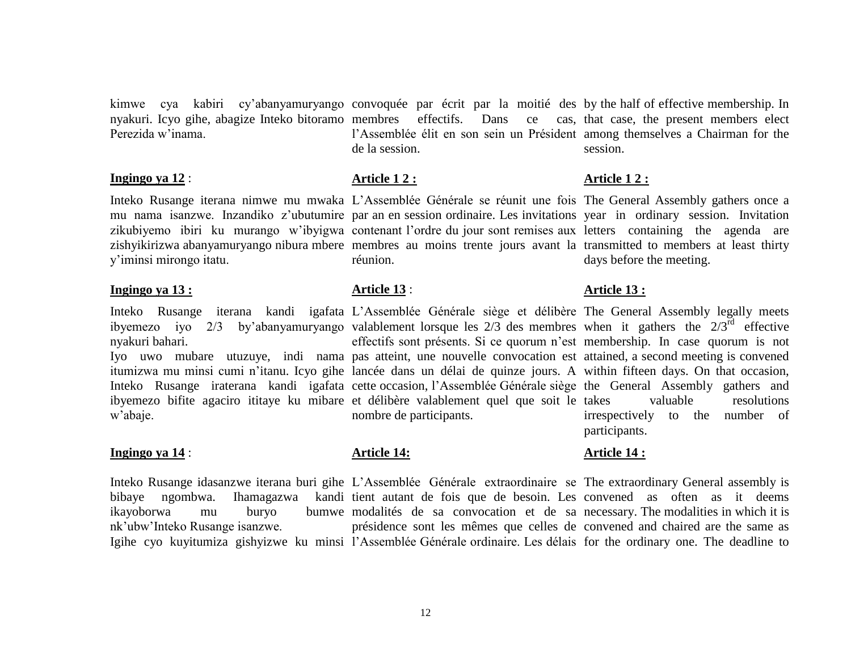kimwe cya kabiri cy"abanyamuryango convoquée par écrit par la moitié des by the half of effective membership. In nyakuri. Icyo gihe, abagize Inteko bitoramo membres effectifs. Dans ce cas, that case, the present members elect Perezida w"inama.

#### **Ingingo ya 12** : **Article 1 2 : Article 1 2 : Article 1 2 : Article 1 2 : Article 1 2 :**

Inteko Rusange iterana nimwe mu mwaka L"Assemblée Générale se réunit une fois The General Assembly gathers once a mu nama isanzwe. Inzandiko z'ubutumire par an en session ordinaire. Les invitations year in ordinary session. Invitation zikubiyemo ibiri ku murango w'ibyigwa contenant l'ordre du jour sont remises aux letters containing the agenda are zishyikirizwa abanyamuryango nibura mbere membres au moins trente jours avant la transmitted to members at least thirty y"iminsi mirongo itatu.

# **Ingingo ya 13 : Article 13** : **Article 13 :**

Inteko Rusange iterana kandi igafata L"Assemblée Générale siège et délibère The General Assembly legally meets ibyemezo iyo  $2/3$  by'abanyamuryango valablement lorsque les  $2/3$  des membres when it gathers the  $2/3^{rd}$  effective nyakuri bahari.

itumizwa mu minsi cumi n"itanu. Icyo gihe lancée dans un délai de quinze jours. A within fifteen days. On that occasion, Inteko Rusange iraterana kandi igafata cette occasion, l'Assemblée-Générale-siège the General Assembly gathers and ibyemezo bifite agaciro ititaye ku mibare et délibère valablement quel que soit le w"abaje.

#### **Ingingo ya 14** : **Article 14: Article 14 :**

ikayoborwa mu buryo nk"ubw"Inteko Rusange isanzwe.

l'Assemblée élit en son sein un Président among themselves a Chairman for the de la session.

réunion.

Iyo uwo mubare utuzuye, indi nama pas atteint, une nouvelle convocation est attained, a second meeting is convened effectifs sont présents. Si ce quorum n'est membership. In case quorum is not nombre de participants.

Inteko Rusange idasanzwe iterana buri gihe L"Assemblée Générale extraordinaire se The extraordinary General assembly is bibaye ngombwa. Ihamagazwa kandi tient autant de fois que de besoin. Les convened as often as it deems Igihe cyo kuyitumiza gishyizwe ku minsi l'Assemblée Générale ordinaire. Les délais for the ordinary one. The deadline to modalités de sa convocation et de sa necessary. The modalities in which it is présidence sont les mêmes que celles de convened and chaired are the same as

session.

days before the meeting.

valuable resolutions irrespectively to the number of participants.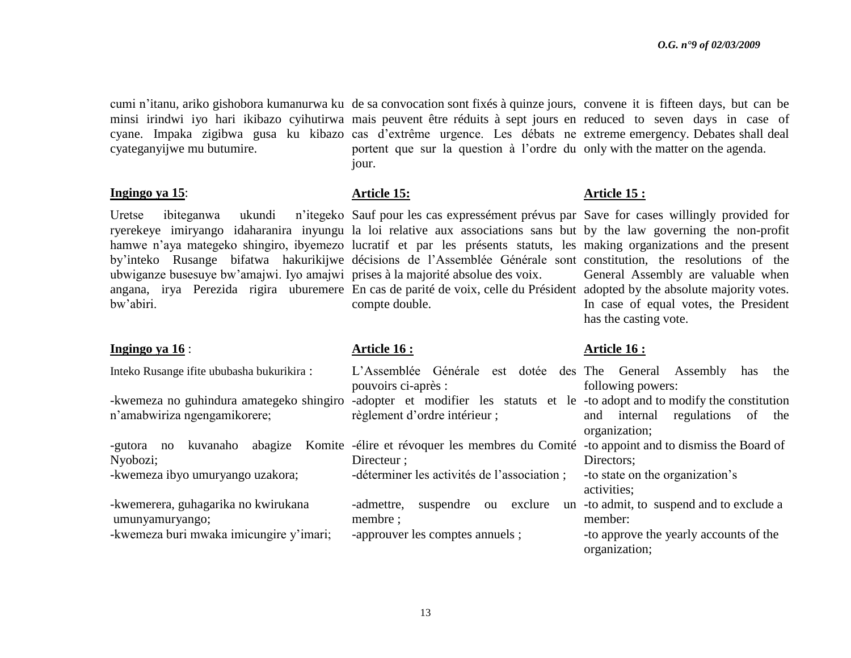cumi n"itanu, ariko gishobora kumanurwa ku de sa convocation sont fixés à quinze jours, convene it is fifteen days, but can be minsi irindwi iyo hari ikibazo cyihutirwa mais peuvent être réduits à sept jours en reduced to seven days in case of cyane. Impaka zigibwa gusa ku kibazo cas d'extrême urgence. Les débats ne extreme emergency. Debates shall deal cyateganyijwe mu butumire. portent que sur la question à l"ordre du only with the matter on the agenda. jour.

#### **Ingingo ya 15**: **Article 15: Article 15 :**

Uretse ibiteganwa ukundi ryerekeye imiryango idaharanira inyungu la loi relative aux associations sans but by the law governing the non-profit hamwe n'aya mategeko shingiro, ibyemezo lucratif et par les présents statuts, les making organizations and the present by"inteko Rusange bifatwa hakurikijwe décisions de l"Assemblée Générale sont constitution, the resolutions of the ubwiganze busesuye bw"amajwi. Iyo amajwi prises à la majorité absolue des voix. angana, irya Perezida rigira uburemere En cas de parité de voix, celle du Président adopted by the absolute majority votes. bw"abiri.

#### **Ingingo ya 16** : **Article 16 : Article 16 :**

Inteko Rusange ifite ububasha bukurikira :

-kwemeza no guhindura amategeko shingiro -adopter et modifier les statuts et le -to adopt and to modify the constitution n"amabwiriza ngengamikorere;

Nyobozi; -kwemeza ibyo umuryango uzakora;

-kwemerera, guhagarika no kwirukana umunyamuryango; -kwemeza buri mwaka imicungire y"imari;

compte double.

pouvoirs ci-après :

règlement d"ordre intérieur ;

-gutora no kuvanaho abagize Komite -élire et révoquer les membres du Comité -to appoint and to dismiss the Board of Directeur : -déterminer les activités de l"association ;

membre ;

-approuver les comptes annuels ;

- L"Assemblée Générale est dotée des The General Assembly has the following powers:
	- and internal regulations of the organization;
		- Directors:
			- -to state on the organization"s activities;
- -admettre, suspendre ou exclure un -to admit, to suspend and to exclude a member:
	- -to approve the yearly accounts of the organization;

Sauf pour les cas expressément prévus par Save for cases willingly provided for General Assembly are valuable when In case of equal votes, the President has the casting vote.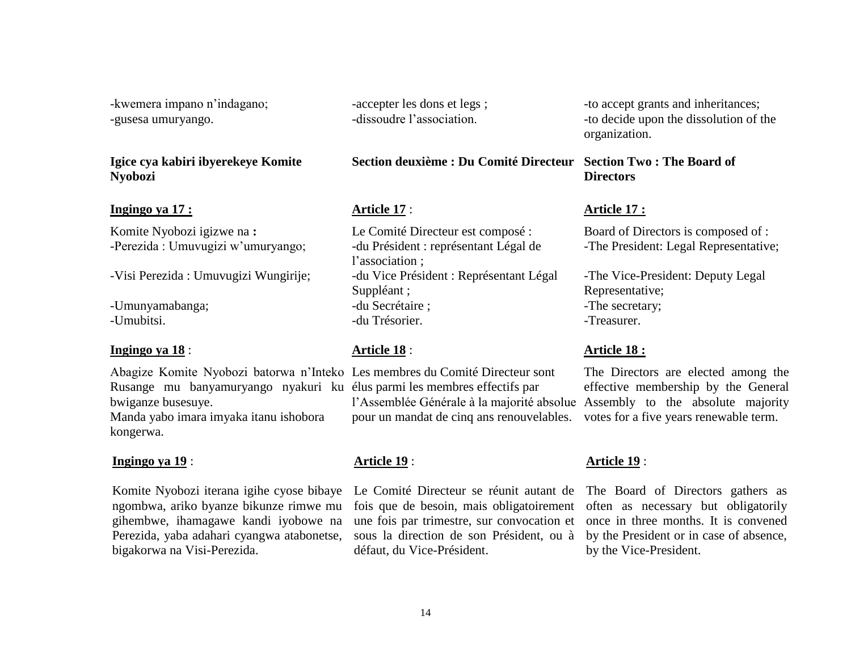-kwemera impano n"indagano; -gusesa umuryango.

# **Igice cya kabiri ibyerekeye Komite Nyobozi**

### **Ingingo ya 17 : Article 17** : **Article 17 :**

Komite Nyobozi igizwe na **:** -Perezida : Umuvugizi w'umuryango;

-Visi Perezida : Umuvugizi Wungirije;

-Umunyamabanga; -Umubitsi.

#### **Ingingo ya 18** : **Article 18** : **Article 18 :**

Abagize Komite Nyobozi batorwa n"Inteko Les membres du Comité Directeur sont Rusange mu banyamuryango nyakuri ku élus parmi les membres effectifs par bwiganze busesuye. Manda yabo imara imyaka itanu ishobora

kongerwa.

### **Ingingo ya 19** :

Komite Nyobozi iterana igihe cyose bibaye ngombwa, ariko byanze bikunze rimwe mu gihembwe, ihamagawe kandi iyobowe na Perezida, yaba adahari cyangwa atabonetse, bigakorwa na Visi-Perezida.

-accepter les dons et legs ; -dissoudre l"association.

# **Section deuxième : Du Comité Directeur Section Two : The Board of**

Le Comité Directeur est composé : -du Président : représentant Légal de l'association : -du Vice Président : Représentant Légal Suppléant ; -du Secrétaire ; -du Trésorier.

l'Assemblée Générale à la majorité absolue Assembly to the absolute majority pour un mandat de cinq ans renouvelables.

### **Article 19** :

Le Comité Directeur se réunit autant de fois que de besoin, mais obligatoirement une fois par trimestre, sur convocation et sous la direction de son Président, ou à défaut, du Vice-Président.

-to accept grants and inheritances; -to decide upon the dissolution of the organization.

# **Directors**

Board of Directors is composed of : -The President: Legal Representative;

-The Vice-President: Deputy Legal Representative; -The secretary; -Treasurer.

The Directors are elected among the effective membership by the General votes for a five years renewable term.

# **Article 19** :

The Board of Directors gathers as often as necessary but obligatorily once in three months. It is convened by the President or in case of absence, by the Vice-President.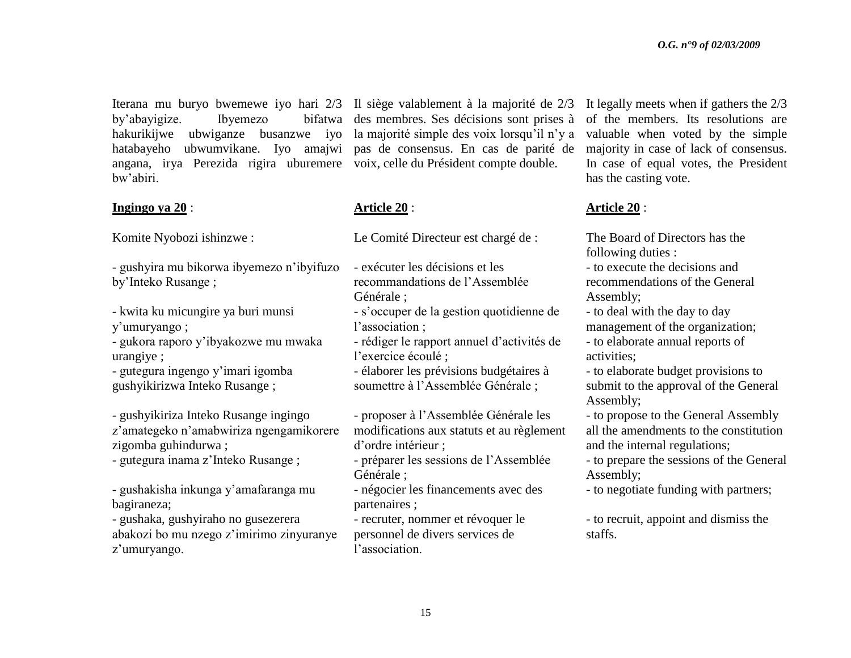Iterana mu buryo bwemewe iyo hari 2/3 Il siège valablement à la majorité de 2/3 by'abayigize. Ibyemezo hakurikijwe ubwiganze busanzwe iyo la majorité simple des voix lorsqu"il n"y a hatabayeho ubwumvikane. Iyo amajwi pas de consensus. En cas de parité de angana, irya Perezida rigira uburemere voix, celle du Président compte double. bw"abiri.

### **Ingingo ya 20** :

Komite Nyobozi ishinzwe :

- gushyira mu bikorwa ibyemezo n"ibyifuzo by"Inteko Rusange ;

- kwita ku micungire ya buri munsi y"umuryango ;

- gukora raporo y"ibyakozwe mu mwaka urangiye ;

- gutegura ingengo y"imari igomba gushyikirizwa Inteko Rusange ;

- gushyikiriza Inteko Rusange ingingo z"amategeko n"amabwiriza ngengamikorere zigomba guhindurwa ;

- gutegura inama z"Inteko Rusange ;

- gushakisha inkunga y"amafaranga mu bagiraneza;

- gushaka, gushyiraho no gusezerera abakozi bo mu nzego z"imirimo zinyuranye z'umuryango.

des membres. Ses décisions sont prises à

# **Article 20** :

Le Comité Directeur est chargé de :

- exécuter les décisions et les recommandations de l"Assemblée Générale ;
- s"occuper de la gestion quotidienne de l'association :

- rédiger le rapport annuel d"activités de l"exercice écoulé ;

- élaborer les prévisions budgétaires à soumettre à l"Assemblée Générale ;

- proposer à l"Assemblée Générale les modifications aux statuts et au règlement d"ordre intérieur ;

- préparer les sessions de l"Assemblée Générale ;

- négocier les financements avec des partenaires ;

- recruter, nommer et révoquer le personnel de divers services de l"association.

It legally meets when if gathers the 2/3 of the members. Its resolutions are valuable when voted by the simple majority in case of lack of consensus. In case of equal votes, the President has the casting vote.

### **Article 20** :

The Board of Directors has the following duties :

- to execute the decisions and recommendations of the General Assembly;

- to deal with the day to day management of the organization;

- to elaborate annual reports of activities;

- to elaborate budget provisions to submit to the approval of the General Assembly;

- to propose to the General Assembly all the amendments to the constitution and the internal regulations;

- to prepare the sessions of the General Assembly;
- to negotiate funding with partners;

- to recruit, appoint and dismiss the staffs.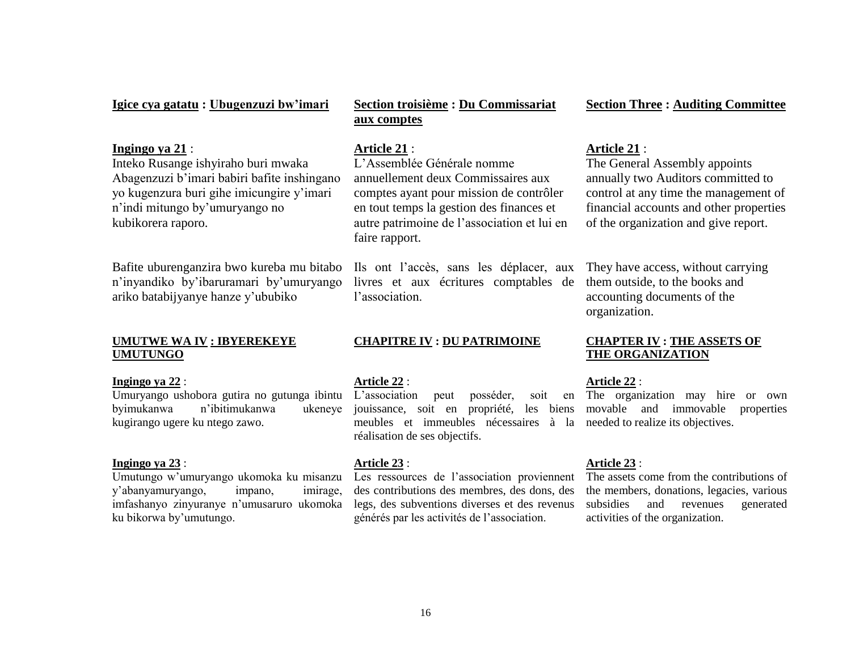#### **Igice cya gatatu : Ubugenzuzi bw"imari**

#### **Ingingo ya 21** :

Inteko Rusange ishyiraho buri mwaka Abagenzuzi b'imari babiri bafite inshingano yo kugenzura buri gihe imicungire y"imari n"indi mitungo by"umuryango no kubikorera raporo.

Bafite uburenganzira bwo kureba mu bitabo n"inyandiko by"ibaruramari by"umuryango ariko batabijyanye hanze y"ububiko

#### **UMUTWE WA IV : IBYEREKEYE UMUTUNGO**

#### **Ingingo ya 22** :

byimukanwa n"ibitimukanwa ukeneye kugirango ugere ku ntego zawo.

#### **Ingingo ya 23** :

Umutungo w"umuryango ukomoka ku misanzu y"abanyamuryango, impano, imirage, imfashanyo zinyuranye n"umusaruro ukomoka ku bikorwa by"umutungo.

# **Section troisième : Du Commissariat aux comptes**

#### **Article 21** :

L"Assemblée Générale nomme annuellement deux Commissaires aux comptes ayant pour mission de contrôler en tout temps la gestion des finances et autre patrimoine de l"association et lui en faire rapport.

Ils ont l"accès, sans les déplacer, aux livres et aux écritures comptables de l"association.

### **CHAPITRE IV : DU PATRIMOINE**

#### **Article 22** :

Umuryango ushobora gutira no gutunga ibintu L"association peut posséder, soit en jouissance, soit en propriété, les biens meubles et immeubles nécessaires à la needed to realize its objectives. réalisation de ses objectifs.

#### **Article 23** :

Les ressources de l'association proviennent des contributions des membres, des dons, des legs, des subventions diverses et des revenus générés par les activités de l"association.

#### **Section Three : Auditing Committee**

#### **Article 21** :

The General Assembly appoints annually two Auditors committed to control at any time the management of financial accounts and other properties of the organization and give report.

They have access, without carrying them outside, to the books and accounting documents of the organization.

### **CHAPTER IV : THE ASSETS OF THE ORGANIZATION**

#### **Article 22** :

soit en The organization may hire or own movable and immovable properties

#### **Article 23** :

The assets come from the contributions of the members, donations, legacies, various subsidies and revenues generated activities of the organization.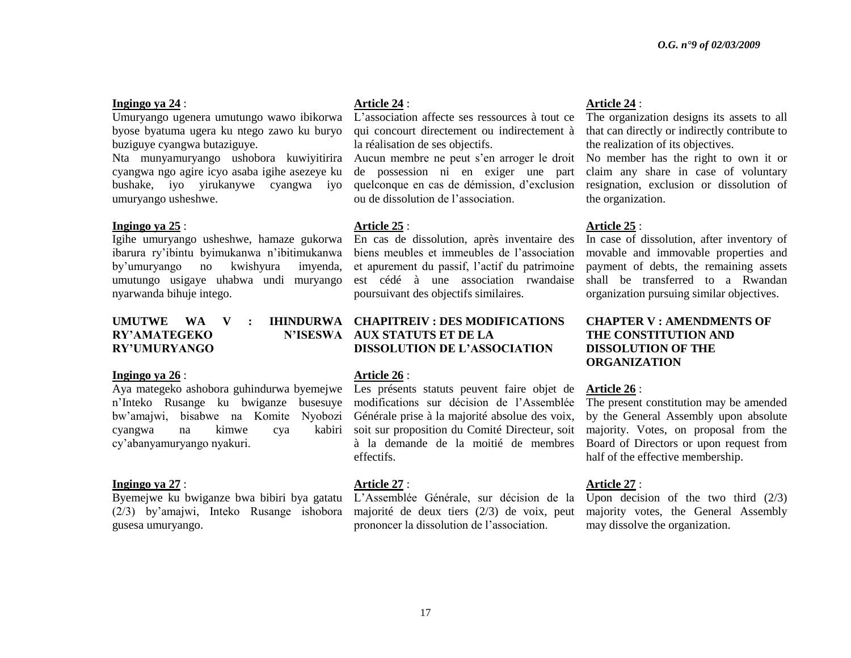#### **Ingingo ya 24** :

Umuryango ugenera umutungo wawo ibikorwa byose byatuma ugera ku ntego zawo ku buryo buziguye cyangwa butaziguye.

Nta munyamuryango ushobora kuwiyitirira cyangwa ngo agire icyo asaba igihe asezeye ku bushake, iyo yirukanywe cyangwa iyo umuryango usheshwe.

#### **Ingingo ya 25** :

Igihe umuryango usheshwe, hamaze gukorwa ibarura ry"ibintu byimukanwa n"ibitimukanwa by"umuryango no kwishyura imyenda, umutungo usigaye uhabwa undi muryango nyarwanda bihuje intego.

#### **UMUTWE WA V**  $RY'AMATEGEKO$ **RY"UMURYANGO**

#### **Ingingo ya 26** :

n"Inteko Rusange ku bwiganze busesuye modifications sur décision de l"Assemblée bw"amajwi, bisabwe na Komite Nyobozi Générale prise à la majorité absolue des voix, cyangwa na kimwe cya cy"abanyamuryango nyakuri.

#### **Ingingo ya 27** :

Byemejwe ku bwiganze bwa bibiri bya gatatu (2/3) by"amajwi, Inteko Rusange ishobora gusesa umuryango.

#### **Article 24** :

L"association affecte ses ressources à tout ce qui concourt directement ou indirectement à la réalisation de ses objectifs.

Aucun membre ne peut s"en arroger le droit No member has the right to own it or de possession ni en exiger une part quelconque en cas de démission, d"exclusion ou de dissolution de l"association.

#### **Article 25** :

En cas de dissolution, après inventaire des biens meubles et immeubles de l"association et apurement du passif, l"actif du patrimoine est cédé à une association rwandaise poursuivant des objectifs similaires.

### **CHAPITREIV : DES MODIFICATIONS AUX STATUTS ET DE LA DISSOLUTION DE L"ASSOCIATION**

#### **Article 26** :

Aya mategeko ashobora guhindurwa byemejwe Les présents statuts peuvent faire objet de soit sur proposition du Comité Directeur, soit à la demande de la moitié de membres effectifs.

#### **Article 27** :

L"Assemblée Générale, sur décision de la majorité de deux tiers (2/3) de voix, peut prononcer la dissolution de l"association.

#### **Article 24** :

The organization designs its assets to all that can directly or indirectly contribute to the realization of its objectives.

claim any share in case of voluntary resignation, exclusion or dissolution of the organization.

#### **Article 25** :

In case of dissolution, after inventory of movable and immovable properties and payment of debts, the remaining assets shall be transferred to a Rwandan organization pursuing similar objectives.

### **CHAPTER V : AMENDMENTS OF THE CONSTITUTION AND DISSOLUTION OF THE ORGANIZATION**

#### **Article 26** :

The present constitution may be amended by the General Assembly upon absolute majority. Votes, on proposal from the Board of Directors or upon request from half of the effective membership.

#### **Article 27** :

Upon decision of the two third (2/3) majority votes, the General Assembly may dissolve the organization.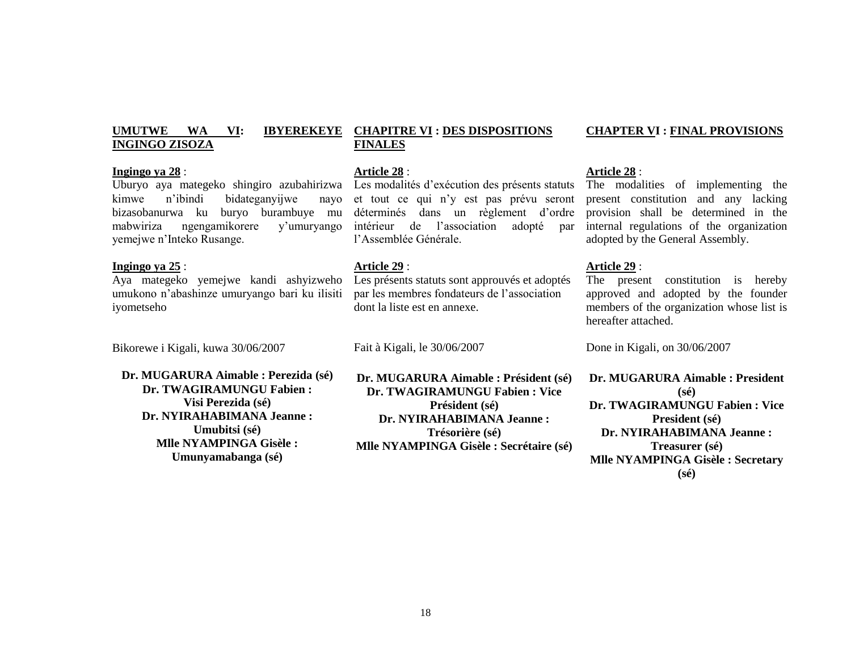#### **UMUTWE WA VI: IBYEREKEYE INGINGO ZISOZA CHAPITRE VI : DES DISPOSITIONS FINALES**

#### **Article 28** :

Les modalités d"exécution des présents statuts et tout ce qui n"y est pas prévu seront déterminés dans un règlement d'ordre intérieur de l"association adopté par l"Assemblée Générale.

#### **Article 29** :

Les présents statuts sont approuvés et adoptés par les membres fondateurs de l"association dont la liste est en annexe.

Fait à Kigali, le 30/06/2007

**Dr. MUGARURA Aimable : Président (sé) Dr. TWAGIRAMUNGU Fabien : Vice Président (sé) Dr. NYIRAHABIMANA Jeanne : Trésorière (sé) Mlle NYAMPINGA Gisèle : Secrétaire (sé)**

#### **Article 28** :

The modalities of implementing the present constitution and any lacking provision shall be determined in the internal regulations of the organization adopted by the General Assembly.

#### **Article 29** :

The present constitution is hereby approved and adopted by the founder members of the organization whose list is hereafter attached.

Done in Kigali, on 30/06/2007

**Dr. MUGARURA Aimable : President (sé) Dr. TWAGIRAMUNGU Fabien : Vice President (sé) Dr. NYIRAHABIMANA Jeanne : Treasurer (sé) Mlle NYAMPINGA Gisèle : Secretary (sé)**

### **Ingingo ya 28** :

Uburyo aya mategeko shingiro azubahirizwa kimwe n"ibindi bidateganyijwe nayo bizasobanurwa ku buryo burambuye mu mabwiriza ngengamikorere y"umuryango yemejwe n"Inteko Rusange.

#### **Ingingo ya 25** :

Aya mategeko yemejwe kandi ashyizweho umukono n"abashinze umuryango bari ku ilisiti iyometseho

Bikorewe i Kigali, kuwa 30/06/2007

**Dr. MUGARURA Aimable : Perezida (sé) Dr. TWAGIRAMUNGU Fabien : Visi Perezida (sé) Dr. NYIRAHABIMANA Jeanne : Umubitsi (sé) Mlle NYAMPINGA Gisèle : Umunyamabanga (sé)**

#### **CHAPTER VI : FINAL PROVISIONS**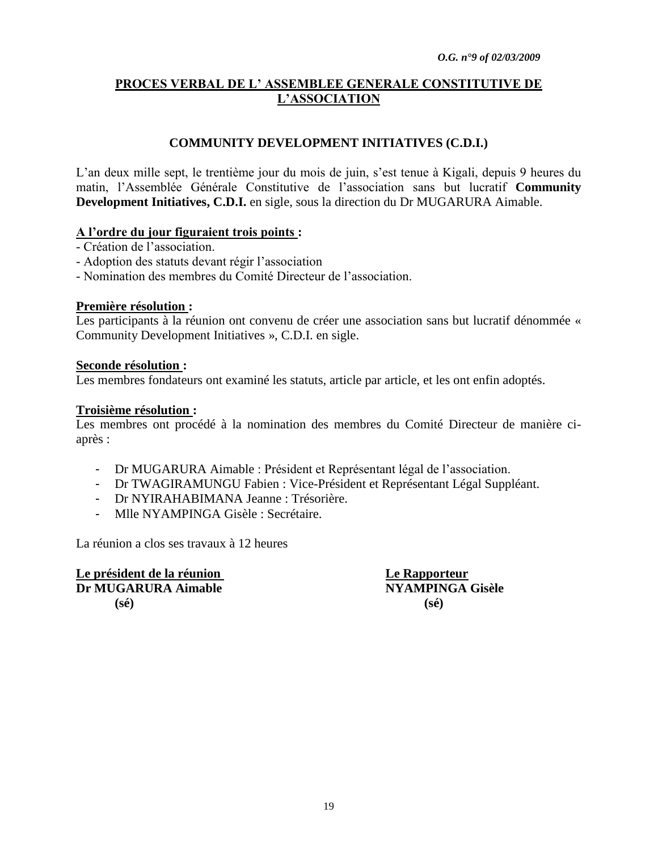# **PROCES VERBAL DE L" ASSEMBLEE GENERALE CONSTITUTIVE DE L"ASSOCIATION**

# **COMMUNITY DEVELOPMENT INITIATIVES (C.D.I.)**

L"an deux mille sept, le trentième jour du mois de juin, s"est tenue à Kigali, depuis 9 heures du matin, l"Assemblée Générale Constitutive de l"association sans but lucratif **Community Development Initiatives, C.D.I.** en sigle, sous la direction du Dr MUGARURA Aimable.

## **A l"ordre du jour figuraient trois points :**

- Création de l"association.
- Adoption des statuts devant régir l"association
- Nomination des membres du Comité Directeur de l"association.

### **Première résolution :**

Les participants à la réunion ont convenu de créer une association sans but lucratif dénommée « Community Development Initiatives », C.D.I. en sigle.

### **Seconde résolution :**

Les membres fondateurs ont examiné les statuts, article par article, et les ont enfin adoptés.

### **Troisième résolution :**

Les membres ont procédé à la nomination des membres du Comité Directeur de manière ciaprès :

- Dr MUGARURA Aimable : Président et Représentant légal de l"association.
- Dr TWAGIRAMUNGU Fabien : Vice-Président et Représentant Légal Suppléant.
- Dr NYIRAHABIMANA Jeanne : Trésorière.
- Mlle NYAMPINGA Gisèle : Secrétaire.

La réunion a clos ses travaux à 12 heures

**Le président de la réunion Le Rapporteur Dr MUGARURA Aimable NYAMPINGA Gisèle (sé) (sé)**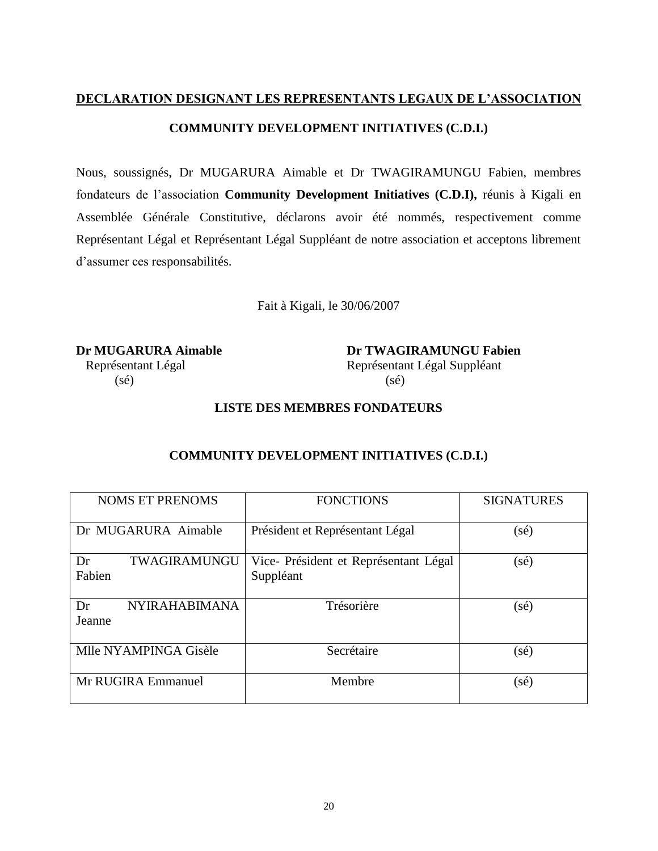# **DECLARATION DESIGNANT LES REPRESENTANTS LEGAUX DE L"ASSOCIATION COMMUNITY DEVELOPMENT INITIATIVES (C.D.I.)**

Nous, soussignés, Dr MUGARURA Aimable et Dr TWAGIRAMUNGU Fabien, membres fondateurs de l"association **Community Development Initiatives (C.D.I),** réunis à Kigali en Assemblée Générale Constitutive, déclarons avoir été nommés, respectivement comme Représentant Légal et Représentant Légal Suppléant de notre association et acceptons librement d"assumer ces responsabilités.

Fait à Kigali, le 30/06/2007

 $(s\acute{e})$  (sé)

**Dr MUGARURA Aimable Dr TWAGIRAMUNGU Fabien** Représentant Légal Représentant Légal Suppléant

# **LISTE DES MEMBRES FONDATEURS**

# **COMMUNITY DEVELOPMENT INITIATIVES (C.D.I.)**

| <b>NOMS ET PRENOMS</b>               | <b>FONCTIONS</b>                                  | <b>SIGNATURES</b> |
|--------------------------------------|---------------------------------------------------|-------------------|
| Dr MUGARURA Aimable                  | Président et Représentant Légal                   | (sé)              |
| TWAGIRAMUNGU<br>Dr<br>Fabien         | Vice-Président et Représentant Légal<br>Suppléant | (sé)              |
| <b>NYIRAHABIMANA</b><br>Dr<br>Jeanne | Trésorière                                        | (sé)              |
| Mlle NYAMPINGA Gisèle                | Secrétaire                                        | (sé)              |
| Mr RUGIRA Emmanuel                   | Membre                                            | (sé)              |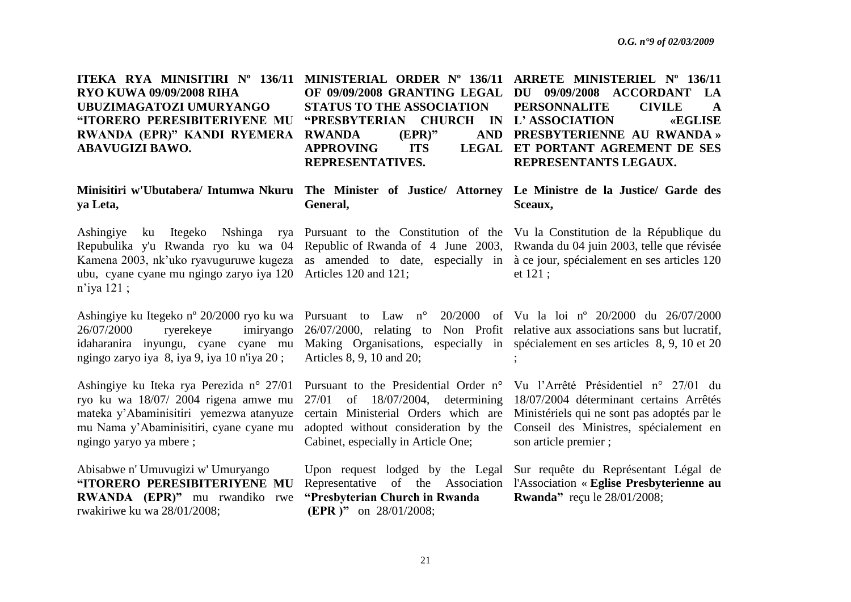| ITEKA RYA MINISITIRI N° 136/11 MINISTERIAL ORDER N° 136/11 ARRETE MINISTERIEL N° 136/11 |                                               |                                                         |
|-----------------------------------------------------------------------------------------|-----------------------------------------------|---------------------------------------------------------|
| <b>RYO KUWA 09/09/2008 RIHA</b>                                                         |                                               | OF 09/09/2008 GRANTING LEGAL DU 09/09/2008 ACCORDANT LA |
| UBUZIMAGATOZI UMURYANGO                                                                 | STATUS TO THE ASSOCIATION PERSONNALITE CIVILE | $\mathbf A$                                             |
| "ITORERO PERESIBITERIYENE MU "PRESBYTERIAN CHURCH IN L'ASSOCIATION                      |                                               | <b>EXECLISE</b>                                         |
| RWANDA (EPR)" KANDI RYEMERA RWANDA (EPR)"                                               |                                               | AND PRESBYTERIENNE AU RWANDA »                          |
| <b>ABAVUGIZI BAWO.</b>                                                                  | APPROVING ITS                                 | LEGAL ET PORTANT AGREMENT DE SES                        |
|                                                                                         | <b>REPRESENTATIVES.</b>                       | REPRESENTANTS LEGAUX.                                   |
|                                                                                         |                                               |                                                         |

**General,**

# **ya Leta,**

Ashingiye ku Itegeko Nshinga rya Pursuant to the Constitution of the Vu la Constitution de la République du Repubulika y'u Rwanda ryo ku wa 04 Republic of Rwanda of 4 June 2003, Rwanda du 04 juin 2003, telle que révisée Kamena 2003, nk'uko ryavuguruwe kugeza as amended to date, especially in à ce jour, spécialement en ses articles 120 ubu, cyane cyane mu ngingo zaryo iya 120 Articles 120 and 121; n"iya 121 ;

Ashingiye ku Itegeko nº 20/2000 ryo ku wa Pursuant to Law n° 20/2000 of Vu la loi nº 20/2000 du 26/07/2000 26/07/2000 ryerekeye imiryango 26/07/2000, relating to Non Profit relative aux associations sans but lucratif, idaharanira inyungu, cyane cyane mu Making Organisations, especially in spécialement en ses articles 8, 9, 10 et 20 ngingo zaryo iya 8, iya 9, iya 10 n'iya 20 ;

Ashingiye ku Iteka rya Perezida n° 27/01 Pursuant to the Presidential Order n° Vu l"Arrêté Présidentiel n° 27/01 du ryo ku wa 18/07/ 2004 rigena amwe mu mateka y"Abaminisitiri yemezwa atanyuze mu Nama y"Abaminisitiri, cyane cyane mu ngingo yaryo ya mbere ;

Abisabwe n' Umuvugizi w' Umuryango **"ITORERO PERESIBITERIYENE MU RWANDA (EPR)"** mu rwandiko rwe rwakiriwe ku wa 28/01/2008;

Articles 8, 9, 10 and 20;

Cabinet, especially in Article One;

**"Presbyterian Church in Rwanda (EPR )"** on 28/01/2008;

**Minisitiri w'Ubutabera/ Intumwa Nkuru The Minister of Justice/ Attorney Le Ministre de la Justice/ Garde des Sceaux,**

et 121 ;

;

27/01 of 18/07/2004, determining 18/07/2004 déterminant certains Arrêtés certain Ministerial Orders which are Ministériels qui ne sont pas adoptés par le adopted without consideration by the Conseil des Ministres, spécialement en son article premier ;

Upon request lodged by the Legal Sur requête du Représentant Légal de Representative of the Association l'Association « **Eglise Presbyterienne au Rwanda"** reçu le 28/01/2008;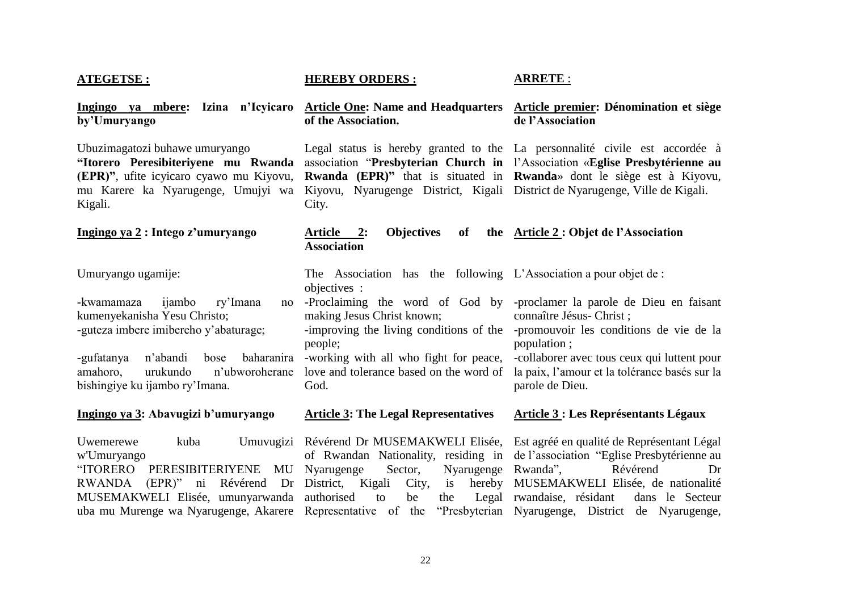### **ATEGETSE :**

**Ingingo ya mbere: Izina n"Icyicaro by"Umuryango**

Ubuzimagatozi buhawe umuryango **"Itorero Peresibiteriyene mu Rwanda (EPR)"**, ufite icyicaro cyawo mu Kiyovu, mu Karere ka Nyarugenge, Umujyi wa Kigali.

#### **Ingingo ya 2 : Intego z"umuryango**

Umuryango ugamije:

-kwamamaza ijambo ry"Imana no kumenyekanisha Yesu Christo; -guteza imbere imibereho y"abaturage;

-gufatanya n"abandi bose baharanira -working with all who fight for peace, -collaborer avec tous ceux qui luttent pour amahoro, urukundo n"ubworoherane bishingiye ku ijambo ry"Imana.

#### **Ingingo ya 3: Abavugizi b"umuryango**

w'Umuryango "ITORERO PERESIBITERIYENE MU RWANDA (EPR)" ni Révérend Dr District, Kigali City, is hereby MUSEMAKWELI Elisée, umunyarwanda authorised to be the Legal

### **HEREBY ORDERS :**

### **ARRETE** :

#### **Article One: Name and Headquarters Article premier: Dénomination et siège of the Association. de l"Association**

Legal status is hereby granted to the La personnalité civile est accordée à Kiyovu, Nyarugenge District, Kigali District de Nyarugenge, Ville de Kigali. City.

# association "**Presbyterian Church in**  l"Association «**Eglise Presbytérienne au Rwanda (EPR)"** that is situated in **Rwanda**» dont le siège est à Kiyovu,

#### Article 2: Objectives of **Association Article 2 : Objet de l"Association**

The Association has the following L"Association a pour objet de : objectives :

-Proclaiming the word of God by -proclamer la parole de Dieu en faisant making Jesus Christ known; -improving the living conditions of the -promouvoir les conditions de vie de la people; love and tolerance based on the word of God. connaître Jésus- Christ ; population ; la paix, l"amour et la tolérance basés sur la parole de Dieu.

#### **Article 3: The Legal Representatives**

**Article 3 : Les Représentants Légaux**

Uwemerewe kuba Umuvugizi Révérend Dr MUSEMAKWELI Elisée, Est agréé en qualité de Représentant Légal uba mu Murenge wa Nyarugenge, Akarere Representative of the "Presbyterian Nyarugenge, District de Nyarugenge, of Rwandan Nationality, residing in de l"association "Eglise Presbytérienne au Nyarugenge Sector, Nyarugenge Rwanda", Révérend Dr is hereby MUSEMAKWELI Elisée, de nationalité Legal rwandaise, résidant dans le Secteur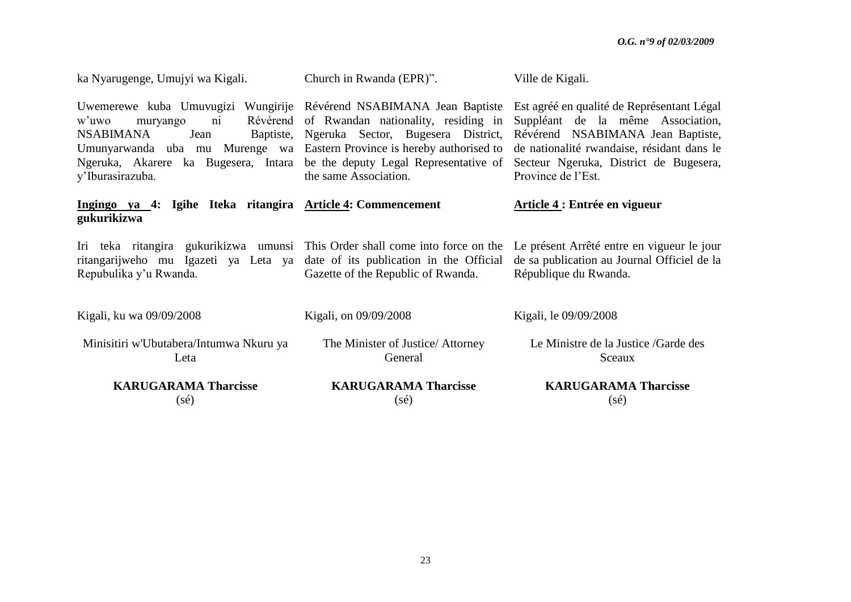| ka Nyarugenge, Umujyi wa Kigali.                                                                                                                                                                                                                                                                                     | Church in Rwanda (EPR)".                                                                                              | Ville de Kigali.                                                                                                                                                                                                                   |
|----------------------------------------------------------------------------------------------------------------------------------------------------------------------------------------------------------------------------------------------------------------------------------------------------------------------|-----------------------------------------------------------------------------------------------------------------------|------------------------------------------------------------------------------------------------------------------------------------------------------------------------------------------------------------------------------------|
| Uwemerewe kuba Umuvugizi Wungirije Révérend NSABIMANA Jean Baptiste<br>w'uwo<br>muryango<br>$\overline{ni}$<br><b>NSABIMANA</b><br>Jean<br>Umunyarwanda uba mu Murenge wa Eastern Province is hereby authorised to<br>Ngeruka, Akarere ka Bugesera, Intara be the deputy Legal Representative of<br>y'Iburasirazuba. | Révérend of Rwandan nationality, residing in<br>Baptiste, Ngeruka Sector, Bugesera District,<br>the same Association. | Est agréé en qualité de Représentant Légal<br>Suppléant de la même Association,<br>Révérend NSABIMANA Jean Baptiste,<br>de nationalité rwandaise, résidant dans le<br>Secteur Ngeruka, District de Bugesera,<br>Province de l'Est. |
| Ingingo ya 4: Igihe Iteka ritangira Article 4: Commencement<br>gukurikizwa                                                                                                                                                                                                                                           |                                                                                                                       | Article 4 : Entrée en vigueur                                                                                                                                                                                                      |
| Iri teka ritangira gukurikizwa umunsi This Order shall come into force on the<br>ritangarijweho mu Igazeti ya Leta ya<br>Repubulika y'u Rwanda.                                                                                                                                                                      | date of its publication in the Official<br>Gazette of the Republic of Rwanda.                                         | Le présent Arrêté entre en vigueur le jour<br>de sa publication au Journal Officiel de la<br>République du Rwanda.                                                                                                                 |
| Kigali, ku wa 09/09/2008                                                                                                                                                                                                                                                                                             | Kigali, on 09/09/2008                                                                                                 | Kigali, le 09/09/2008                                                                                                                                                                                                              |
| Minisitiri w'Ubutabera/Intumwa Nkuru ya<br>Leta                                                                                                                                                                                                                                                                      | The Minister of Justice/ Attorney<br>General                                                                          | Le Ministre de la Justice / Garde des<br>Sceaux                                                                                                                                                                                    |
| <b>KARUGARAMA Tharcisse</b><br>$(s\acute{e})$                                                                                                                                                                                                                                                                        | <b>KARUGARAMA Tharcisse</b><br>(sé)                                                                                   | <b>KARUGARAMA Tharcisse</b><br>$(s\acute{e})$                                                                                                                                                                                      |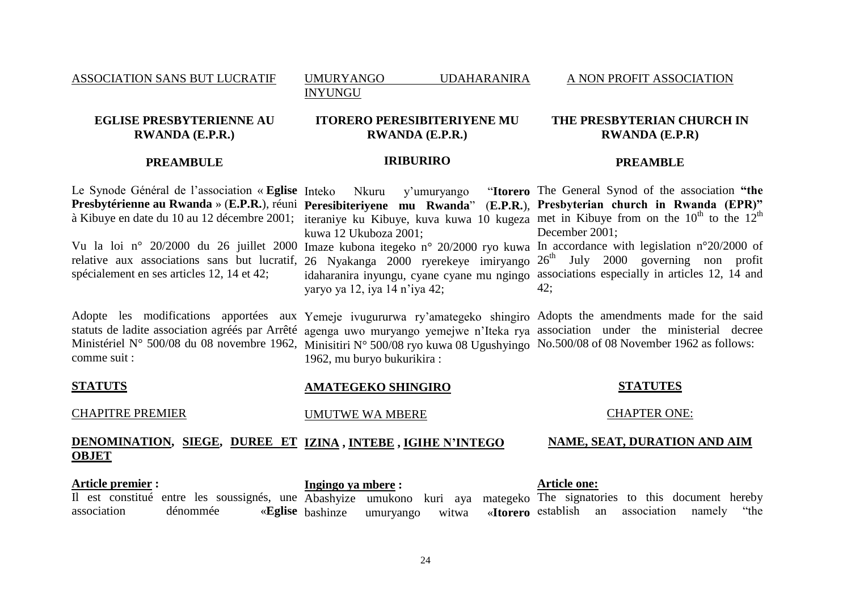ASSOCIATION SANS BUT LUCRATIF

UMURYANGO UDAHARANIRA

A NON PROFIT ASSOCIATION

## **EGLISE PRESBYTERIENNE AU RWANDA (E.P.R.)**

# **ITORERO PERESIBITERIYENE MU RWANDA (E.P.R.)**

INYUNGU

### **THE PRESBYTERIAN CHURCH IN RWANDA (E.P.R)**

## **PREAMBULE**

### **IRIBURIRO**

### **PREAMBLE**

Le Synode Général de l"association « **Eglise**  Inteko Nkuru y"umuryango "**Itorero Presbytérienne au Rwanda** » (**E.P.R.**), réuni **Peresibiteriyene mu Rwanda**" (**E.P.R.**), **Presbyterian church in Rwanda (EPR)"** à Kibuye en date du 10 au 12 décembre 2001; iteraniye ku Kibuye, kuva kuwa 10 kugeza met in Kibuye from on the  $10^{th}$  to the  $12^{th}$ Vu la loi n° 20/2000 du 26 juillet 2000 Imaze kubona itegeko n° 20/2000 ryo kuwa In accordance with legislation n°20/2000 of relative aux associations sans but lucratif, spécialement en ses articles 12, 14 et 42; kuwa 12 Ukuboza 2001; 26 Nyakanga 2000 ryerekeye imiryango  $26<sup>th</sup>$  July 2000 governing non profit idaharanira inyungu, cyane cyane mu ngingo associations especially in articles 12, 14 and yaryo ya 12, iya 14 n"iya 42; The General Synod of the association **"the**  December 2001; 42;

Adopte les modifications apportées aux Yemeje ivugururwa ry"amategeko shingiro Adopts the amendments made for the said statuts de ladite association agréés par Arrêté agenga uwo muryango yemejwe n"Iteka rya association under the ministerial decree Ministériel N° 500/08 du 08 novembre 1962, Minisitiri N° 500/08 ryo kuwa 08 Ugushyingo No.500/08 of 08 November 1962 as follows: comme suit : 1962, mu buryo bukurikira :

#### **STATUTS** CHAPITRE PREMIER **DENOMINATION, SIEGE, DUREE ET IZINA , INTEBE , IGIHE N"INTEGO OBJET AMATEGEKO SHINGIRO** UMUTWE WA MBERE **STATUTES** CHAPTER ONE: **NAME, SEAT, DURATION AND AIM**

**Article premier :** Il est constitué entre les soussignés, une Abashyize umukono kuri aya mategeko The signatories to this document hereby association dénommée «**Eglise Ingingo ya mbere :** bashinze umuryango witwa «**Itorero Article one:** «**Itorero** establish an association namely "the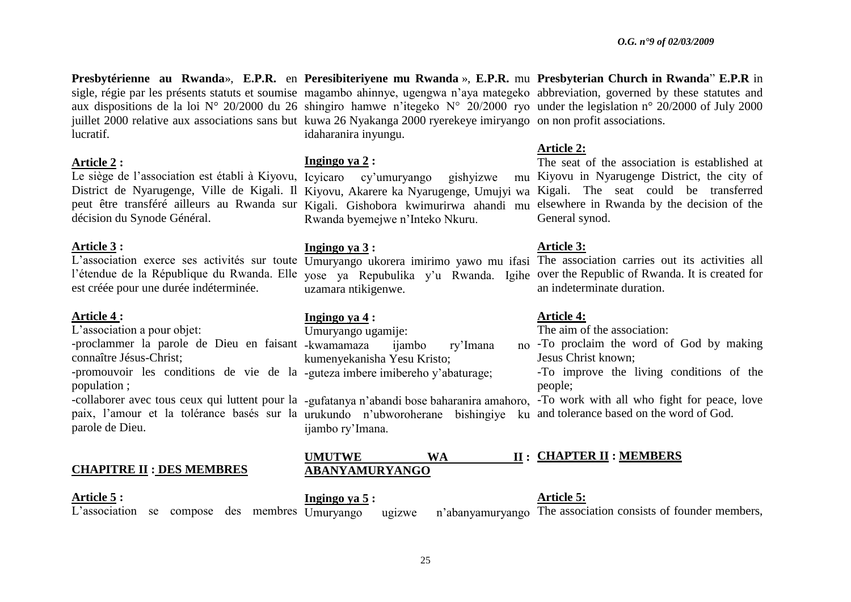**Presbytérienne au Rwanda**», **E.P.R.** en **Peresibiteriyene mu Rwanda** », **E.P.R.** mu **Presbyterian Church in Rwanda**" **E.P.R** in sigle, régie par les présents statuts et soumise magambo ahinnye, ugengwa n"aya mategeko abbreviation, governed by these statutes and aux dispositions de la loi N° 20/2000 du 26 shingiro hamwe n"itegeko N° 20/2000 ryo under the legislation n° 20/2000 of July 2000 lucratif.

#### **Article 2 :**

Le siège de l"association est établi à Kiyovu, Icyicaro cy"umuryango gishyizwe mu décision du Synode Général.

### **Article 3 :**

est créée pour une durée indéterminée.

### **Article 4 :**

L'association a pour objet:

connaître Jésus-Christ;

-promouvoir les conditions de vie de la -guteza imbere imibereho y'abaturage; population ;

paix, l"amour et la tolérance basés sur la urukundo n"ubworoherane bishingiye ku and tolerance based on the word of God. parole de Dieu.

# **CHAPITRE II : DES MEMBRES**

**Article 5 :**

juillet 2000 relative aux associations sans but kuwa 26 Nyakanga 2000 ryerekeye imiryango on non profit associations. idaharanira inyungu. **Ingingo ya 2 :**

District de Nyarugenge, Ville de Kigali. Il Kiyovu, Akarere ka Nyarugenge, Umujyi wa Kigali. The seat could be transferred peut être transféré ailleurs au Rwanda sur Kigali. Gishobora kwimurirwa ahandi mu elsewhere in Rwanda by the decision of the Rwanda byemejwe n"Inteko Nkuru.

## **Ingingo ya 3 :**

uzamara ntikigenwe.

# **Ingingo ya 4 :**

-proclammer la parole de Dieu en faisant -kwamamaza ijambo ry"Imana no Umuryango ugamije: kumenyekanisha Yesu Kristo;

ijambo ry"Imana.

# **Article 2:**

The seat of the association is established at mu Kiyovu in Nyarugenge District, the city of General synod.

# **Article 3:**

L'association exerce ses activités sur toute Umuryango ukorera imirimo yawo mu ifasi The association carries out its activities all l'étendue de la République du Rwanda. Elle yose ya Repubulika y'u Rwanda. Igihe over the Republic of Rwanda. It is created for an indeterminate duration.

# **Article 4:**

The  $\overline{a}$  aim of the association:

- -To proclaim the word of God by making Jesus Christ known;
	- -To improve the living conditions of the people;

-collaborer avec tous ceux qui luttent pour la -gufatanya n'abandi bose baharanira amahoro, -To work with all who fight for peace, love

#### **UMUTWE WA ABANYAMURYANGO CHAPTER II : MEMBERS**

L'association se compose des membres  $\overline{U}$ murvango **Ingingo ya 5 :** Umuryango ugizwe n'abanyamuryango The association consists of founder members, **Article 5:**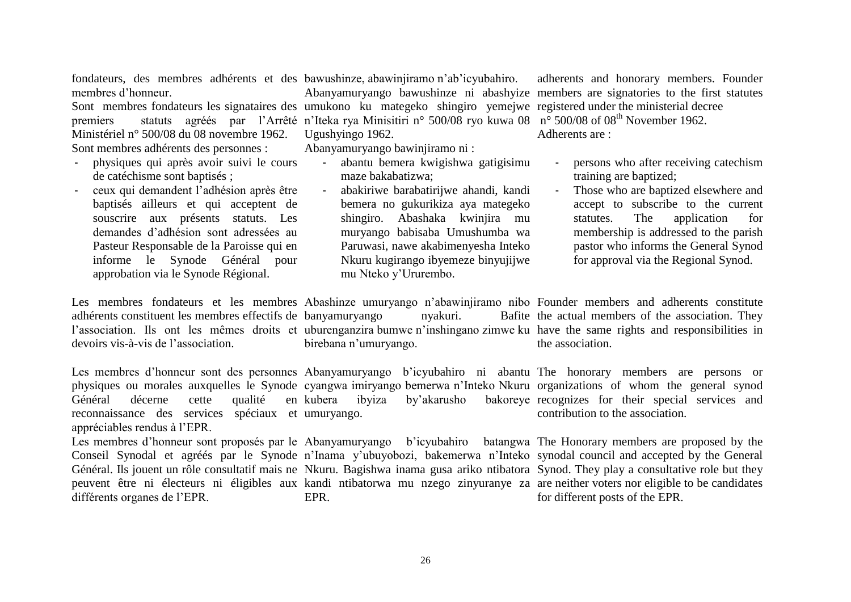fondateurs, des membres adhérents et des bawushinze, abawinjiramo n"ab"icyubahiro. membres d"honneur.

Sont membres fondateurs les signataires des umukono ku mategeko shingiro yemejwe registered under the ministerial decree premiers statuts agréés par l'Arrêté n'Iteka rya Minisitiri n° 500/08 ryo kuwa 08 n° 500/08 of 08<sup>th</sup> November 1962. Ministériel n° 500/08 du 08 novembre 1962. Sont membres adhérents des personnes :

- physiques qui après avoir suivi le cours de catéchisme sont baptisés ;
- ceux qui demandent l"adhésion après être baptisés ailleurs et qui acceptent de souscrire aux présents statuts. Les demandes d"adhésion sont adressées au Pasteur Responsable de la Paroisse qui en informe le Synode Général pour approbation via le Synode Régional.

adhérents constituent les membres effectifs de banyamuryango nyakuri. Bafite devoirs vis-à-vis de l"association. birebana n"umuryango.

Les membres d'honneur sont des personnes Abanyamuryango b'icyubahiro ni abantu The honorary members are persons or physiques ou morales auxquelles le Synode cyangwa imiryango bemerwa n"Inteko Nkuru organizations of whom the general synod Général décerne cette qualité reconnaissance des services spéciaux et umuryango. appréciables rendus à l"EPR. kubera ibyiza by"akarusho bakoreye recognizes for their special services and

Ugushyingo 1962.

Abanyamuryango bawinjiramo ni :

maze bakabatizwa;

mu Nteko y"Ururembo.

- abantu bemera kwigishwa gatigisimu

- abakiriwe barabatirijwe ahandi, kandi bemera no gukurikiza aya mategeko shingiro. Abashaka kwinjira mu muryango babisaba Umushumba wa Paruwasi, nawe akabimenyesha Inteko Nkuru kugirango ibyemeze binyujijwe

Les membres d'honneur sont proposés par le Abanyamuryango b'icyubahiro batangwa The Honorary members are proposed by the Conseil Synodal et agréés par le Synode n'Inama y'ubuyobozi, bakemerwa n'Inteko synodal council and accepted by the General Général. Ils jouent un rôle consultatif mais ne Nkuru. Bagishwa inama gusa ariko ntibatora Synod. They play a consultative role but they peuvent être ni électeurs ni éligibles aux kandi ntibatorwa mu nzego zinyuranye za are neither voters nor eligible to be candidates différents organes de l"EPR. EPR.

Abanyamuryango bawushinze ni abashyize members are signatories to the first statutes adherents and honorary members. Founder Adherents are :

- persons who after receiving catechism training are baptized;
- Those who are baptized elsewhere and accept to subscribe to the current statutes. The application for membership is addressed to the parish pastor who informs the General Synod for approval via the Regional Synod.

Les membres fondateurs et les membres Abashinze umuryango n"abawinjiramo nibo Founder members and adherents constitute l'association. Ils ont les mêmes droits et uburenganzira bumwe n'inshingano zimwe ku have the same rights and responsibilities in Bafite the actual members of the association. They the association.

contribution to the association.

for different posts of the EPR.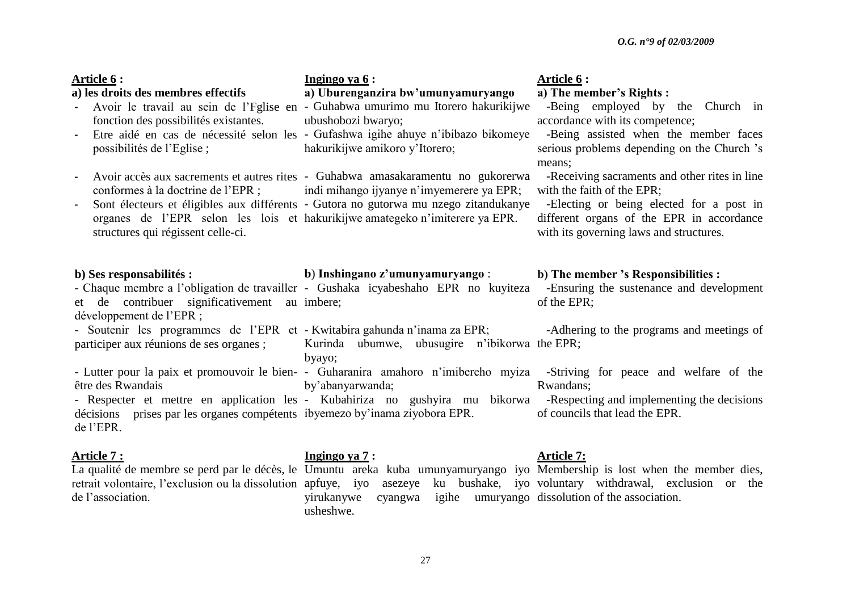| Article 6 :<br>a) les droits des membres effectifs<br>fonction des possibilités existantes.<br>possibilités de l'Eglise;<br>structures qui régissent celle-ci. | Ingingo ya $6:$<br>a) Uburenganzira bw'umunyamuryango<br>Avoir le travail au sein de l'Eglise en - Guhabwa umurimo mu Itorero hakurikijwe<br>ubushobozi bwaryo;<br>Etre aidé en cas de nécessité selon les - Gufashwa igihe ahuye n'ibibazo bikomeye<br>hakurikijwe amikoro y'Itorero;<br>Avoir accès aux sacrements et autres rites - Guhabwa amasakaramentu no gukorerwa<br>conformes à la doctrine de l'EPR; indi mihango ijyanye n'imyemerere ya EPR;<br>Sont électeurs et éligibles aux différents - Gutora no gutorwa mu nzego zitandukanye<br>organes de l'EPR selon les lois et hakurikijwe amategeko n'imiterere ya EPR. | <b>Article 6:</b><br>a) The member's Rights :<br>-Being employed by the Church in<br>accordance with its competence;<br>-Being assisted when the member faces<br>serious problems depending on the Church 's<br>means;<br>-Receiving sacraments and other rites in line<br>with the faith of the EPR;<br>-Electing or being elected for a post in<br>different organs of the EPR in accordance<br>with its governing laws and structures. |
|----------------------------------------------------------------------------------------------------------------------------------------------------------------|-----------------------------------------------------------------------------------------------------------------------------------------------------------------------------------------------------------------------------------------------------------------------------------------------------------------------------------------------------------------------------------------------------------------------------------------------------------------------------------------------------------------------------------------------------------------------------------------------------------------------------------|-------------------------------------------------------------------------------------------------------------------------------------------------------------------------------------------------------------------------------------------------------------------------------------------------------------------------------------------------------------------------------------------------------------------------------------------|
| b) Ses responsabilités :                                                                                                                                       | b) Inshingano z'umunyamuryango :<br>- Chaque membre a l'obligation de travailler - Gushaka icyabeshaho EPR no kuyiteza -Ensuring the sustenance and development                                                                                                                                                                                                                                                                                                                                                                                                                                                                   | b) The member 's Responsibilities :                                                                                                                                                                                                                                                                                                                                                                                                       |
| et de contribuer significativement au imbere;                                                                                                                  |                                                                                                                                                                                                                                                                                                                                                                                                                                                                                                                                                                                                                                   | of the EPR;                                                                                                                                                                                                                                                                                                                                                                                                                               |
| développement de l'EPR ;<br>participer aux réunions de ses organes;                                                                                            | - Soutenir les programmes de l'EPR et - Kwitabira gahunda n'inama za EPR;<br>- Adhering to the programs and meetings of<br>Kurinda ubumwe, ubusugire n'ibikorwa the EPR;                                                                                                                                                                                                                                                                                                                                                                                                                                                          |                                                                                                                                                                                                                                                                                                                                                                                                                                           |
| être des Rwandais<br>de l'EPR.                                                                                                                                 | byayo;<br>- Lutter pour la paix et promouvoir le bien- - Guharanira amahoro n'imibereho myiza -Striving for peace and welfare of the<br>by'abanyarwanda;<br>- Respecter et mettre en application les - Kubahiriza no gushyira mu bikorwa -Respecting and implementing the decisions<br>décisions prises par les organes compétents ibyemezo by inama ziyobora EPR.                                                                                                                                                                                                                                                                | Rwandans;<br>of councils that lead the EPR.                                                                                                                                                                                                                                                                                                                                                                                               |

#### **Article 7 :**

de l"association.

# **Ingingo ya 7 :**

La qualité de membre se perd par le décès, le Umuntu areka kuba umunyamuryango iyo Membership is lost when the member dies, retrait volontaire, l'exclusion ou la dissolution apfuye, iyo asezeye ku bushake, iyo voluntary withdrawal, exclusion or the yirukanywe cyangwa igihe umuryango dissolution of the association. usheshwe.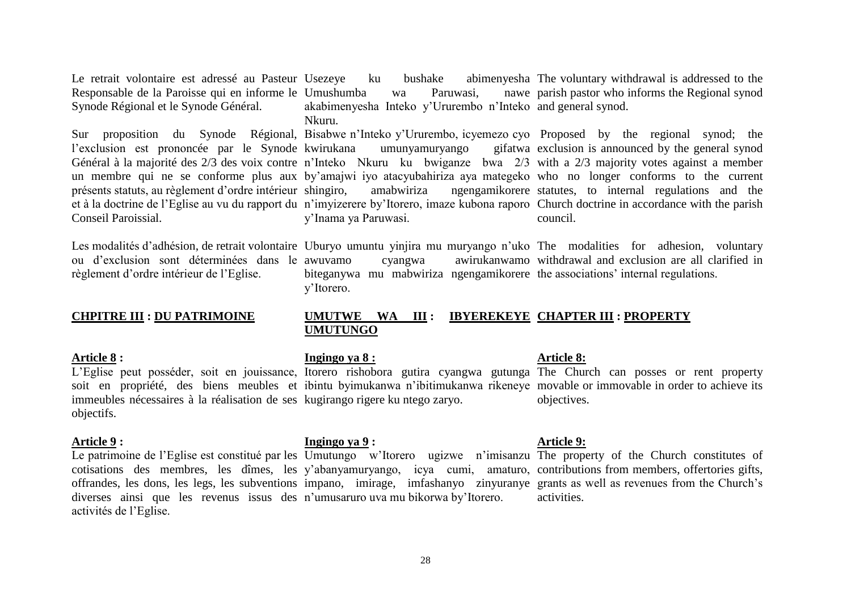Le retrait volontaire est adressé au Pasteur Usezeye Responsable de la Paroisse qui en informe le Umushumba wa Paruwasi, nawe Synode Régional et le Synode Général.

l'exclusion est prononcée par le Synode kwirukana présents statuts, au règlement d"ordre intérieur Conseil Paroissial.

Les modalités d'adhésion, de retrait volontaire Uburyo umuntu yinjira mu muryango n'uko The modalities for adhesion, voluntary ou d"exclusion sont déterminées dans le règlement d"ordre intérieur de l"Eglise.

### **CHPITRE III : DU PATRIMOINE**

#### **Article 8 :**

immeubles nécessaires à la réalisation de ses kugirango rigere ku ntego zaryo. objectifs.

#### **Article 9 :**

Le patrimoine de l'Eglise est constitué par les Umutungo w'Itorero ugizwe n'imisanzu The property of the Church constitutes of cotisations des membres, les dîmes, les y"abanyamuryango, icya cumi, amaturo, contributions from members, offertories gifts, offrandes, les dons, les legs, les subventions impano, imirage, imfashanyo zinyuranye grants as well as revenues from the Church"s diverses ainsi que les revenus issus des n"umusaruro uva mu bikorwa by"Itorero. activités de l"Eglise.

# **Ingingo ya 9 :**

y"Itorero.

**UMUTUNGO**

**Ingingo ya 8 :**

# **Article 8:**

awuvamo cyangwa awirukanwamo withdrawal and exclusion are all clarified in

biteganywa mu mabwiriza ngengamikorere the associations' internal regulations.

**UMUTWE WA III : IBYEREKEYE CHAPTER III : PROPERTY**

L'Eglise peut posséder, soit en jouissance, Itorero rishobora gutira cyangwa gutunga The Church can posses or rent property soit en propriété, des biens meubles et ibintu byimukanwa n'ibitimukanwa rikeneye movable or immovable in order to achieve its objectives.

### **Article 9:**

activities.

Usezeye ku bushake abimenyesha The voluntary withdrawal is addressed to the akabimenyesha Inteko y"Ururembo n"Inteko and general synod. Nkuru. parish pastor who informs the Regional synod

Sur proposition du Synode Régional, Bisabwe n"Inteko y"Ururembo, icyemezo cyo Proposed by the regional synod; the Général à la majorité des 2/3 des voix contre n'Inteko Nkuru ku bwiganze bwa 2/3 with a 2/3 majority votes against a member un membre qui ne se conforme plus aux by"amajwi iyo atacyubahiriza aya mategeko who no longer conforms to the current et à la doctrine de l"Eglise au vu du rapport du n"imyizerere by"Itorero, imaze kubona raporo Church doctrine in accordance with the parish umunyamuryango shingiro, amabwiriza ngengamikorere statutes, to internal regulations and the y"Inama ya Paruwasi. gifatwa exclusion is announced by the general synod council.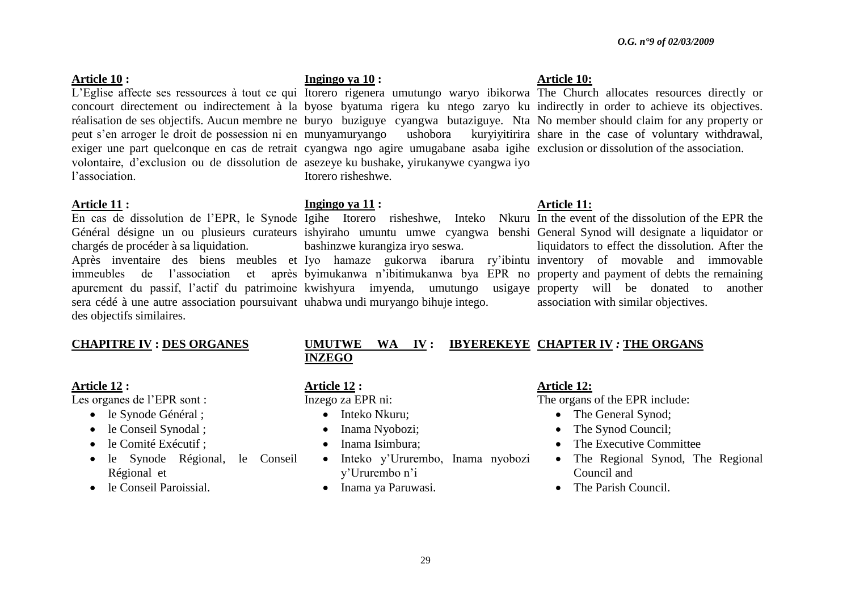### **Article 10 :**

peut s"en arroger le droit de possession ni en volontaire, d"exclusion ou de dissolution de asezeye ku bushake, yirukanywe cyangwa iyo l"association.

### **Article 11 :**

chargés de procéder à sa liquidation. sera cédé à une autre association poursuivant uhabwa undi muryango bihuje intego. des objectifs similaires.

### **CHAPITRE IV : DES ORGANES**

### **Article 12 :**

Les organes de l"EPR sont :

- le Synode Général ;
- le Conseil Synodal ;
- le Comité Exécutif ;
- le Synode Régional, le Conseil Régional et
- le Conseil Paroissial.

# **Ingingo ya 10 :**

exiger une part quelconque en cas de retrait cyangwa ngo agire umugabane asaba igihe exclusion or dissolution of the association. Itorero risheshwe.

# **Ingingo ya 11 :**

En cas de dissolution de l'EPR, le Synode Igihe Itorero risheshwe, Inteko Nkuru In the event of the dissolution of the EPR the Général désigne un ou plusieurs curateurs ishyiraho umuntu umwe cyangwa benshi General Synod will designate a liquidator or Après inventaire des biens meubles et Iyo hamaze gukorwa ibarura ry"ibintu inventory of movable and immovable immeubles de l"association et après byimukanwa n"ibitimukanwa bya EPR no property and payment of debts the remaining apurement du passif, l"actif du patrimoine kwishyura imyenda, umutungo usigaye property will be donated to another bashinzwe kurangiza iryo seswa.

# **Article 10:**

L'Eglise affecte ses ressources à tout ce qui Itorero rigenera umutungo waryo ibikorwa The Church allocates resources directly or concourt directement ou indirectement à la byose byatuma rigera ku ntego zaryo ku indirectly in order to achieve its objectives. réalisation de ses objectifs. Aucun membre ne buryo buziguye cyangwa butaziguye. Nta No member should claim for any property or munyamuryango ushobora kuryiyitirira share in the case of voluntary withdrawal,

# **Article 11:**

liquidators to effect the dissolution. After the association with similar objectives.

# **UMUTWE WA IV : IBYEREKEYE CHAPTER IV** *:* **THE ORGANS INZEGO**

### **Article 12 :**

Inzego za EPR ni:

- Inteko Nkuru:
- Inama Nyobozi;
- Inama Isimbura:
- Inteko y'Ururembo, Inama nyobozi y"Ururembo n"i
- Inama ya Paruwasi.

# **Article 12:**

The organs of the EPR include:

- The General Synod;
- The Synod Council;
- The Executive Committee
- The Regional Synod, The Regional Council and
- The Parish Council.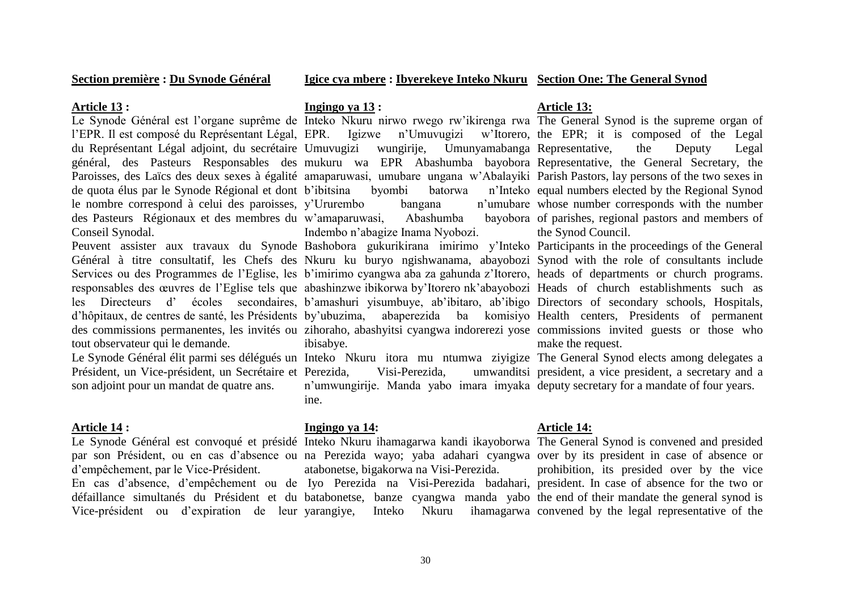**Section première : Du Synode Général**

### **Igice cya mbere : Ibyerekeye Inteko Nkuru Section One: The General Synod**

#### **Article 13 :**

de quota élus par le Synode Régional et dont le nombre correspond à celui des paroisses, y'Ururembo bangana n'umubare des Pasteurs Régionaux et des membres du w"amaparuwasi, Abashumba bayobora Conseil Synodal.

tout observateur qui le demande.

Président, un Vice-président, un Secrétaire et son adjoint pour un mandat de quatre ans.

### **Article 14 :**

d"empêchement, par le Vice-Président.

### **Ingingo ya 13 :**

byombi batorwa Indembo n"abagize Inama Nyobozi.

Peuvent assister aux travaux du Synode Bashobora gukurikirana imirimo y'Inteko Participants in the proceedings of the General Général à titre consultatif, les Chefs des Nkuru ku buryo ngishwanama, abayobozi Synod with the role of consultants include Services ou des Programmes de l'Eglise, les b'imirimo cyangwa aba za gahunda z'Itorero, heads of departments or church programs. responsables des œuvres de l"Eglise tels que abashinzwe ibikorwa by"Itorero nk"abayobozi Heads of church establishments such as les Directeurs d' écoles secondaires, b'amashuri yisumbuye, ab'ibitaro, ab'ibigo Directors of secondary schools, Hospitals, d'hôpitaux, de centres de santé, les Présidents by'ubuzima, abaperezida ba komisiyo Health centers, Presidents of permanent des commissions permanentes, les invités ou zihoraho, abashyitsi cyangwa indorerezi yose commissions invited guests or those who ibisabye.

Le Synode Général élit parmi ses délégués un Inteko Nkuru itora mu ntumwa ziyigize The General Synod elects among delegates a Visi-Perezida. n'umwungirije. Manda yabo imara imyaka deputy secretary for a mandate of four years. ine.

#### **Ingingo ya 14:**

# Le Synode Général est convoqué et présidé Inteko Nkuru ihamagarwa kandi ikayoborwa The General Synod is convened and presided par son Président, ou en cas d"absence ou na Perezida wayo; yaba adahari cyangwa over by its president in case of absence or En cas d"absence, d"empêchement ou de Iyo Perezida na Visi-Perezida badahari, president. In case of absence for the two or défaillance simultanés du Président et du batabonetse, banze cyangwa manda yabo the end of their mandate the general synod is atabonetse, bigakorwa na Visi-Perezida.

### **Article 13:**

Le Synode Général est l'organe suprême de Inteko Nkuru nirwo rwego rw'ikirenga rwa The General Synod is the supreme organ of l'EPR. Il est composé du Représentant Légal, EPR. Igizwe n'Umuvugizi w'Itorero, the EPR; it is composed of the Legal du Représentant Légal adjoint, du secrétaire Umuvugizi wungirije, Umunyamabanga Representative, the Deputy Legal général, des Pasteurs Responsables des mukuru wa EPR Abashumba bayobora Representative, the General Secretary, the Paroisses, des Laïcs des deux sexes à égalité amaparuwasi, umubare ungana w'Abalayiki Parish Pastors, lay persons of the two sexes in n'Inteko equal numbers elected by the Regional Synod n'umubare whose number corresponds with the number bayobora of parishes, regional pastors and members of the Synod Council.

make the request.

president, a vice president, a secretary and a

## **Article 14:**

Vice-président ou d"expiration de leur yarangiye, Inteko Nkuru ihamagarwa convened by the legal representative of the prohibition, its presided over by the vice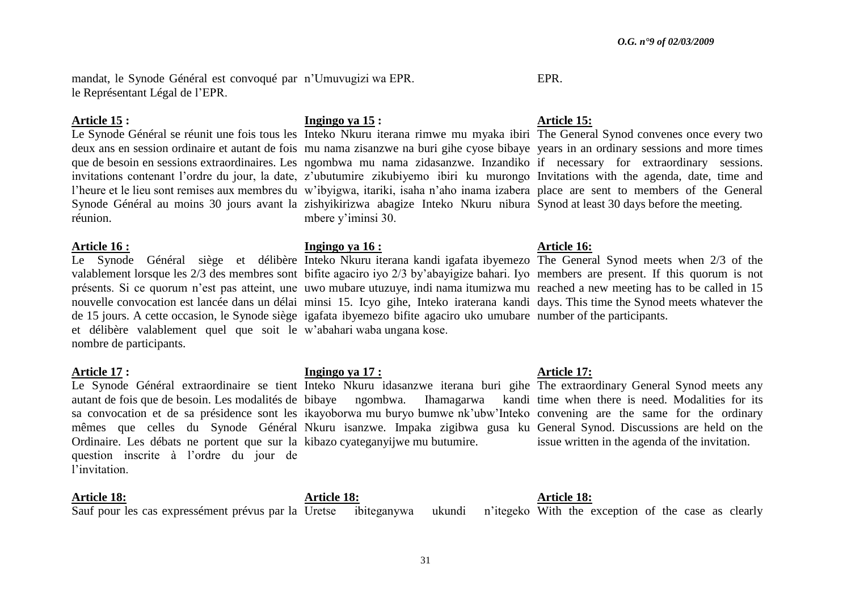mandat, le Synode Général est convoqué par n"Umuvugizi wa EPR. le Représentant Légal de l"EPR.

#### **Article 15 :**

réunion.

### **Article 16 :**

et délibère valablement quel que soit le w"abahari waba ungana kose. nombre de participants.

### **Article 17 :**

Ordinaire. Les débats ne portent que sur la kibazo cyateganyijwe mu butumire. question inscrite à l"ordre du jour de l"invitation.

### **Article 18:**

# **Ingingo ya 15 :**

deux ans en session ordinaire et autant de fois mu nama zisanzwe na buri gihe cyose bibaye years in an ordinary sessions and more times que de besoin en sessions extraordinaires. Les ngombwa mu nama zidasanzwe. Inzandiko if necessary for extraordinary sessions. invitations contenant l'ordre du jour, la date, z'ubutumire zikubiyemo ibiri ku murongo Invitations with the agenda, date, time and l'heure et le lieu sont remises aux membres du w'ibyigwa, itariki, isaha n'aho inama izabera place are sent to members of the General Synode Général au moins 30 jours avant la zishyikirizwa abagize Inteko Nkuru nibura Synod at least 30 days before the meeting. mbere y'iminsi 30.

# **Ingingo ya 16 :**

Le Synode Général siège et délibère Inteko Nkuru iterana kandi igafata ibyemezo The General Synod meets when 2/3 of the valablement lorsque les 2/3 des membres sont bifite agaciro iyo 2/3 by"abayigize bahari. Iyo members are present. If this quorum is not présents. Si ce quorum n'est pas atteint, une uwo mubare utuzuye, indi nama itumizwa mu reached a new meeting has to be called in 15 nouvelle convocation est lancée dans un délai minsi 15. Icyo gihe, Inteko iraterana kandi days. This time the Synod meets whatever the de 15 jours. A cette occasion, le Synode siège igafata ibyemezo bifite agaciro uko umubare number of the participants.

# **Ingingo ya 17 :**

Le Synode Général extraordinaire se tient Inteko Nkuru idasanzwe iterana buri gihe The extraordinary General Synod meets any autant de fois que de besoin. Les modalités de bibaye ngombwa. Ihamagarwa kandi time when there is need. Modalities for its sa convocation et de sa présidence sont les ikayoborwa mu buryo bumwe nk'ubw'Inteko convening are the same for the ordinary mêmes que celles du Synode Général Nkuru isanzwe. Impaka zigibwa gusa ku General Synod. Discussions are held on the

# **Article 15:**

EPR.

Le Synode Général se réunit une fois tous les Inteko Nkuru iterana rimwe mu myaka ibiri The General Synod convenes once every two

# **Article 16:**

# **Article 17:**

issue written in the agenda of the invitation.

Sauf pour les cas expressément prévus par la Uretse ibiteganywa ukundi n'itegeko

**Article 18:**

**Article 18:**

ukundi n'itegeko With the exception of the case as clearly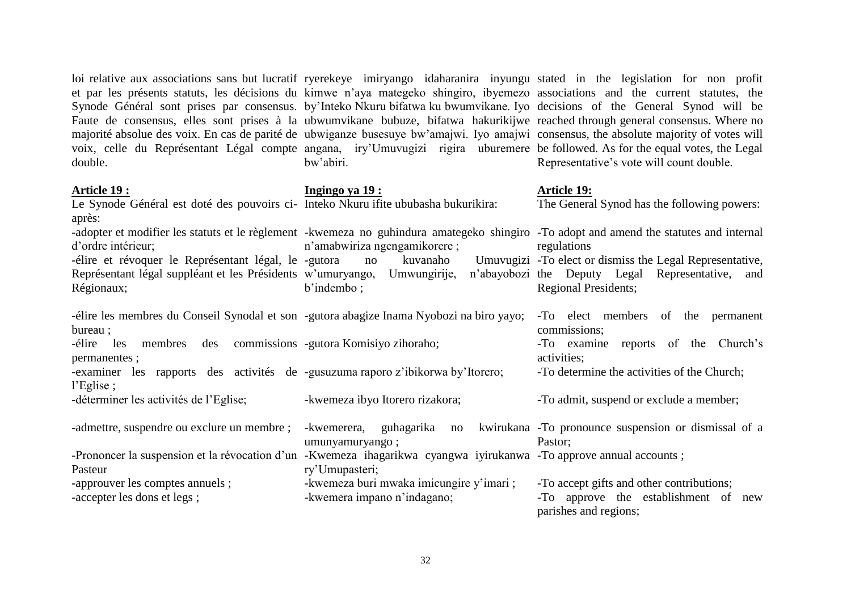et par les présents statuts, les décisions du kimwe n"aya mategeko shingiro, ibyemezo associations and the current statutes, the Synode Général sont prises par consensus. by"Inteko Nkuru bifatwa ku bwumvikane. Iyo decisions of the General Synod will be Faute de consensus, elles sont prises à la ubwumvikane bubuze, bifatwa hakurikijwe reached through general consensus. Where no majorité absolue des voix. En cas de parité de ubwiganze busesuye bw"amajwi. Iyo amajwi consensus, the absolute majority of votes will voix, celle du Représentant Légal compte angana, iry"Umuvugizi rigira uburemere be followed. As for the equal votes, the Legal double. **Article 19 :** Le Synode Général est doté des pouvoirs ci-Inteko Nkuru ifite ububasha bukurikira: après: -adopter et modifier les statuts et le règlement -kwemeza no guhindura amategeko shingiro -To adopt and amend the statutes and internal d"ordre intérieur; -élire et révoquer le Représentant légal, le Représentant légal suppléant et les Présidents w"umuryango, Umwungirije, n"abayobozi Régionaux; -élire les membres du Conseil Synodal et son -gutora abagize Inama Nyobozi na biro yayo; -To elect members of the permanent bureau ; -élire les membres des commissions -gutora Komisiyo zihoraho; permanentes ; -examiner les rapports des activités de -gusuzuma raporo z"ibikorwa by"Itorero; l"Eglise ; -déterminer les activités de l"Eglise; -admettre, suspendre ou exclure un membre ; -Prononcer la suspension et la révocation d'un -Kwemeza ihagarikwa cyangwa iyirukanwa -To approve annual accounts; Pasteur bw"abiri. **Ingingo ya 19 :** n"amabwiriza ngengamikorere ; -gutora no kuvanaho Umuvugizi - To elect or dismiss the Legal Representative, b'indembo : -kwemeza ibyo Itorero rizakora; -kwemerera, guhagarika no umunyamuryango ; Representative"s vote will count double. **Article 19:** The General Synod has the following powers: regulations n'abayobozi the Deputy Legal Representative, and Regional Presidents; commissions; -To examine reports of the Church"s activities; -To determine the activities of the Church; -To admit, suspend or exclude a member; kwirukana -To pronounce suspension or dismissal of a Pastor;

loi relative aux associations sans but lucratif ryerekeye imiryango idaharanira inyungu stated in the legislation for non profit

-approuver les comptes annuels ; -accepter les dons et legs ; ry"Umupasteri; -kwemeza buri mwaka imicungire y"imari ; -kwemera impano n"indagano; -To accept gifts and other contributions; -To approve the establishment of new parishes and regions;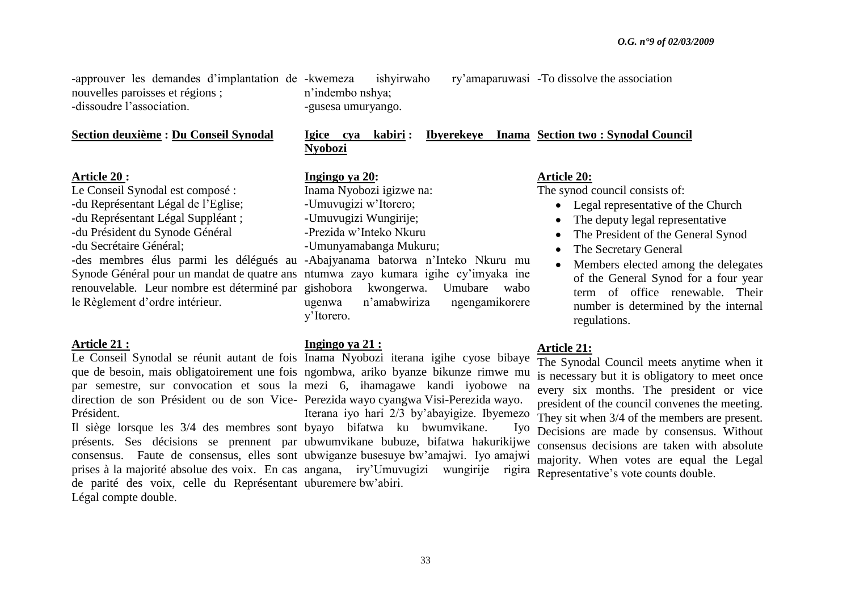-approuver les demandes d'implantation de -kwemeza nouvelles paroisses et régions ; -dissoudre l"association.

#### **Section deuxième : Du Conseil Synodal**

#### **Article 20 :**

Le Conseil Synodal est composé : -du Représentant Légal de l"Eglise; -du Représentant Légal Suppléant ;

-du Président du Synode Général

-du Secrétaire Général;

le Règlement d"ordre intérieur.

### **Article 21 :**

Président.

de parité des voix, celle du Représentant uburemere bw"abiri. Légal compte double.

-kwemeza ishyirwaho ry"amaparuwasi -To dissolve the association n"indembo nshya; -gusesa umuryango.

# **Igice cya kabiri : Ibyerekeye Inama Section two : Synodal Council Nyobozi**

#### **Ingingo ya 20:**

Inama Nyobozi igizwe na: -Umuvugizi w"Itorero;

- -Umuvugizi Wungirije;
- -Prezida w"Inteko Nkuru
- -Umunyamabanga Mukuru;

-des membres élus parmi les délégués au -Abajyanama batorwa n"Inteko Nkuru mu Synode Général pour un mandat de quatre ans ntumwa zayo kumara igihe cy'imyaka ine renouvelable. Leur nombre est déterminé par gishobora kwongerwa. Umubare wabo ugenwa n"amabwiriza ngengamikorere y"Itorero.

#### **Ingingo ya 21 :**

Le Conseil Synodal se réunit autant de fois Inama Nyobozi iterana igihe cyose bibaye que de besoin, mais obligatoirement une fois ngombwa, ariko byanze bikunze rimwe mu par semestre, sur convocation et sous la mezi 6, ihamagawe kandi iyobowe na direction de son Président ou de son Vice-Perezida wayo cyangwa Visi-Perezida wayo. Il siège lorsque les 3/4 des membres sont byayo bifatwa ku bwumvikane. Iyo présents. Ses décisions se prennent par ubwumvikane bubuze, bifatwa hakurikijwe consensus. Faute de consensus, elles sont ubwiganze busesuye bw"amajwi. Iyo amajwi prises à la majorité absolue des voix. En cas angana, iry"Umuvugizi wungirije rigira Iterana iyo hari 2/3 by"abayigize. Ibyemezo

### **Article 20:**

The synod council consists of:

- Legal representative of the Church
- The deputy legal representative
- The President of the General Synod
- The Secretary General
- Members elected among the delegates of the General Synod for a four year term of office renewable. Their number is determined by the internal regulations.

### **Article 21:**

The Synodal Council meets anytime when it is necessary but it is obligatory to meet once every six months. The president or vice president of the council convenes the meeting. They sit when 3/4 of the members are present. Decisions are made by consensus. Without consensus decisions are taken with absolute majority. When votes are equal the Legal Representative"s vote counts double.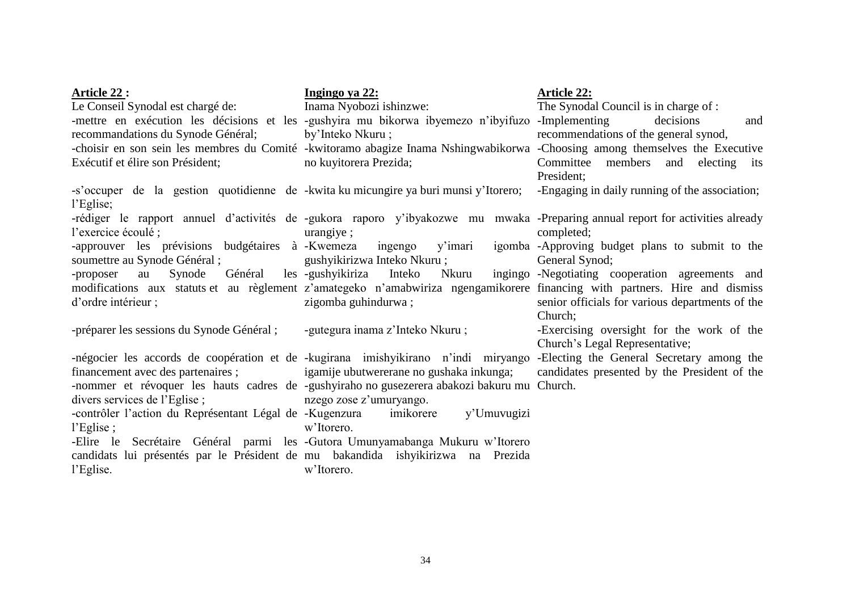| Article 22 :                                                                         | Ingingo ya 22:                                                                                                                | <b>Article 22:</b>                                              |
|--------------------------------------------------------------------------------------|-------------------------------------------------------------------------------------------------------------------------------|-----------------------------------------------------------------|
| Le Conseil Synodal est chargé de:                                                    | Inama Nyobozi ishinzwe:                                                                                                       | The Synodal Council is in charge of :                           |
|                                                                                      | -mettre en exécution les décisions et les -gushyira mu bikorwa ibyemezo n'ibyifuzo -Implementing                              | decisions<br>and                                                |
| recommandations du Synode Général;                                                   | by'Inteko Nkuru;                                                                                                              | recommendations of the general synod,                           |
|                                                                                      | -choisir en son sein les membres du Comité -kwitoramo abagize Inama Nshingwabikorwa -Choosing among themselves the Executive  |                                                                 |
| Exécutif et élire son Président;                                                     | no kuyitorera Prezida;                                                                                                        | Committee members and electing its                              |
|                                                                                      |                                                                                                                               | President:                                                      |
| -s'occuper de la gestion quotidienne de -kwita ku micungire ya buri munsi y'Itorero; |                                                                                                                               | -Engaging in daily running of the association;                  |
| l'Eglise;                                                                            |                                                                                                                               |                                                                 |
|                                                                                      | -rédiger le rapport annuel d'activités de -gukora raporo y'ibyakozwe mu mwaka -Preparing annual report for activities already |                                                                 |
| l'exercice écoulé :                                                                  | urangiye;                                                                                                                     | completed;                                                      |
| -approuver les prévisions budgétaires à Kwemeza                                      |                                                                                                                               | ingengo y'imari igomba -Approving budget plans to submit to the |
| soumettre au Synode Général; gushyikirizwa Inteko Nkuru;                             |                                                                                                                               | General Synod;                                                  |
| Général<br>Synode<br>-proposer<br>au                                                 | les -gushyikiriza<br>Nkuru<br>Inteko                                                                                          | ingingo -Negotiating cooperation agreements and                 |
|                                                                                      | modifications aux statuts et au règlement z'amategeko n'amabwiriza ngengamikorere financing with partners. Hire and dismiss   |                                                                 |
| d'ordre intérieur ;                                                                  | zigomba guhindurwa;                                                                                                           | senior officials for various departments of the                 |
|                                                                                      |                                                                                                                               | Church:                                                         |
| -préparer les sessions du Synode Général;                                            | -gutegura inama z'Inteko Nkuru;                                                                                               | -Exercising oversight for the work of the                       |
|                                                                                      |                                                                                                                               | Church's Legal Representative;                                  |
|                                                                                      | -négocier les accords de coopération et de -kugirana imishyikirano n'indi miryango -Electing the General Secretary among the  |                                                                 |
| financement avec des partenaires ; igamije ubutwererane no gushaka inkunga;          |                                                                                                                               | candidates presented by the President of the                    |
|                                                                                      | -nommer et révoquer les hauts cadres de -gushyiraho no gusezerera abakozi bakuru mu Church.                                   |                                                                 |
| divers services de l'Eglise;                                                         | nzego zose z'umuryango.                                                                                                       |                                                                 |
| -contrôler l'action du Représentant Légal de -Kugenzura                              | imikorere<br>y'Umuvugizi                                                                                                      |                                                                 |
| l'Eglise;                                                                            | w'Itorero.                                                                                                                    |                                                                 |
|                                                                                      | -Elire le Secrétaire Général parmi les -Gutora Umunyamabanga Mukuru w'Itorero                                                 |                                                                 |
| candidats lui présentés par le Président de mu bakandida ishyikirizwa na Prezida     |                                                                                                                               |                                                                 |
| l'Eglise.                                                                            | w'Itorero.                                                                                                                    |                                                                 |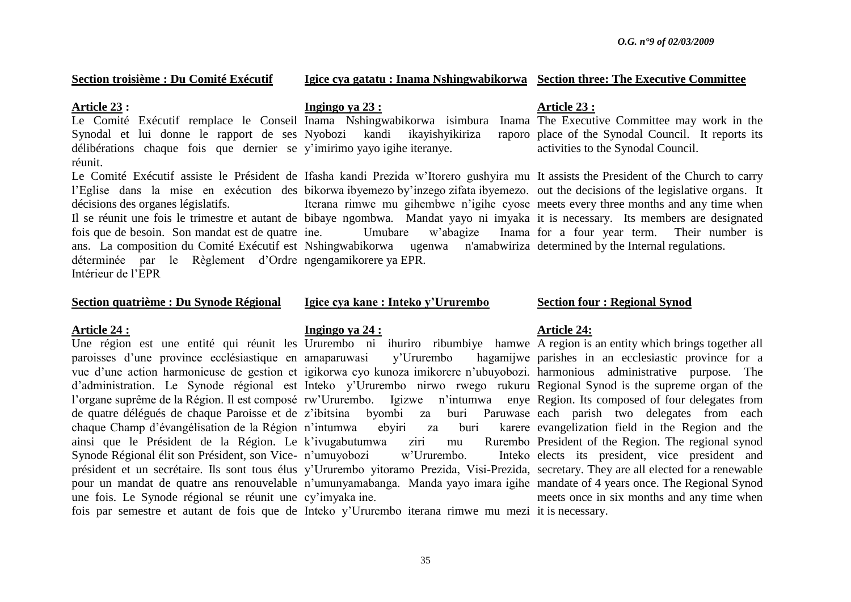#### **Section troisième : Du Comité Exécutif**

#### **Igice cya gatatu : Inama Nshingwabikorwa Section three: The Executive Committee**

#### **Article 23 :**

délibérations chaque fois que dernier se y"imirimo yayo igihe iteranye. réunit.

décisions des organes législatifs.

fois que de besoin. Son mandat est de quatre déterminée par le Règlement d"Ordre ngengamikorere ya EPR. Intérieur de l"EPR

#### **Section quatrième : Du Synode Régional**

### **Article 24 :**

une fois. Le Synode régional se réunit une cy"imyaka ine.

#### **Ingingo ya 23 :**

Le Comité Exécutif remplace le Conseil Inama Nshingwabikorwa isimbura Inama The Executive Committee may work in the Synodal et lui donne le rapport de ses Nyobozi kandi ikayishyikiriza raporo

ans. La composition du Comité Exécutif est Nshingwabikorwa ugenwa n'amabwiriza determined by the Internal regulations.

#### **Igice cya kane : Inteko y"Ururembo**

### **Ingingo ya 24 :**

Une région est une entité qui réunit les Ururembo ni ihuriro ribumbiye hamwe A region is an entity which brings together all paroisses d"une province ecclésiastique en amaparuwasi y"Ururembo hagamijwe vue d'une action harmonieuse de gestion et igikorwa cyo kunoza imikorere n'ubuyobozi. harmonious administrative purpose. The d'administration. Le Synode régional est Inteko y'Ururembo nirwo rwego rukuru Regional Synod is the supreme organ of the l'organe suprême de la Région. Il est composé rw'Ururembo. Igizwe n'intumwa enye Region. Its composed of four delegates from de quatre délégués de chaque Paroisse et de z"ibitsina byombi za buri Paruwase each parish two delegates from each chaque Champ d"évangélisation de la Région n"intumwa ebyiri za buri karere ainsi que le Président de la Région. Le k"ivugabutumwa ziri mu Rurembo Synode Régional élit son Président, son Vice-n"umuyobozi w"Ururembo. Inteko président et un secrétaire. Ils sont tous élus y"Ururembo yitoramo Prezida, Visi-Prezida, secretary. They are all elected for a renewable pour un mandat de quatre ans renouvelable n'umunyamabanga. Manda yayo imara igihe mandate of 4 years once. The Regional Synod

### **Article 23 :**

raporo place of the Synodal Council. It reports its activities to the Synodal Council.

Le Comité Exécutif assiste le Président de Ifasha kandi Prezida w"Itorero gushyira mu It assists the President of the Church to carry l'Eglise dans la mise en exécution des bikorwa ibyemezo by'inzego zifata ibyemezo, out the decisions of the legislative organs. It Il se réunit une fois le trimestre et autant de bibaye ngombwa. Mandat yayo ni imyaka it is necessary. Its members are designated Iterana rimwe mu gihembwe n"igihe cyose meets every three months and any time when ine. Umubare w"abagize Inama for a four year term. Their number is

#### **Section four : Regional Synod**

#### **Article 24:**

hagamijwe parishes in an ecclesiastic province for a karere evangelization field in the Region and the Rurembo President of the Region. The regional synod Inteko elects its president, vice president and meets once in six months and any time when

fois par semestre et autant de fois que de Inteko y"Ururembo iterana rimwe mu mezi it is necessary.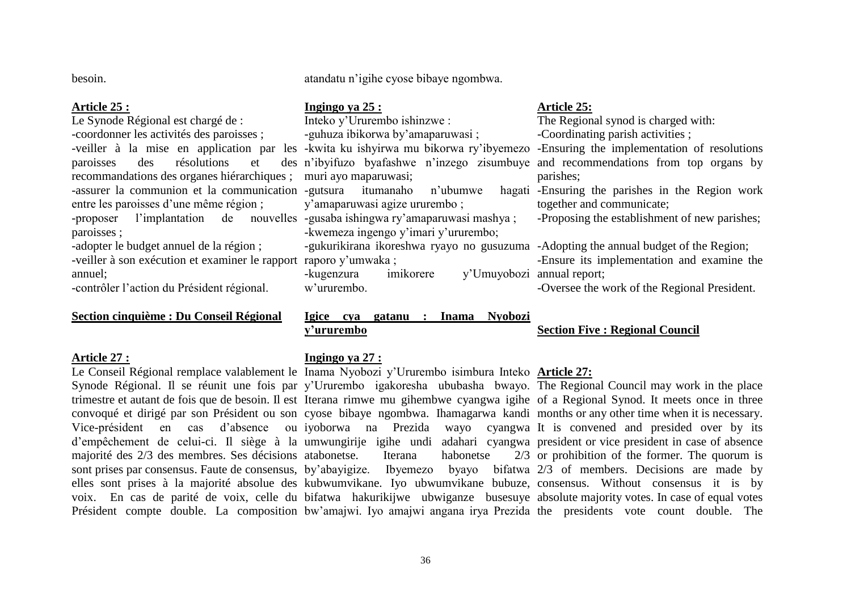besoin.

#### **Article 25 :**

Le Synode Régional est chargé de : -coordonner les activités des paroisses ; paroisses des résolutions et recommandations des organes hiérarchiques ; -assurer la communion et la communication -gutsura itumanaho n'ubumwe hagati entre les paroisses d'une même région : -proposer l'implantation de nouvelles -gusaba ishingwa ry'amaparuwasi mashya ; paroisses ;

-adopter le budget annuel de la région ;

-veiller à son exécution et examiner le rapport raporo y'umwaka ; annuel;

-contrôler l"action du Président régional.

## **Section cinquième : Du Conseil Régional**

#### **Article 27 :**

atandatu n"igihe cyose bibaye ngombwa.

### **Ingingo ya 25 :**

Inteko y"Ururembo ishinzwe : -guhuza ibikorwa by"amaparuwasi ; muri ayo maparuwasi; y"amaparuwasi agize ururembo ; -kwemeza ingengo y'imari y'ururembo; -gukurikirana ikoreshwa ryayo no gusuzuma -Adopting the annual budget of the Region; -kugenzura imikorere y"Umuyobozi annual report;

# w"ururembo.

## **Igice cya gatanu : Inama Nyobozi y"ururembo**

### **Ingingo ya 27 :**

Le Conseil Régional remplace valablement le Inama Nyobozi y"Ururembo isimbura Inteko **Article 27:**

Synode Régional. Il se réunit une fois par y'Ururembo igakoresha ububasha bwayo. The Regional Council may work in the place trimestre et autant de fois que de besoin. Il est Iterana rimwe mu gihembwe cyangwa igihe of a Regional Synod. It meets once in three convoqué et dirigé par son Président ou son cyose bibaye ngombwa. Ihamagarwa kandi months or any other time when it is necessary. Vice-président en cas d"absence ou iyoborwa na Prezida wayo cyangwa It is convened and presided over by its d"empêchement de celui-ci. Il siège à la umwungirije igihe undi adahari cyangwa president or vice president in case of absence majorité des 2/3 des membres. Ses décisions atabonetse. Iterana habonetse 2/3 sont prises par consensus. Faute de consensus, by"abayigize. Ibyemezo byayo bifatwa 2/3 of members. Decisions are made by elles sont prises à la majorité absolue des kubwumvikane. Iyo ubwumvikane bubuze, consensus. Without consensus it is by voix. En cas de parité de voix, celle du bifatwa hakurikijwe ubwiganze busesuye absolute majority votes. In case of equal votes Président compte double. La composition bw'amajwi. Iyo amajwi angana irya Prezida the presidents vote count double. The  $2/3$  or prohibition of the former. The quorum is

# **Article 25:**

-veiller à la mise en application par les -kwita ku ishyirwa mu bikorwa ry'ibyemezo -Ensuring the implementation of resolutions n"ibyifuzo byafashwe n"inzego zisumbuye and recommendations from top organs by The Regional synod is charged with: -Coordinating parish activities ; parishes; hagati -Ensuring the parishes in the Region work together and communicate;

-Proposing the establishment of new parishes;

-Ensure its implementation and examine the

-Oversee the work of the Regional President.

# **Section Five : Regional Council**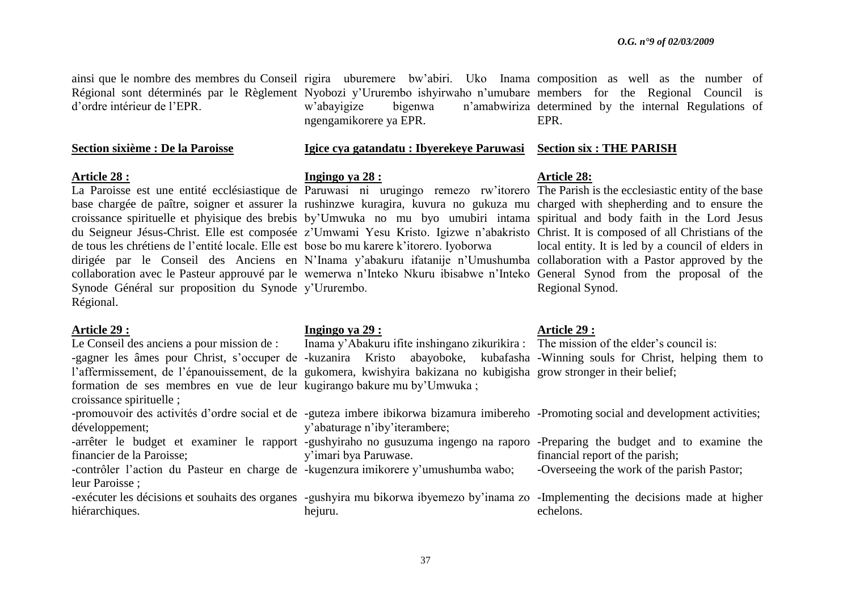ainsi que le nombre des membres du Conseil rigira uburemere bw'abiri. Uko Inama composition as well as the number of Régional sont déterminés par le Règlement Nyobozi y"Ururembo ishyirwaho n"umubare members for the Regional Council is d"ordre intérieur de l"EPR. w"abayigize bigenwa n"amabwiriza determined by the internal Regulations of ngengamikorere ya EPR. EPR.

### **Section sixième : De la Paroisse**

### **Article 28 :**

La Paroisse est une entité ecclésiastique de Paruwasi ni urugingo remezo rw'itorero The Parish is the ecclesiastic entity of the base base chargée de paître, soigner et assurer la rushinzwe kuragira, kuvura no gukuza mu charged with shepherding and to ensure the croissance spirituelle et phyisique des brebis by"Umwuka no mu byo umubiri intama spiritual and body faith in the Lord Jesus du Seigneur Jésus-Christ. Elle est composée z"Umwami Yesu Kristo. Igizwe n"abakristo Christ. It is composed of all Christians of the de tous les chrétiens de l"entité locale. Elle est bose bo mu karere k"itorero. Iyoborwa dirigée par le Conseil des Anciens en N"Inama y"abakuru ifatanije n"Umushumba collaboration with a Pastor approved by the collaboration avec le Pasteur approuvé par le wemerwa n"Inteko Nkuru ibisabwe n"Inteko General Synod from the proposal of the Synode Général sur proposition du Synode y'Ururembo. Régional.

### **Article 29 :**

Le Conseil des anciens a pour mission de : l'affermissement, de l'épanouissement, de la gukomera, kwishyira bakizana no kubigisha grow stronger in their belief; formation de ses membres en vue de leur kugirango bakure mu by"Umwuka ; croissance spirituelle ; -promouvoir des activités d'ordre social et de -guteza imbere ibikorwa bizamura imibereho -Promoting social and development activities; développement; -arrêter le budget et examiner le rapport -gushyiraho no gusuzuma ingengo na raporo -Preparing the budget and to examine the financier de la Paroisse; -contrôler l'action du Pasteur en charge de -kugenzura imikorere y'umushumba wabo; y"abaturage n"iby"iterambere; y"imari bya Paruwase.

# leur Paroisse ;

-exécuter les décisions et souhaits des organes -gushyira mu bikorwa ibyemezo by"inama zo -Implementing the decisions made at higher hiérarchiques. hejuru. echelons.

# **Ingingo ya 28 :**

**Igice cya gatandatu : Ibyerekeye Paruwasi Section six : THE PARISH**

### **Ingingo ya 29 :**

### **Article 29 :**

-gagner les âmes pour Christ, s'occuper de -kuzanira Kristo abayoboke, kubafasha -Winning souls for Christ, helping them to Inama y'Abakuru ifite inshingano zikurikira : The mission of the elder's council is:

-Overseeing the work of the parish Pastor;

financial report of the parish;

# **Article 28:**

local entity. It is led by a council of elders in Regional Synod.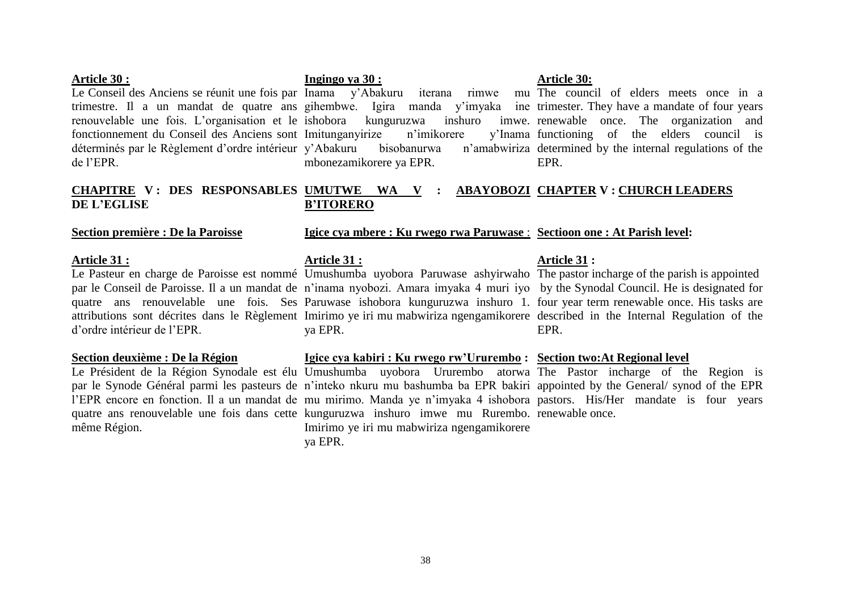### **Article 30 :**

Le Conseil des Anciens se réunit une fois par Inama y'Abakuru iterana rimwe mu The council of elders meets once in a trimestre. Il a un mandat de quatre ans gihembwe. Igira manda y"imyaka ine trimester. They have a mandate of four years renouvelable une fois. L"organisation et le ishobora kunguruzwa inshuro imwe. renewable once. The organization and fonctionnement du Conseil des Anciens sont Imitunganyirize n"imikorere y"Inama déterminés par le Règlement d'ordre intérieur y'Abakuru bisobanurwa n'amabwiriza de l"EPR.

#### **CHAPITRE V : DES RESPONSABLES UMUTWE WA V : ABAYOBOZI CHAPTER V : CHURCH LEADERS DE L"EGLISE B"ITORERO**

### **Section première : De la Paroisse**

### **Article 31 :**

Le Pasteur en charge de Paroisse est nommé Umushumba uyobora Paruwase ashyirwaho The pastor incharge of the parish is appointed d"ordre intérieur de l"EPR.

### **Section deuxième : De la Région**

même Région.

# **Igice cya mbere : Ku rwego rwa Paruwase** : **Sectioon one : At Parish level:**

### **Article 31 :**

**Ingingo ya 30 :**

par le Conseil de Paroisse. Il a un mandat de n"inama nyobozi. Amara imyaka 4 muri iyo by the Synodal Council. He is designated for quatre ans renouvelable une fois. Ses Paruwase ishobora kunguruzwa inshuro 1. four year term renewable once. His tasks are attributions sont décrites dans le Règlement Imirimo ye iri mu mabwiriza ngengamikorere described in the Internal Regulation of the ya EPR.

### **Igice cya kabiri : Ku rwego rw"Ururembo : Section two:At Regional level**

Le Président de la Région Synodale est élu Umushumba uyobora Ururembo atorwa The Pastor incharge of the Region is par le Synode Général parmi les pasteurs de n"inteko nkuru mu bashumba ba EPR bakiri appointed by the General/ synod of the EPR l'EPR encore en fonction. Il a un mandat de mu mirimo. Manda ye n'imyaka 4 ishobora pastors. His/Her mandate is four years quatre ans renouvelable une fois dans cette kunguruzwa inshuro imwe mu Rurembo. renewable once.Imirimo ye iri mu mabwiriza ngengamikorere ya EPR.

# **Article 31 :**

EPR.

mbonezamikorere ya EPR.

# **Article 30:**

v'Inama functioning of the elders council is n'amabwiriza determined by the internal regulations of the EPR.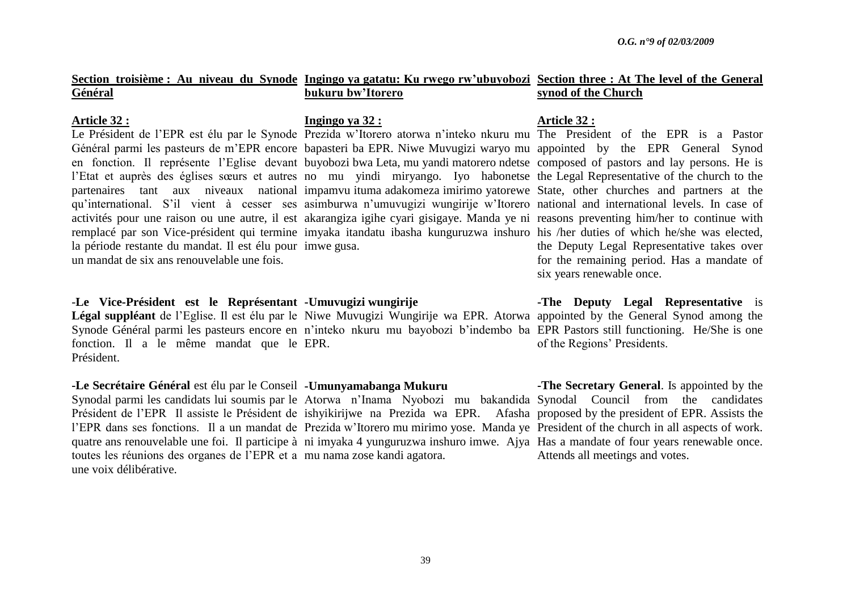|         |  |  |  |                   | Section troisième : Au niveau du Synode Ingingo ya gatatu: Ku rwego rw'ubuyobozi Section three : At The level of the General |                     |  |  |
|---------|--|--|--|-------------------|------------------------------------------------------------------------------------------------------------------------------|---------------------|--|--|
| Général |  |  |  | bukuru bw'Itorero |                                                                                                                              | synod of the Church |  |  |

### **Article 32 :**

la période restante du mandat. Il est élu pour imwe gusa. un mandat de six ans renouvelable une fois.

### -**Le Vice-Président est le Représentant -Umuvugizi wungirije**

Légal suppléant de l'Eglise. Il est élu par le Niwe Muvugizi Wungirije wa EPR. Atorwa appointed by the General Synod among the Synode Général parmi les pasteurs encore en n'inteko nkuru mu bayobozi b'indembo ba EPR Pastors still functioning. He/She is one fonction. Il a le même mandat que le EPR. Président.

### **-Le Secrétaire Général** est élu par le Conseil **-Umunyamabanga Mukuru**

Synodal parmi les candidats lui soumis par le Atorwa n"Inama Nyobozi mu bakandida Synodal Council from the candidates Président de l'EPR Il assiste le Président de ishyikirijwe na Prezida wa EPR. Afasha proposed by the president of EPR. Assists the l'EPR dans ses fonctions. Il a un mandat de Prezida w'Itorero mu mirimo yose. Manda ye President of the church in all aspects of work. quatre ans renouvelable une foi. Il participe à ni imyaka 4 yunguruzwa inshuro imwe. Ajya Has a mandate of four years renewable once. toutes les réunions des organes de l"EPR et a mu nama zose kandi agatora. une voix délibérative.

### **Ingingo ya 32 :**

Général parmi les pasteurs de m"EPR encore bapasteri ba EPR. Niwe Muvugizi waryo mu appointed by the EPR General Synod en fonction. Il représente l"Eglise devant buyobozi bwa Leta, mu yandi matorero ndetse composed of pastors and lay persons. He is l'Etat et auprès des églises sœurs et autres no mu yindi miryango. Iyo habonetse the Legal Representative of the church to the partenaires tant aux niveaux national impamvu ituma adakomeza imirimo yatorewe State, other churches and partners at the qu"international. S"il vient à cesser ses asimburwa n"umuvugizi wungirije w"Itorero national and international levels. In case of activités pour une raison ou une autre, il est akarangiza igihe cyari gisigaye. Manda ye ni reasons preventing him/her to continue with remplacé par son Vice-président qui termine imyaka itandatu ibasha kunguruzwa inshuro his /her duties of which he/she was elected,

### **Article 32 :**

Le Président de l'EPR est élu par le Synode Prezida w'Itorero atorwa n'inteko nkuru mu The President of the EPR is a Pastor the Deputy Legal Representative takes over for the remaining period. Has a mandate of six years renewable once.

> **-The Deputy Legal Representative** is of the Regions" Presidents.

> **-The Secretary General**. Is appointed by the Attends all meetings and votes.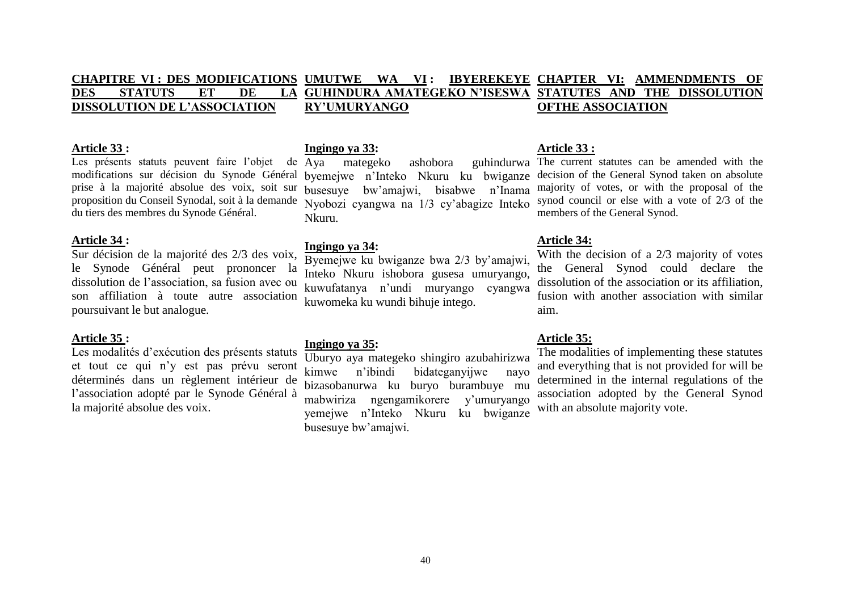#### **CHAPITRE VI : DES MODIFICATIONS UMUTWE WA VI : IBYEREKEYE DES STATUTS ET DE LA DISSOLUTION DE L"ASSOCIATION GUHINDURA AMATEGEKO N"ISESWA STATUTES AND THE DISSOLUTION RY"UMURYANGO IBYEREKEYE CHAPTER VI: AMMENDMENTS OF OFTHE ASSOCIATION**

### **Article 33 :**

Les présents statuts peuvent faire l'objet de Ava modifications sur décision du Synode Général prise à la majorité absolue des voix, soit sur proposition du Conseil Synodal, soit à la demande du tiers des membres du Synode Général.

### **Article 34 :**

Sur décision de la majorité des 2/3 des voix, le Synode Général peut prononcer la dissolution de l"association, sa fusion avec ou son affiliation à toute autre association poursuivant le but analogue.

### **Article 35 :**

Les modalités d'exécution des présents statuts et tout ce qui n"y est pas prévu seront déterminés dans un règlement intérieur de l"association adopté par le Synode Général à la majorité absolue des voix.

### **Ingingo ya 33:**

busesuye bw"amajwi, bisabwe n"Inama Nyobozi cyangwa na 1/3 cy"abagize Inteko Nkuru.

### **Ingingo ya 34:**

Byemejwe ku bwiganze bwa 2/3 by"amajwi, Inteko Nkuru ishobora gusesa umuryango, kuwufatanya n"undi muryango cyangwa kuwomeka ku wundi bihuje intego.

### **Ingingo ya 35:**

Uburyo aya mategeko shingiro azubahirizwa kimwe n"ibindi bidateganyijwe nayo bizasobanurwa ku buryo burambuye mu mabwiriza ngengamikorere y"umuryango yemejwe n"Inteko Nkuru ku bwiganze busesuye bw"amajwi.

### **Article 33 :**

Aya mategeko ashobora guhindurwa The current statutes can be amended with the byemejwe n"Inteko Nkuru ku bwiganze decision of the General Synod taken on absolute majority of votes, or with the proposal of the synod council or else with a vote of 2/3 of the members of the General Synod.

### **Article 34:**

With the decision of a 2/3 majority of votes the General Synod could declare the dissolution of the association or its affiliation, fusion with another association with similar aim.

### **Article 35:**

The modalities of implementing these statutes and everything that is not provided for will be determined in the internal regulations of the association adopted by the General Synod with an absolute majority vote.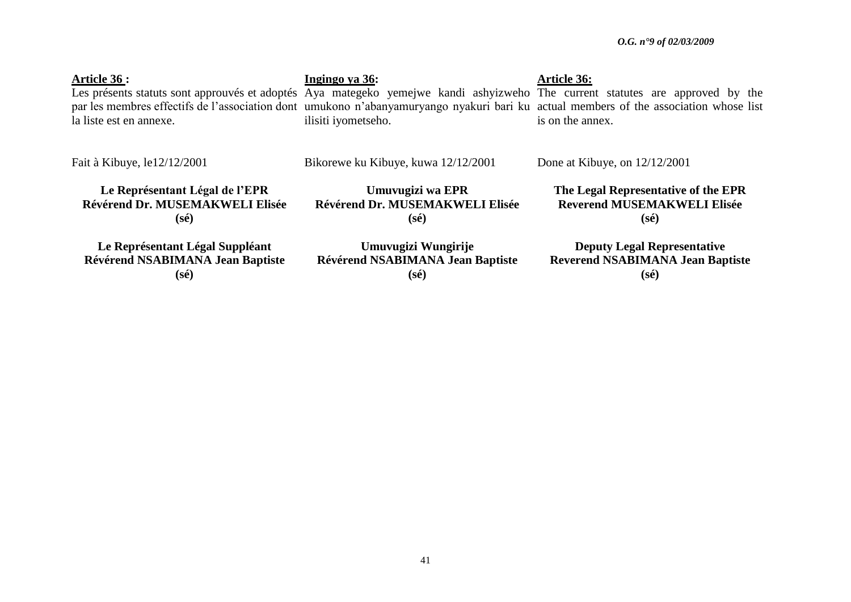**Article 36 :** Les présents statuts sont approuvés et adoptés Aya mategeko yemejwe kandi ashyizweho The current statutes are approved by the par les membres effectifs de l"association dont umukono n"abanyamuryango nyakuri bari ku actual members of the association whose list la liste est en annexe. **Ingingo ya 36:** ilisiti iyometseho. **Article 36:** is on the annex.

Fait à Kibuye, le12/12/2001

Bikorewe ku Kibuye, kuwa 12/12/2001

Done at Kibuye, on 12/12/2001

**Le Représentant Légal de l"EPR Révérend Dr. MUSEMAKWELI Elisée (sé)**

**Umuvugizi wa EPR Révérend Dr. MUSEMAKWELI Elisée (sé)**

**Reverend MUSEMAKWELI Elisée (sé)**

**The Legal Representative of the EPR**

**Le Représentant Légal Suppléant Révérend NSABIMANA Jean Baptiste (sé)**

**Umuvugizi Wungirije Révérend NSABIMANA Jean Baptiste (sé)**

**Deputy Legal Representative Reverend NSABIMANA Jean Baptiste (sé)**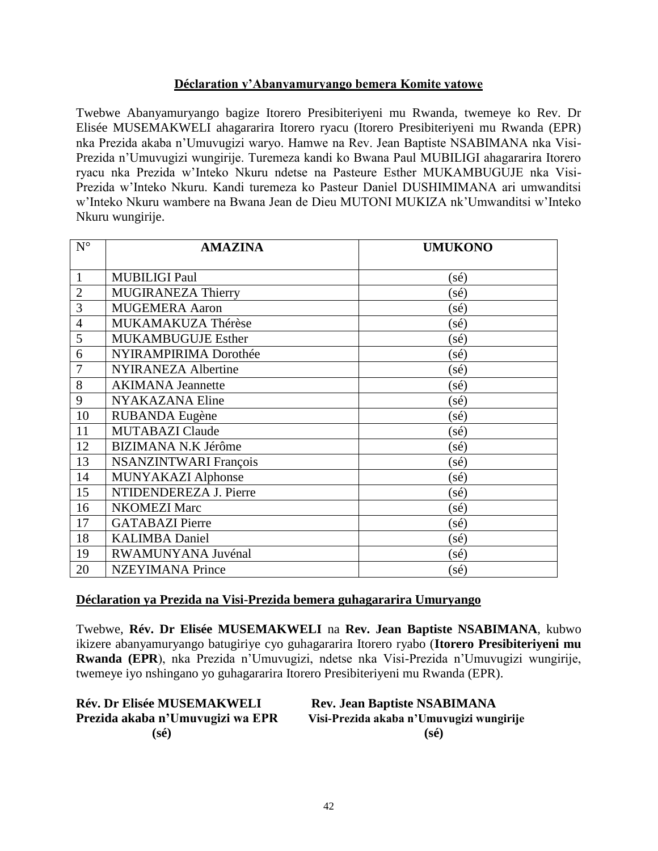## **Déclaration y"Abanyamuryango bemera Komite yatowe**

Twebwe Abanyamuryango bagize Itorero Presibiteriyeni mu Rwanda, twemeye ko Rev. Dr Elisée MUSEMAKWELI ahagararira Itorero ryacu (Itorero Presibiteriyeni mu Rwanda (EPR) nka Prezida akaba n"Umuvugizi waryo. Hamwe na Rev. Jean Baptiste NSABIMANA nka Visi-Prezida n"Umuvugizi wungirije. Turemeza kandi ko Bwana Paul MUBILIGI ahagararira Itorero ryacu nka Prezida w"Inteko Nkuru ndetse na Pasteure Esther MUKAMBUGUJE nka Visi-Prezida w"Inteko Nkuru. Kandi turemeza ko Pasteur Daniel DUSHIMIMANA ari umwanditsi w"Inteko Nkuru wambere na Bwana Jean de Dieu MUTONI MUKIZA nk"Umwanditsi w"Inteko Nkuru wungirije.

| $N^{\circ}$    | <b>AMAZINA</b>               | <b>UMUKONO</b> |
|----------------|------------------------------|----------------|
|                |                              |                |
| $\mathbf{1}$   | <b>MUBILIGI Paul</b>         | $(s\acute{e})$ |
| $\overline{2}$ | <b>MUGIRANEZA Thierry</b>    | $(s\acute{e})$ |
| 3              | <b>MUGEMERA Aaron</b>        | $(s\acute{e})$ |
| $\overline{4}$ | MUKAMAKUZA Thérèse           | $(s\acute{e})$ |
| 5              | <b>MUKAMBUGUJE Esther</b>    | $(s\acute{e})$ |
| 6              | NYIRAMPIRIMA Dorothée        | $(s\acute{e})$ |
| $\overline{7}$ | <b>NYIRANEZA Albertine</b>   | $(s\acute{e})$ |
| 8              | <b>AKIMANA</b> Jeannette     | $(s\acute{e})$ |
| 9              | NYAKAZANA Eline              | (sé)           |
| 10             | RUBANDA Eugène               | $(s\acute{e})$ |
| 11             | <b>MUTABAZI Claude</b>       | $(s\acute{e})$ |
| 12             | <b>BIZIMANA N.K Jérôme</b>   | (sé)           |
| 13             | <b>NSANZINTWARI François</b> | $(s\acute{e})$ |
| 14             | MUNYAKAZI Alphonse           | $(s\acute{e})$ |
| 15             | NTIDENDEREZA J. Pierre       | $(s\acute{e})$ |
| 16             | <b>NKOMEZI Marc</b>          | $(s\acute{e})$ |
| 17             | <b>GATABAZI</b> Pierre       | $(s\acute{e})$ |
| 18             | <b>KALIMBA Daniel</b>        | $(s\acute{e})$ |
| 19             | RWAMUNYANA Juvénal           | $(s\acute{e})$ |
| 20             | <b>NZEYIMANA Prince</b>      | $(s\acute{e})$ |

### **Déclaration ya Prezida na Visi-Prezida bemera guhagararira Umuryango**

Twebwe, **Rév. Dr Elisée MUSEMAKWELI** na **Rev. Jean Baptiste NSABIMANA**, kubwo ikizere abanyamuryango batugiriye cyo guhagararira Itorero ryabo (**Itorero Presibiteriyeni mu Rwanda (EPR**), nka Prezida n"Umuvugizi, ndetse nka Visi-Prezida n"Umuvugizi wungirije, twemeye iyo nshingano yo guhagararira Itorero Presibiteriyeni mu Rwanda (EPR).

| <b>Rév. Dr Elisée MUSEMAKWELI</b> | <b>Rev. Jean Baptiste NSABIMANA</b>      |
|-----------------------------------|------------------------------------------|
| Prezida akaba n'Umuvugizi wa EPR  | Visi-Prezida akaba n'Umuvugizi wungirije |
| $(s\acute{e})$                    | $(s\acute{e})$                           |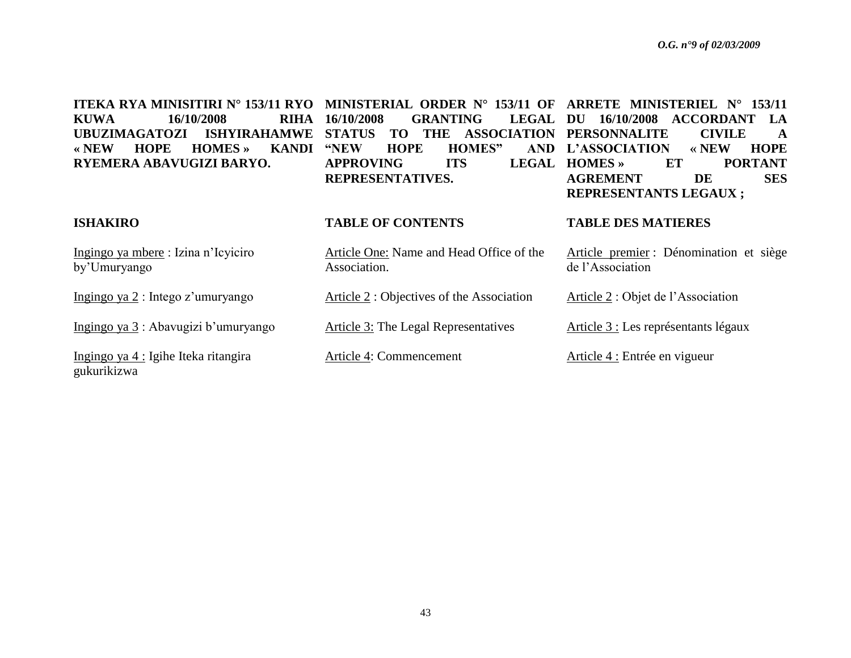**ITEKA RYA MINISITIRI N° 153/11 RYO MINISTERIAL ORDER N° 153/11 OF ARRETE MINISTERIEL N° 153/11 KUWA 16/10/2008 RIHA UBUZIMAGATOZI ISHYIRAHAMWE STATUS TO THE ASSOCIATION PERSONNALITE CIVILE A « NEW HOPE HOMES » KANDI RYEMERA ABAVUGIZI BARYO. ISHAKIRO GRANTING HOPE HOMES" APPROVING ITS LEGAL HOMES** » **REPRESENTATIVES. TABLE OF CONTENTS** LEGAL DU 16/10/2008 ACCORDANT LA **L"ASSOCIATION « NEW HOPE HOMES » ET PORTANT AGREMENT DE SES REPRESENTANTS LEGAUX ; TABLE DES MATIERES**

Association.

Ingingo ya mbere : Izina n"Icyiciro by"Umuryango

Ingingo ya 2 : Intego z'umuryango

Ingingo ya  $3$ : Abavugizi b'umuryango

Ingingo ya 4 : Igihe Iteka ritangira gukurikizwa

Article 2 : Objectives of the Association

Article One: Name and Head Office of the

Article 3: The Legal Representatives

Article 4: Commencement

Article premier : Dénomination et siège de l"Association

Article 2 : Objet de l"Association

Article 3 : Les représentants légaux

Article 4 : Entrée en vigueur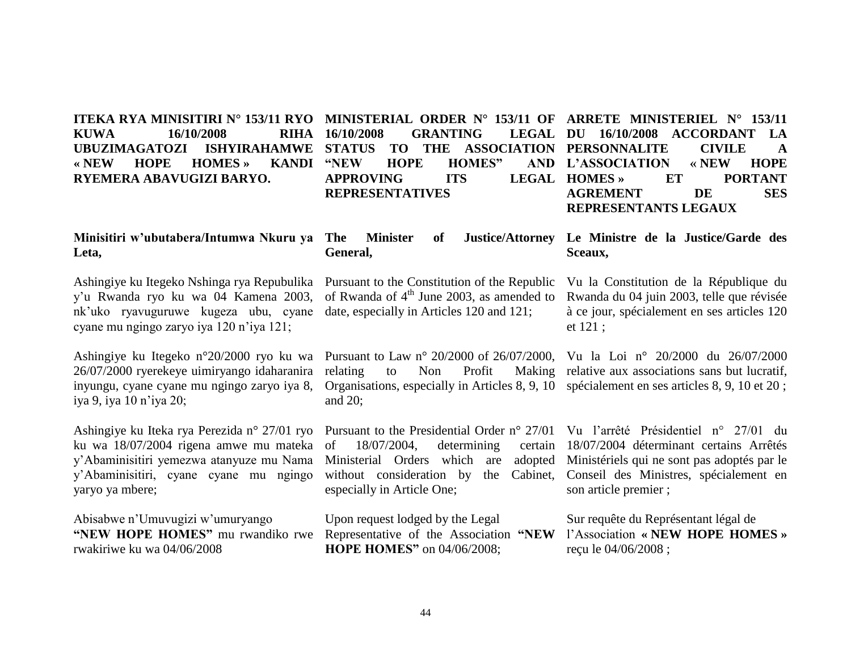#### **ITEKA RYA MINISITIRI N° 153/11 RYO MINISTERIAL ORDER N° 153/11 OF ARRETE MINISTERIEL N° 153/11 KUWA 16/10/2008 RIHA UBUZIMAGATOZI ISHYIRAHAMWE « NEW HOPE HOMES » KANDI RYEMERA ABAVUGIZI BARYO. GRANTING HOPE HOMES"** APPROVING ITS LEGAL HOMES» **REPRESENTATIVES**

# **STATUS TO THE ASSOCIATION PERSONNALITE CIVILE A**  LEGAL DU 16/10/2008 ACCORDANT LA **L"ASSOCIATION « NEW HOPE HOMES » ET PORTANT AGREMENT DE SES REPRESENTANTS LEGAUX**

# **Minisitiri w"ubutabera/Intumwa Nkuru ya Leta,**

Ashingiye ku Itegeko Nshinga rya Repubulika y"u Rwanda ryo ku wa 04 Kamena 2003, nk"uko ryavuguruwe kugeza ubu, cyane cyane mu ngingo zaryo iya 120 n"iya 121;

Ashingiye ku Itegeko n°20/2000 ryo ku wa 26/07/2000 ryerekeye uimiryango idaharanira inyungu, cyane cyane mu ngingo zaryo iya 8, iya 9, iya 10 n"iya 20;

Ashingiye ku Iteka rya Perezida n° 27/01 ryo Pursuant to the Presidential Order n° 27/01 Vu l'arrêté Présidentiel n° 27/01 du ku wa 18/07/2004 rigena amwe mu mateka y"Abaminisitiri yemezwa atanyuze mu Nama y"Abaminisitiri, cyane cyane mu ngingo yaryo ya mbere;

Abisabwe n"Umuvugizi w"umuryango **"NEW HOPE HOMES"** mu rwandiko rwe rwakiriwe ku wa 04/06/2008

### **The Minister of Justice/Attorney Le Ministre de la Justice/Garde des General,**

Pursuant to the Constitution of the Republic of Rwanda of  $4<sup>th</sup>$  June 2003, as amended to date, especially in Articles 120 and 121;

Pursuant to Law n° 20/2000 of 26/07/2000, Vu la Loi n° 20/2000 du 26/07/2000 relating to Non Profit Making relative aux associations sans but lucratif, Organisations, especially in Articles 8, 9, 10 spécialement en ses articles 8, 9, 10 et 20 ; and 20;

 $18/07/2004$ , determining Ministerial Orders which are adopted without consideration by the Cabinet, especially in Article One;

Upon request lodged by the Legal Representative of the Association **"NEW HOPE HOMES"** on 04/06/2008;

**Sceaux,** Vu la Constitution de la République du Rwanda du 04 juin 2003, telle que révisée

à ce jour, spécialement en ses articles 120

et 121 ;

18/07/2004 déterminant certains Arrêtés Ministériels qui ne sont pas adoptés par le Conseil des Ministres, spécialement en son article premier ;

> Sur requête du Représentant légal de l"Association **« NEW HOPE HOMES »** reçu le 04/06/2008 ;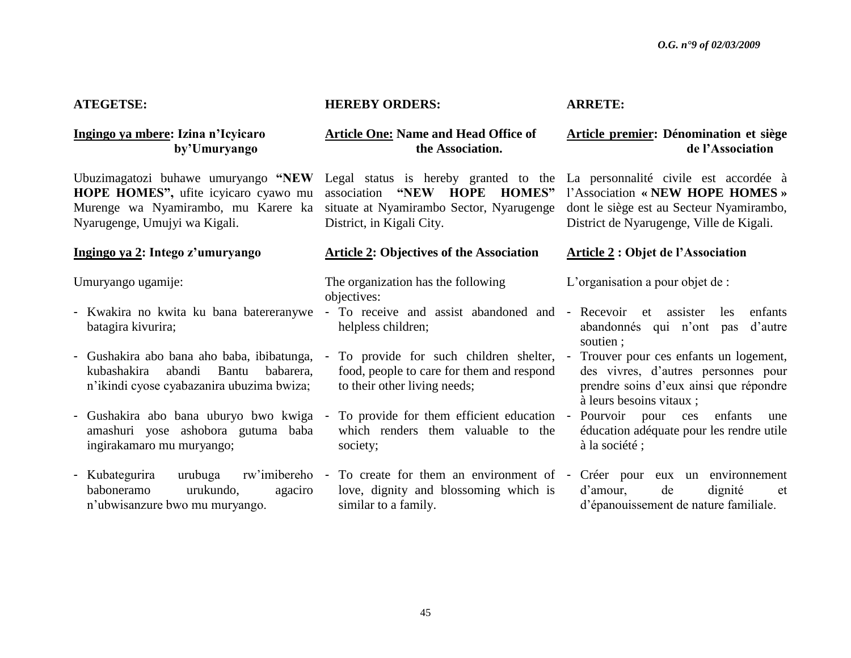### **ATEGETSE:**

### **Ingingo ya mbere: Izina n"Icyicaro by"Umuryango**

Ubuzimagatozi buhawe umuryango **"NEW HOPE HOMES",** ufite icyicaro cyawo mu Murenge wa Nyamirambo, mu Karere ka Nyarugenge, Umujyi wa Kigali.

### **Ingingo ya 2: Intego z"umuryango**

Umuryango ugamije:

- Kwakira no kwita ku bana batereranywe batagira kivurira;
- Gushakira abo bana aho baba, ibibatunga, To provide for such children shelter, Trouver pour ces enfants un logement, kubashakira abandi Bantu babarera, n"ikindi cyose cyabazanira ubuzima bwiza;
- Gushakira abo bana uburyo bwo kwiga amashuri yose ashobora gutuma baba ingirakamaro mu muryango;
- Kubategurira urubuga rw"imibereho baboneramo urukundo, agaciro n"ubwisanzure bwo mu muryango.

### **HEREBY ORDERS:**

### **Article One: Name and Head Office of the Association.**

Legal status is hereby granted to the La personnalité civile est accordée à association **"NEW HOPE HOMES"** situate at Nyamirambo Sector, Nyarugenge District, in Kigali City.

### **Article 2: Objectives of the Association**

The organization has the following objectives:

- To receive and assist abandoned and helpless children;
- food, people to care for them and respond to their other living needs;
- To provide for them efficient education which renders them valuable to the society;
- love, dignity and blossoming which is similar to a family.

### **ARRETE:**

### **Article premier: Dénomination et siège de l"Association**

l"Association **« NEW HOPE HOMES »** dont le siège est au Secteur Nyamirambo, District de Nyarugenge, Ville de Kigali.

### **Article 2 : Objet de l"Association**

L'organisation a pour objet de :

- Recevoir et assister les enfants abandonnés qui n"ont pas d"autre soutien ;
- des vivres, d"autres personnes pour prendre soins d"eux ainsi que répondre à leurs besoins vitaux ;
- Pourvoir pour ces enfants une éducation adéquate pour les rendre utile à la société ;
- To create for them an environment of Créer pour eux un environnement d"amour, de dignité et d"épanouissement de nature familiale.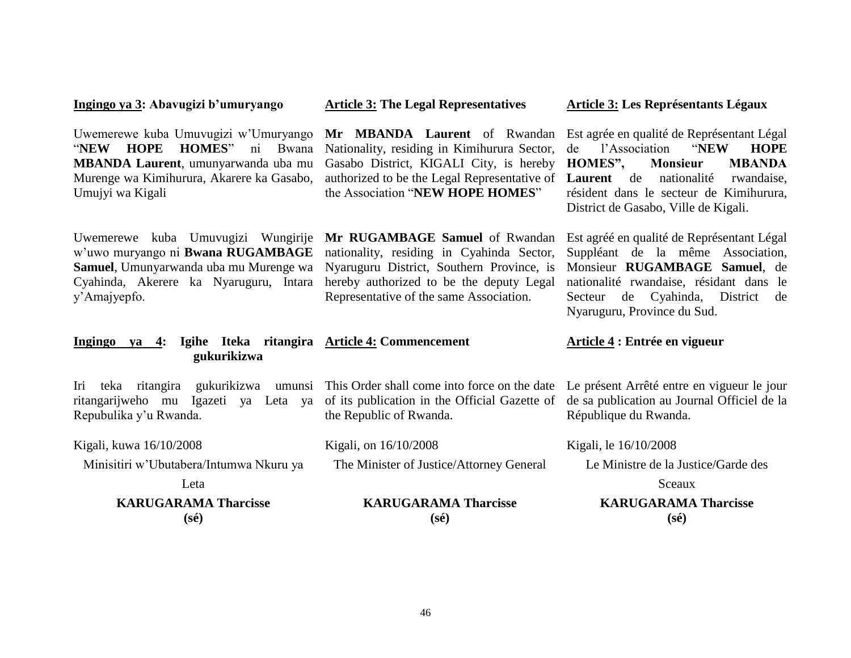### **Ingingo ya 3: Abavugizi b"umuryango**

Uwemerewe kuba Umuvugizi w"Umuryango "**NEW HOPE HOMES**" ni Bwana **MBANDA Laurent**, umunyarwanda uba mu Murenge wa Kimihurura, Akarere ka Gasabo, Umujyi wa Kigali

Uwemerewe kuba Umuvugizi Wungirije **Mr RUGAMBAGE Samuel** of Rwandan w"uwo muryango ni **Bwana RUGAMBAGE Samuel**, Umunyarwanda uba mu Murenge wa Cyahinda, Akerere ka Nyaruguru, Intara y"Amajyepfo.

**Article 3: The Legal Representatives**

**Mr MBANDA Laurent** of Rwandan Nationality, residing in Kimihurura Sector, Gasabo District, KIGALI City, is hereby **HOMES", Monsieur MBANDA**  authorized to be the Legal Representative of the Association "**NEW HOPE HOMES**"

nationality, residing in Cyahinda Sector, Nyaruguru District, Southern Province, is hereby authorized to be the deputy Legal Representative of the same Association.

Est agrée en qualité de Représentant Légal de l"Association "**NEW HOPE**  Laurent de nationalité rwandaise, résident dans le secteur de Kimihurura, District de Gasabo, Ville de Kigali.

**Article 3: Les Représentants Légaux** 

Est agréé en qualité de Représentant Légal Suppléant de la même Association, Monsieur **RUGAMBAGE Samuel**, de nationalité rwandaise, résidant dans le Secteur de Cyahinda, District de Nyaruguru, Province du Sud.

### **Ingingo ya 4: Igihe Iteka ritangira Article 4: Commencement gukurikizwa**

Iri teka ritangira gukurikizwa umunsi This Order shall come into force on the date Le présent Arrêté entre en vigueur le jour ritangarijweho mu Igazeti ya Leta ya of its publication in the Official Gazette of Repubulika y"u Rwanda.

Kigali, kuwa 16/10/2008

Minisitiri w"Ubutabera/Intumwa Nkuru ya

Leta

**KARUGARAMA Tharcisse (sé)**

| of no pablication in the Official Samette of |  |
|----------------------------------------------|--|
| the Republic of Rwanda.                      |  |
|                                              |  |

Kigali, on 16/10/2008 The Minister of Justice/Attorney General

> **KARUGARAMA Tharcisse (sé)**

Sceaux

Le Ministre de la Justice/Garde des

de sa publication au Journal Officiel de la

**KARUGARAMA Tharcisse (sé)**

**Article 4 : Entrée en vigueur**

République du Rwanda.

Kigali, le 16/10/2008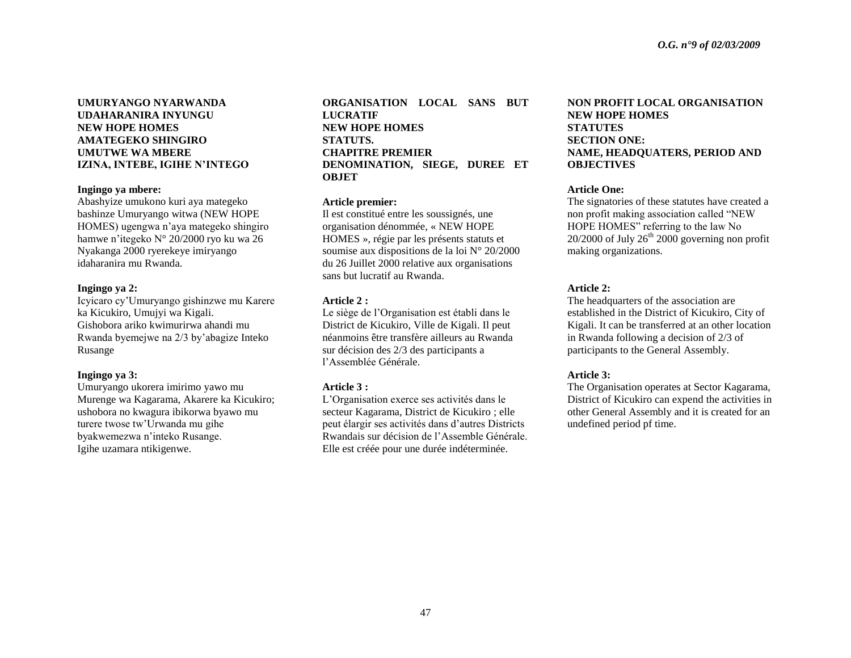### **UMURYANGO NYARWANDA UDAHARANIRA INYUNGU NEW HOPE HOMES AMATEGEKO SHINGIRO UMUTWE WA MBERE IZINA, INTEBE, IGIHE N"INTEGO**

#### **Ingingo ya mbere:**

Abashyize umukono kuri aya mategeko bashinze Umuryango witwa (NEW HOPE HOMES) ugengwa n"aya mategeko shingiro hamwe n"itegeko N° 20/2000 ryo ku wa 26 Nyakanga 2000 ryerekeye imiryango idaharanira mu Rwanda.

#### **Ingingo ya 2:**

Icyicaro cy"Umuryango gishinzwe mu Karere ka Kicukiro, Umujyi wa Kigali. Gishobora ariko kwimurirwa ahandi mu Rwanda byemejwe na 2/3 by"abagize Inteko Rusange

#### **Ingingo ya 3:**

Umuryango ukorera imirimo yawo mu Murenge wa Kagarama, Akarere ka Kicukiro; ushobora no kwagura ibikorwa byawo mu turere twose tw"Urwanda mu gihe byakwemezwa n"inteko Rusange. Igihe uzamara ntikigenwe.

**ORGANISATION LOCAL SANS BUT LUCRATIF NEW HOPE HOMES STATUTS. CHAPITRE PREMIER DENOMINATION, SIEGE, DUREE ET OBJET**

#### **Article premier:**

Il est constitué entre les soussignés, une organisation dénommée, « NEW HOPE HOMES », régie par les présents statuts et soumise aux dispositions de la loi N° 20/2000 du 26 Juillet 2000 relative aux organisations sans but lucratif au Rwanda.

#### **Article 2 :**

Le siège de l"Organisation est établi dans le District de Kicukiro, Ville de Kigali. Il peut néanmoins être transfère ailleurs au Rwanda sur décision des 2/3 des participants a l"Assemblée Générale.

#### **Article 3 :**

L"Organisation exerce ses activités dans le secteur Kagarama, District de Kicukiro ; elle peut élargir ses activités dans d"autres Districts Rwandais sur décision de l"Assemble Générale. Elle est créée pour une durée indéterminée.

### **NON PROFIT LOCAL ORGANISATION NEW HOPE HOMES STATUTES SECTION ONE: NAME, HEADQUATERS, PERIOD AND OBJECTIVES**

#### **Article One:**

The signatories of these statutes have created a non profit making association called "NEW HOPE HOMES" referring to the law No  $20/2000$  of July  $26<sup>th</sup> 2000$  governing non profit making organizations.

### **Article 2:**

The headquarters of the association are established in the District of Kicukiro, City of Kigali. It can be transferred at an other location in Rwanda following a decision of 2/3 of participants to the General Assembly.

### **Article 3:**

The Organisation operates at Sector Kagarama, District of Kicukiro can expend the activities in other General Assembly and it is created for an undefined period pf time.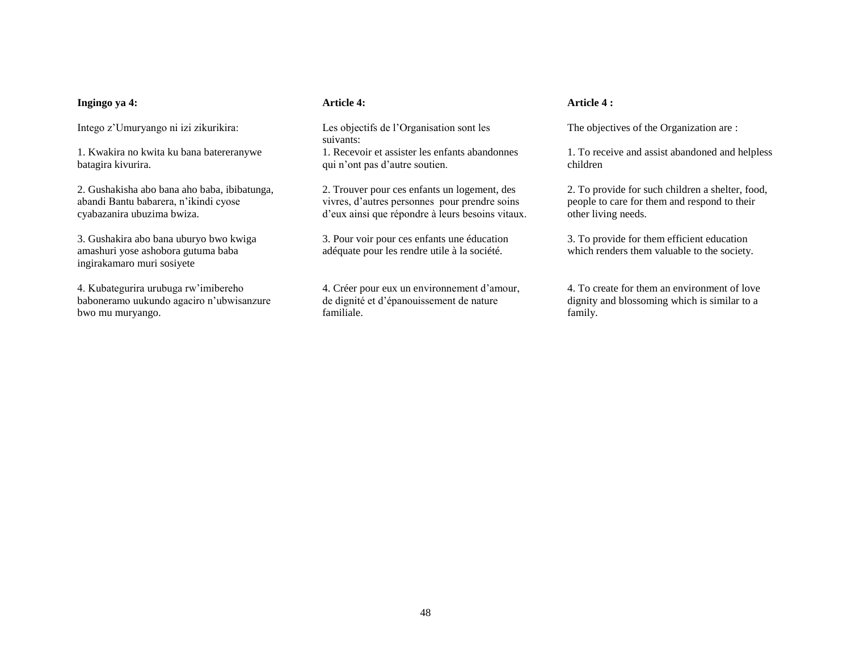#### **Ingingo ya 4:**

Intego z"Umuryango ni izi zikurikira:

1. Kwakira no kwita ku bana batereranywe batagira kivurira.

2. Gushakisha abo bana aho baba, ibibatunga, abandi Bantu babarera, n"ikindi cyose cyabazanira ubuzima bwiza.

3. Gushakira abo bana uburyo bwo kwiga amashuri yose ashobora gutuma baba ingirakamaro muri sosiyete

4. Kubategurira urubuga rw"imibereho baboneramo uukundo agaciro n"ubwisanzure bwo mu muryango.

#### **Article 4:**

Les objectifs de l"Organisation sont les suivants: 1. Recevoir et assister les enfants abandonnes qui n"ont pas d"autre soutien.

2. Trouver pour ces enfants un logement, des vivres, d"autres personnes pour prendre soins d"eux ainsi que répondre à leurs besoins vitaux.

3. Pour voir pour ces enfants une éducation adéquate pour les rendre utile à la société.

4. Créer pour eux un environnement d"amour, de dignité et d"épanouissement de nature familiale.

### **Article 4 :**

The objectives of the Organization are :

1. To receive and assist abandoned and helpless children

2. To provide for such children a shelter, food, people to care for them and respond to their other living needs.

3. To provide for them efficient education which renders them valuable to the society.

4. To create for them an environment of love dignity and blossoming which is similar to a family.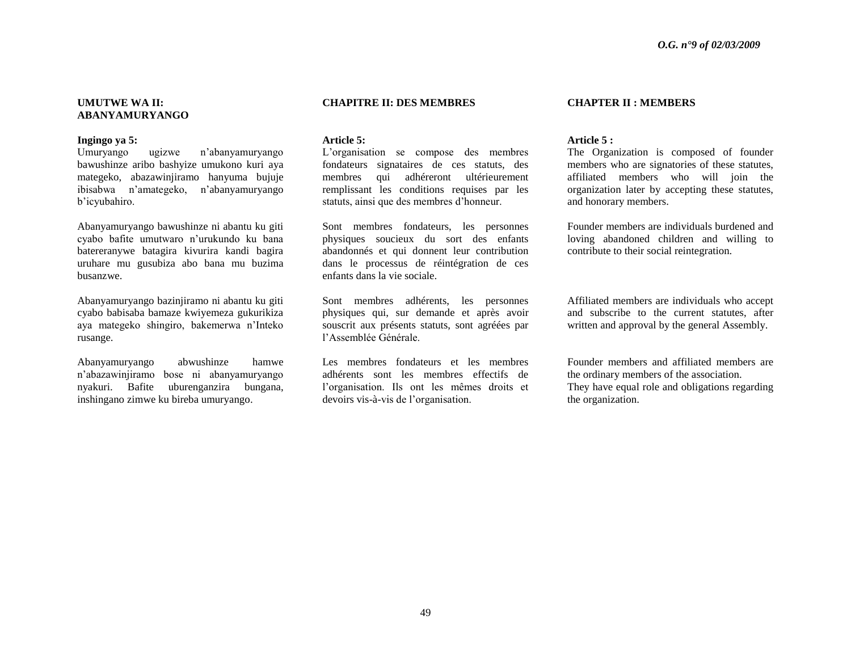#### **UMUTWE WA II: ABANYAMURYANGO**

#### **Ingingo ya 5:**

Umuryango ugizwe n"abanyamuryango bawushinze aribo bashyize umukono kuri aya mategeko, abazawinjiramo hanyuma bujuje ibisabwa n"amategeko, n"abanyamuryango b"icyubahiro.

Abanyamuryango bawushinze ni abantu ku giti cyabo bafite umutwaro n"urukundo ku bana batereranywe batagira kivurira kandi bagira uruhare mu gusubiza abo bana mu buzima busanzwe.

Abanyamuryango bazinjiramo ni abantu ku giti cyabo babisaba bamaze kwiyemeza gukurikiza aya mategeko shingiro, bakemerwa n"Inteko rusange.

Abanyamuryango abwushinze hamwe n"abazawinjiramo bose ni abanyamuryango nyakuri. Bafite uburenganzira bungana, inshingano zimwe ku bireba umuryango.

#### **CHAPITRE II: DES MEMBRES**

#### **Article 5:**

L"organisation se compose des membres fondateurs signataires de ces statuts, des membres qui adhéreront ultérieurement remplissant les conditions requises par les statuts, ainsi que des membres d"honneur.

Sont membres fondateurs, les personnes physiques soucieux du sort des enfants abandonnés et qui donnent leur contribution dans le processus de réintégration de ces enfants dans la vie sociale.

Sont membres adhérents, les personnes physiques qui, sur demande et après avoir souscrit aux présents statuts, sont agréées par l"Assemblée Générale.

Les membres fondateurs et les membres adhérents sont les membres effectifs de l"organisation. Ils ont les mêmes droits et devoirs vis-à-vis de l"organisation.

#### **CHAPTER II : MEMBERS**

#### **Article 5 :**

The Organization is composed of founder members who are signatories of these statutes, affiliated members who will join the organization later by accepting these statutes, and honorary members.

Founder members are individuals burdened and loving abandoned children and willing to contribute to their social reintegration.

Affiliated members are individuals who accept and subscribe to the current statutes, after written and approval by the general Assembly.

Founder members and affiliated members are the ordinary members of the association. They have equal role and obligations regarding the organization.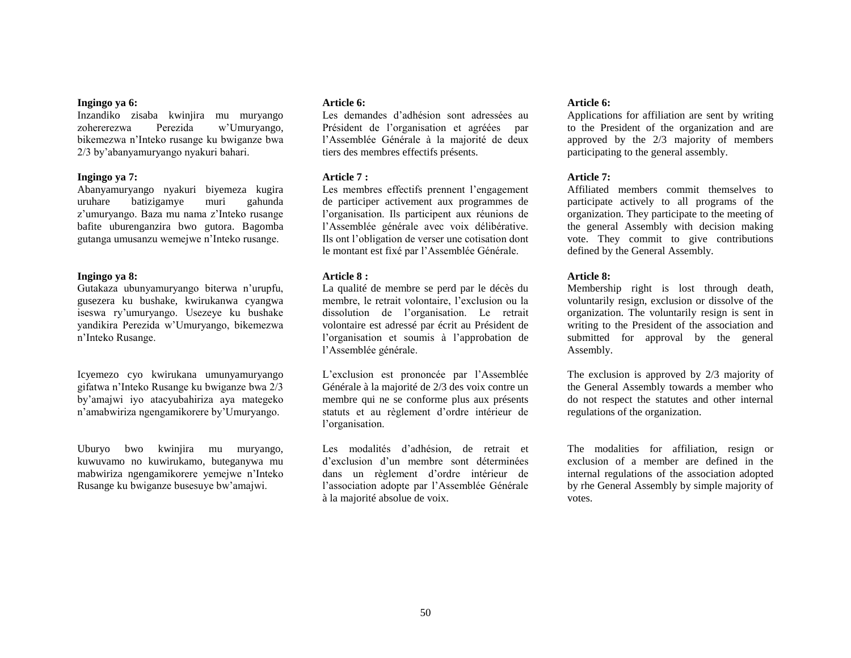#### **Ingingo ya 6:**

Inzandiko zisaba kwinjira mu muryango zohererezwa Perezida w"Umuryango, bikemezwa n"Inteko rusange ku bwiganze bwa 2/3 by"abanyamuryango nyakuri bahari.

#### **Ingingo ya 7:**

Abanyamuryango nyakuri biyemeza kugira uruhare batizigamye muri gahunda z"umuryango. Baza mu nama z"Inteko rusange bafite uburenganzira bwo gutora. Bagomba gutanga umusanzu wemejwe n"Inteko rusange.

#### **Ingingo ya 8:**

Gutakaza ubunyamuryango biterwa n"urupfu, gusezera ku bushake, kwirukanwa cyangwa iseswa ry"umuryango. Usezeye ku bushake yandikira Perezida w"Umuryango, bikemezwa n"Inteko Rusange.

Icyemezo cyo kwirukana umunyamuryango gifatwa n"Inteko Rusange ku bwiganze bwa 2/3 by"amajwi iyo atacyubahiriza aya mategeko n"amabwiriza ngengamikorere by"Umuryango.

Uburyo bwo kwinjira mu muryango, kuwuvamo no kuwirukamo, buteganywa mu mabwiriza ngengamikorere yemejwe n"Inteko Rusange ku bwiganze busesuye bw"amajwi.

#### **Article 6:**

Les demandes d"adhésion sont adressées au Président de l"organisation et agréées par l"Assemblée Générale à la majorité de deux tiers des membres effectifs présents.

#### **Article 7 :**

Les membres effectifs prennent l'engagement de participer activement aux programmes de l"organisation. Ils participent aux réunions de l"Assemblée générale avec voix délibérative. Ils ont l"obligation de verser une cotisation dont le montant est fixé par l"Assemblée Générale.

#### **Article 8 :**

La qualité de membre se perd par le décès du membre, le retrait volontaire, l"exclusion ou la dissolution de l"organisation. Le retrait volontaire est adressé par écrit au Président de l"organisation et soumis à l"approbation de l"Assemblée générale.

L"exclusion est prononcée par l"Assemblée Générale à la majorité de 2/3 des voix contre un membre qui ne se conforme plus aux présents statuts et au règlement d"ordre intérieur de l'organisation.

Les modalités d"adhésion, de retrait et d"exclusion d"un membre sont déterminées dans un règlement d"ordre intérieur de l"association adopte par l"Assemblée Générale à la majorité absolue de voix.

#### **Article 6:**

Applications for affiliation are sent by writing to the President of the organization and are approved by the 2/3 majority of members participating to the general assembly.

#### **Article 7:**

Affiliated members commit themselves to participate actively to all programs of the organization. They participate to the meeting of the general Assembly with decision making vote. They commit to give contributions defined by the General Assembly.

#### **Article 8:**

Membership right is lost through death, voluntarily resign, exclusion or dissolve of the organization. The voluntarily resign is sent in writing to the President of the association and submitted for approval by the general Assembly.

The exclusion is approved by 2/3 majority of the General Assembly towards a member who do not respect the statutes and other internal regulations of the organization.

The modalities for affiliation, resign or exclusion of a member are defined in the internal regulations of the association adopted by rhe General Assembly by simple majority of votes.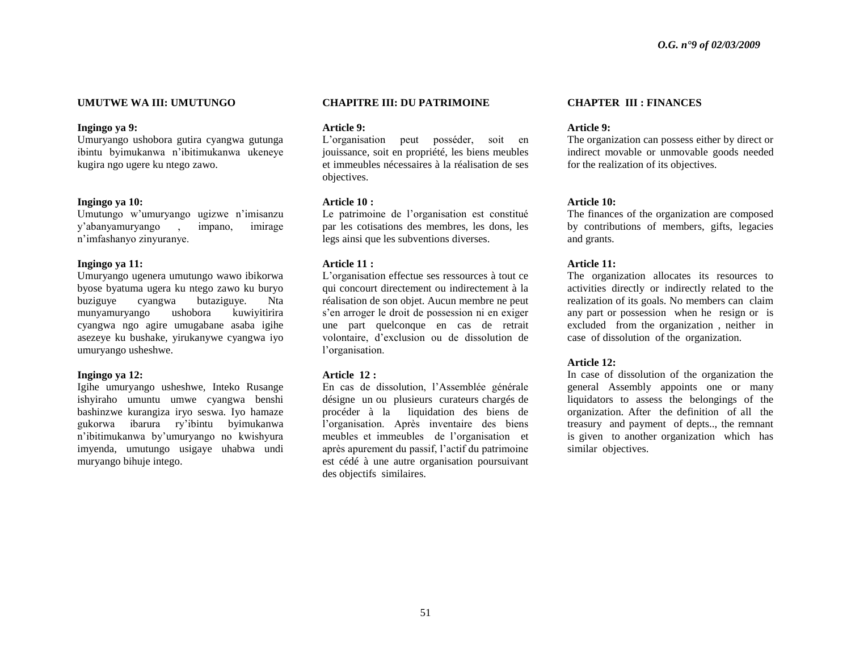#### **UMUTWE WA III: UMUTUNGO**

#### **Ingingo ya 9:**

Umuryango ushobora gutira cyangwa gutunga ibintu byimukanwa n"ibitimukanwa ukeneye kugira ngo ugere ku ntego zawo.

#### **Ingingo ya 10:**

Umutungo w"umuryango ugizwe n"imisanzu y"abanyamuryango , impano, imirage n"imfashanyo zinyuranye.

#### **Ingingo ya 11:**

Umuryango ugenera umutungo wawo ibikorwa byose byatuma ugera ku ntego zawo ku buryo buziguye cyangwa butaziguye. Nta munyamuryango ushobora kuwiyitirira cyangwa ngo agire umugabane asaba igihe asezeye ku bushake, yirukanywe cyangwa iyo umuryango usheshwe.

#### **Ingingo ya 12:**

Igihe umuryango usheshwe, Inteko Rusange ishyiraho umuntu umwe cyangwa benshi bashinzwe kurangiza iryo seswa. Iyo hamaze gukorwa ibarura ry"ibintu byimukanwa n"ibitimukanwa by"umuryango no kwishyura imyenda, umutungo usigaye uhabwa undi muryango bihuje intego.

#### **CHAPITRE III: DU PATRIMOINE**

**Article 9:** 

L"organisation peut posséder, soit en jouissance, soit en propriété, les biens meubles et immeubles nécessaires à la réalisation de ses objectives.

#### **Article 10 :**

Le patrimoine de l"organisation est constitué par les cotisations des membres, les dons, les legs ainsi que les subventions diverses.

#### **Article 11 :**

L"organisation effectue ses ressources à tout ce qui concourt directement ou indirectement à la réalisation de son objet. Aucun membre ne peut s"en arroger le droit de possession ni en exiger une part quelconque en cas de retrait volontaire, d"exclusion ou de dissolution de l'organisation.

#### **Article 12 :**

En cas de dissolution, l"Assemblée générale désigne un ou plusieurs curateurs chargés de procéder à la liquidation des biens de l"organisation. Après inventaire des biens meubles et immeubles de l"organisation et après apurement du passif, l"actif du patrimoine est cédé à une autre organisation poursuivant des objectifs similaires.

#### **CHAPTER III : FINANCES**

#### **Article 9:**

The organization can possess either by direct or indirect movable or unmovable goods needed for the realization of its objectives.

#### **Article 10:**

The finances of the organization are composed by contributions of members, gifts, legacies and grants.

#### **Article 11:**

The organization allocates its resources to activities directly or indirectly related to the realization of its goals. No members can claim any part or possession when he resign or is excluded from the organization , neither in case of dissolution of the organization.

#### **Article 12:**

In case of dissolution of the organization the general Assembly appoints one or many liquidators to assess the belongings of the organization. After the definition of all the treasury and payment of depts.., the remnant is given to another organization which has similar objectives.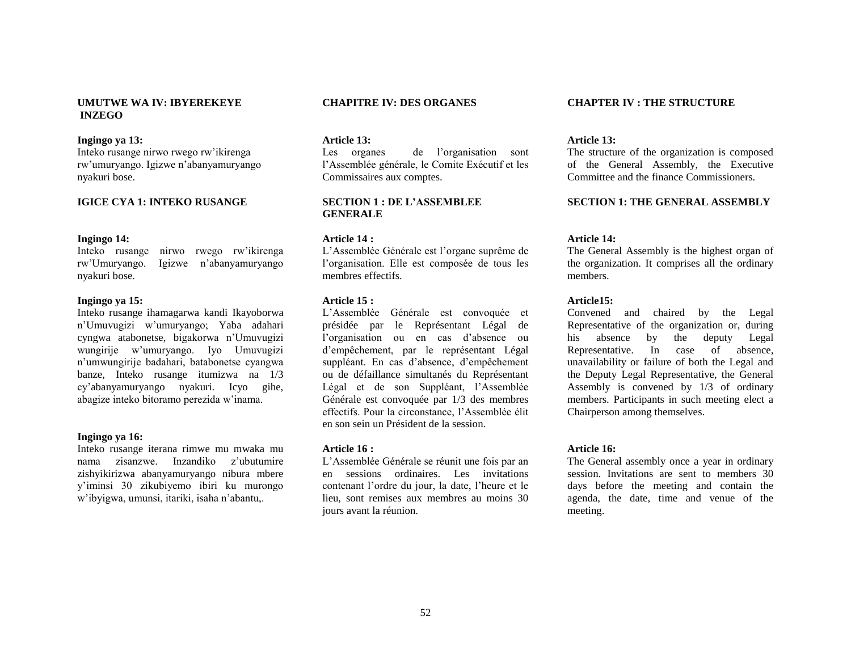### **UMUTWE WA IV: IBYEREKEYE INZEGO**

#### **Ingingo ya 13:**

Inteko rusange nirwo rwego rw"ikirenga rw"umuryango. Igizwe n"abanyamuryango nyakuri bose.

#### **IGICE CYA 1: INTEKO RUSANGE**

#### **Ingingo 14:**

Inteko rusange nirwo rwego rw"ikirenga rw"Umuryango. Igizwe n"abanyamuryango nyakuri bose.

#### **Ingingo ya 15:**

Inteko rusange ihamagarwa kandi Ikayoborwa n"Umuvugizi w"umuryango; Yaba adahari cyngwa atabonetse, bigakorwa n"Umuvugizi wungirije w"umuryango. Iyo Umuvugizi n"umwungirije badahari, batabonetse cyangwa banze, Inteko rusange itumizwa na 1/3 cy"abanyamuryango nyakuri. Icyo gihe, abagize inteko bitoramo perezida w"inama.

#### **Ingingo ya 16:**

Inteko rusange iterana rimwe mu mwaka mu nama zisanzwe. Inzandiko z"ubutumire zishyikirizwa abanyamuryango nibura mbere y"iminsi 30 zikubiyemo ibiri ku murongo w"ibyigwa, umunsi, itariki, isaha n"abantu,.

#### **CHAPITRE IV: DES ORGANES**

**Article 13:**

Les organes de l'organisation sont l"Assemblée générale, le Comite Exécutif et les Commissaires aux comptes.

#### **SECTION 1 : DE L"ASSEMBLEE GENERALE**

#### **Article 14 :**

L"Assemblée Générale est l"organe suprême de l"organisation. Elle est composée de tous les membres effectifs.

#### **Article 15 :**

L"Assemblée Générale est convoquée et présidée par le Représentant Légal de l"organisation ou en cas d"absence ou d"empêchement, par le représentant Légal suppléant. En cas d"absence, d"empêchement ou de défaillance simultanés du Représentant Légal et de son Suppléant, l"Assemblée Générale est convoquée par 1/3 des membres effectifs. Pour la circonstance, l"Assemblée élit en son sein un Président de la session.

#### **Article 16 :**

L"Assemblée Générale se réunit une fois par an en sessions ordinaires. Les invitations contenant l"ordre du jour, la date, l"heure et le lieu, sont remises aux membres au moins 30 jours avant la réunion.

#### **CHAPTER IV : THE STRUCTURE**

#### **Article 13:**

The structure of the organization is composed of the General Assembly, the Executive Committee and the finance Commissioners.

#### **SECTION 1: THE GENERAL ASSEMBLY**

#### **Article 14:**

The General Assembly is the highest organ of the organization. It comprises all the ordinary members.

#### **Article15:**

Convened and chaired by the Legal Representative of the organization or, during his absence by the deputy Legal Representative. In case of absence, unavailability or failure of both the Legal and the Deputy Legal Representative, the General Assembly is convened by 1/3 of ordinary members. Participants in such meeting elect a Chairperson among themselves.

#### **Article 16:**

The General assembly once a year in ordinary session. Invitations are sent to members 30 days before the meeting and contain the agenda, the date, time and venue of the meeting.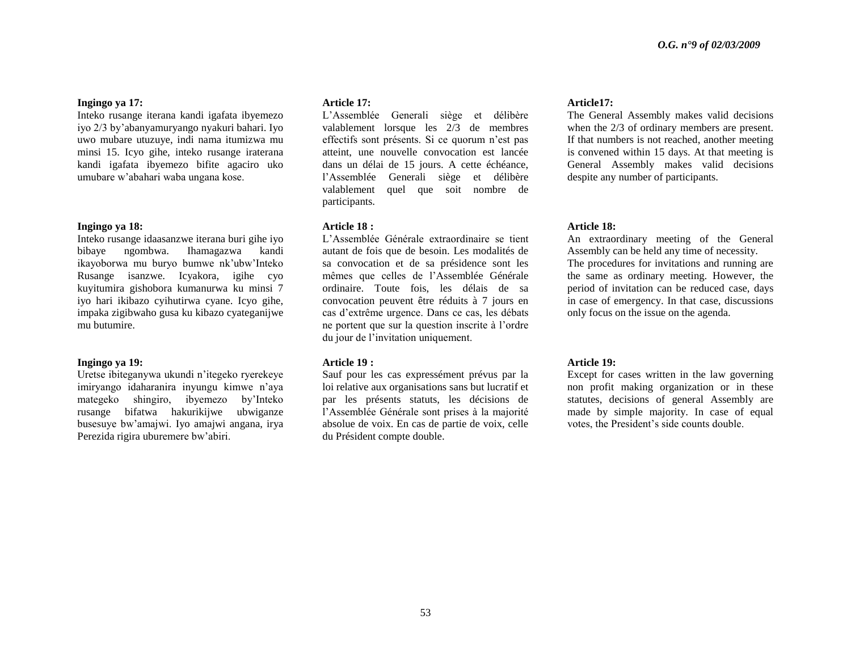#### **Ingingo ya 17:**

Inteko rusange iterana kandi igafata ibyemezo iyo 2/3 by"abanyamuryango nyakuri bahari. Iyo uwo mubare utuzuye, indi nama itumizwa mu minsi 15. Icyo gihe, inteko rusange iraterana kandi igafata ibyemezo bifite agaciro uko umubare w"abahari waba ungana kose.

#### **Ingingo ya 18:**

Inteko rusange idaasanzwe iterana buri gihe iyo bibaye ngombwa. Ihamagazwa kandi ikayoborwa mu buryo bumwe nk"ubw"Inteko Rusange isanzwe. Icyakora, igihe cyo kuyitumira gishobora kumanurwa ku minsi 7 iyo hari ikibazo cyihutirwa cyane. Icyo gihe, impaka zigibwaho gusa ku kibazo cyateganijwe mu butumire.

#### **Ingingo ya 19:**

Uretse ibiteganywa ukundi n"itegeko ryerekeye imiryango idaharanira inyungu kimwe n"aya mategeko shingiro, ibyemezo by"Inteko rusange bifatwa hakurikijwe ubwiganze busesuye bw"amajwi. Iyo amajwi angana, irya Perezida rigira uburemere bw"abiri.

#### **Article 17:**

L"Assemblée Generali siège et délibère valablement lorsque les 2/3 de membres effectifs sont présents. Si ce quorum n"est pas atteint, une nouvelle convocation est lancée dans un délai de 15 jours. A cette échéance, l"Assemblée Generali siège et délibère valablement quel que soit nombre de participants.

#### **Article 18 :**

L"Assemblée Générale extraordinaire se tient autant de fois que de besoin. Les modalités de sa convocation et de sa présidence sont les mêmes que celles de l"Assemblée Générale ordinaire. Toute fois, les délais de sa convocation peuvent être réduits à 7 jours en cas d"extrême urgence. Dans ce cas, les débats ne portent que sur la question inscrite à l"ordre du jour de l"invitation uniquement.

#### **Article 19 :**

Sauf pour les cas expressément prévus par la loi relative aux organisations sans but lucratif et par les présents statuts, les décisions de l"Assemblée Générale sont prises à la majorité absolue de voix. En cas de partie de voix, celle du Président compte double.

#### **Article17:**

The General Assembly makes valid decisions when the 2/3 of ordinary members are present. If that numbers is not reached, another meeting is convened within 15 days. At that meeting is General Assembly makes valid decisions despite any number of participants.

#### **Article 18:**

An extraordinary meeting of the General Assembly can be held any time of necessity. The procedures for invitations and running are the same as ordinary meeting. However, the period of invitation can be reduced case, days in case of emergency. In that case, discussions only focus on the issue on the agenda.

#### **Article 19:**

Except for cases written in the law governing non profit making organization or in these statutes, decisions of general Assembly are made by simple majority. In case of equal votes, the President"s side counts double.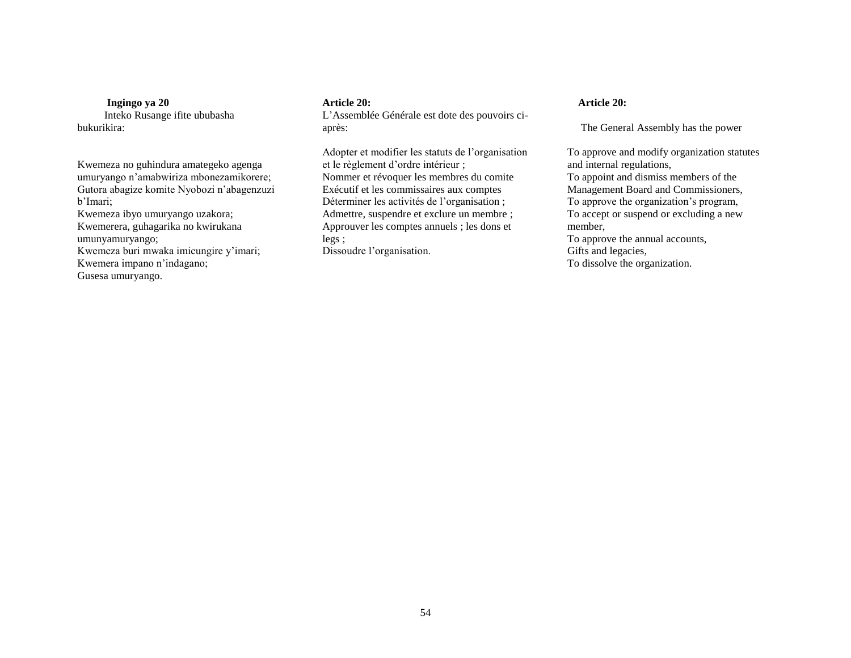**Ingingo ya 20** Inteko Rusange ifite ububasha bukurikira:

Kwemeza no guhindura amategeko agenga umuryango n"amabwiriza mbonezamikorere; Gutora abagize komite Nyobozi n"abagenzuzi b"Imari; Kwemeza ibyo umuryango uzakora; Kwemerera, guhagarika no kwirukana umunyamuryango; Kwemeza buri mwaka imicungire y"imari;

Kwemera impano n"indagano;

Gusesa umuryango.

#### **Article 20:**

L"Assemblée Générale est dote des pouvoirs ciaprès:

Adopter et modifier les statuts de l"organisation et le règlement d"ordre intérieur ; Nommer et révoquer les membres du comite Exécutif et les commissaires aux comptes Déterminer les activités de l'organisation ; Admettre, suspendre et exclure un membre ; Approuver les comptes annuels ; les dons et legs ;

Dissoudre l'organisation.

### **Article 20:**

The General Assembly has the power

To approve and modify organization statutes and internal regulations, To appoint and dismiss members of the Management Board and Commissioners, To approve the organization"s program, To accept or suspend or excluding a new member, To approve the annual accounts, Gifts and legacies, To dissolve the organization.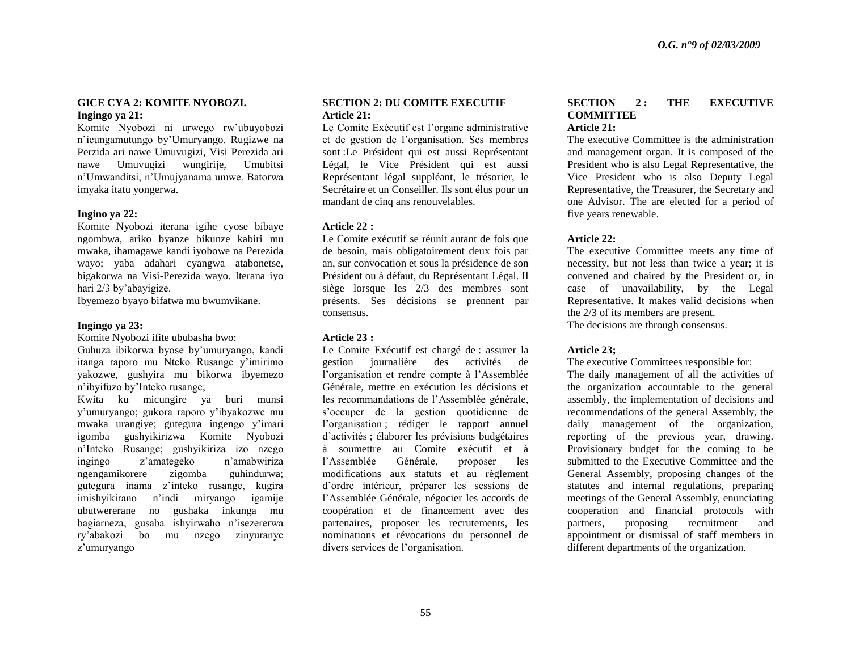#### **GICE CYA 2: KOMITE NYOBOZI. Ingingo ya 21:**

Komite Nyobozi ni urwego rw"ubuyobozi n"icungamutungo by"Umuryango. Rugizwe na Perzida ari nawe Umuvugizi, Visi Perezida ari nawe Umuvugizi wungirije, Umubitsi n"Umwanditsi, n"Umujyanama umwe. Batorwa imyaka itatu yongerwa.

#### **Ingino ya 22:**

Komite Nyobozi iterana igihe cyose bibaye ngombwa, ariko byanze bikunze kabiri mu mwaka, ihamagawe kandi iyobowe na Perezida wayo; yaba adahari cyangwa atabonetse, bigakorwa na Visi-Perezida wayo. Iterana iyo hari 2/3 by'abayigize.

Ibyemezo byayo bifatwa mu bwumvikane.

#### **Ingingo ya 23:**

Komite Nyobozi ifite ububasha bwo:

Guhuza ibikorwa byose by"umuryango, kandi itanga raporo mu Nteko Rusange y"imirimo yakozwe, gushyira mu bikorwa ibyemezo n"ibyifuzo by"Inteko rusange;

Kwita ku micungire ya buri munsi y"umuryango; gukora raporo y"ibyakozwe mu mwaka urangiye; gutegura ingengo y"imari igomba gushyikirizwa Komite Nyobozi n"Inteko Rusange; gushyikiriza izo nzego ingingo z"amategeko n"amabwiriza ngengamikorere zigomba guhindurwa; gutegura inama z"inteko rusange, kugira imishyikirano n"indi miryango igamije ubutwererane no gushaka inkunga mu bagiarneza, gusaba ishyirwaho n"isezererwa ry"abakozi bo mu nzego zinyuranye z"umuryango

#### **SECTION 2: DU COMITE EXECUTIF Article 21:**

Le Comite Exécutif est l"organe administrative et de gestion de l"organisation. Ses membres sont :Le Président qui est aussi Représentant Légal, le Vice Président qui est aussi Représentant légal suppléant, le trésorier, le Secrétaire et un Conseiller. Ils sont élus pour un mandant de cinq ans renouvelables.

#### **Article 22 :**

Le Comite exécutif se réunit autant de fois que de besoin, mais obligatoirement deux fois par an, sur convocation et sous la présidence de son Président ou à défaut, du Représentant Légal. Il siège lorsque les 2/3 des membres sont présents. Ses décisions se prennent par consensus.

#### **Article 23 :**

Le Comite Exécutif est chargé de : assurer la gestion journalière des activités de l"organisation et rendre compte à l"Assemblée Générale, mettre en exécution les décisions et les recommandations de l"Assemblée générale, s"occuper de la gestion quotidienne de l'organisation ; rédiger le rapport annuel d"activités ; élaborer les prévisions budgétaires à soumettre au Comite exécutif et à l"Assemblée Générale, proposer les modifications aux statuts et au règlement d"ordre intérieur, préparer les sessions de l"Assemblée Générale, négocier les accords de coopération et de financement avec des partenaires, proposer les recrutements, les nominations et révocations du personnel de divers services de l"organisation.

#### **SECTION 2 : THE EXECUTIVE COMMITTEE Article 21:**

The executive Committee is the administration and management organ. It is composed of the President who is also Legal Representative, the Vice President who is also Deputy Legal Representative, the Treasurer, the Secretary and one Advisor. The are elected for a period of five years renewable.

#### **Article 22:**

The executive Committee meets any time of necessity, but not less than twice a year; it is convened and chaired by the President or, in case of unavailability, by the Legal Representative. It makes valid decisions when the 2/3 of its members are present. The decisions are through consensus.

#### **Article 23;**

The executive Committees responsible for:

The daily management of all the activities of the organization accountable to the general assembly, the implementation of decisions and recommendations of the general Assembly, the daily management of the organization, reporting of the previous year, drawing. Provisionary budget for the coming to be submitted to the Executive Committee and the General Assembly, proposing changes of the statutes and internal regulations, preparing meetings of the General Assembly, enunciating cooperation and financial protocols with partners, proposing recruitment and appointment or dismissal of staff members in different departments of the organization.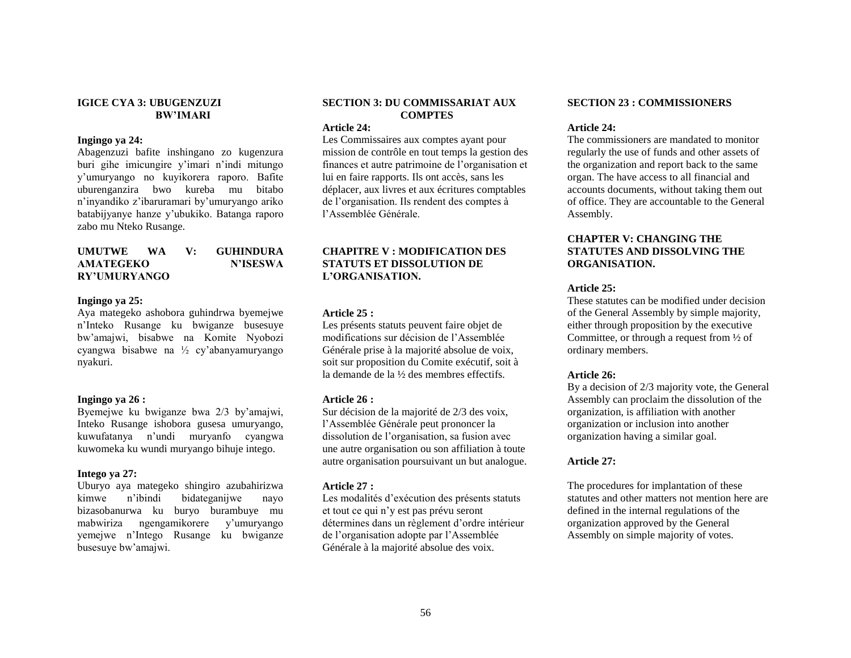#### **IGICE CYA 3: UBUGENZUZI BW"IMARI**

#### **Ingingo ya 24:**

Abagenzuzi bafite inshingano zo kugenzura buri gihe imicungire y"imari n"indi mitungo y"umuryango no kuyikorera raporo. Bafite uburenganzira bwo kureba mu bitabo n"inyandiko z"ibaruramari by"umuryango ariko batabijyanye hanze y"ubukiko. Batanga raporo zabo mu Nteko Rusange.

#### **UMUTWE WA V: GUHINDURA AMATEGEKO N"ISESWA RY"UMURYANGO**

#### **Ingingo ya 25:**

Aya mategeko ashobora guhindrwa byemejwe n"Inteko Rusange ku bwiganze busesuye bw"amajwi, bisabwe na Komite Nyobozi cyangwa bisabwe na ½ cy"abanyamuryango nyakuri.

#### **Ingingo ya 26 :**

Byemejwe ku bwiganze bwa 2/3 by"amajwi, Inteko Rusange ishobora gusesa umuryango, kuwufatanya n"undi muryanfo cyangwa kuwomeka ku wundi muryango bihuje intego.

#### **Intego ya 27:**

Uburyo aya mategeko shingiro azubahirizwa kimwe n"ibindi bidateganijwe nayo bizasobanurwa ku buryo burambuye mu mabwiriza ngengamikorere y"umuryango yemejwe n"Intego Rusange ku bwiganze busesuye bw"amajwi.

### **SECTION 3: DU COMMISSARIAT AUX COMPTES**

### **Article 24:**

Les Commissaires aux comptes ayant pour mission de contrôle en tout temps la gestion des finances et autre patrimoine de l"organisation et lui en faire rapports. Ils ont accès, sans les déplacer, aux livres et aux écritures comptables de l"organisation. Ils rendent des comptes à l"Assemblée Générale.

#### **CHAPITRE V : MODIFICATION DES STATUTS ET DISSOLUTION DE L"ORGANISATION.**

#### **Article 25 :**

Les présents statuts peuvent faire objet de modifications sur décision de l"Assemblée Générale prise à la majorité absolue de voix, soit sur proposition du Comite exécutif, soit à la demande de la ½ des membres effectifs.

#### **Article 26 :**

Sur décision de la majorité de 2/3 des voix, l"Assemblée Générale peut prononcer la dissolution de l"organisation, sa fusion avec une autre organisation ou son affiliation à toute autre organisation poursuivant un but analogue.

#### **Article 27 :**

Les modalités d'exécution des présents statuts et tout ce qui n"y est pas prévu seront détermines dans un règlement d"ordre intérieur de l"organisation adopte par l"Assemblée Générale à la majorité absolue des voix.

#### **SECTION 23 : COMMISSIONERS**

#### **Article 24:**

The commissioners are mandated to monitor regularly the use of funds and other assets of the organization and report back to the same organ. The have access to all financial and accounts documents, without taking them out of office. They are accountable to the General Assembly.

#### **CHAPTER V: CHANGING THE STATUTES AND DISSOLVING THE ORGANISATION.**

#### **Article 25:**

These statutes can be modified under decision of the General Assembly by simple majority, either through proposition by the executive Committee, or through a request from ½ of ordinary members.

#### **Article 26:**

By a decision of 2/3 majority vote, the General Assembly can proclaim the dissolution of the organization, is affiliation with another organization or inclusion into another organization having a similar goal.

#### **Article 27:**

The procedures for implantation of these statutes and other matters not mention here are defined in the internal regulations of the organization approved by the General Assembly on simple majority of votes.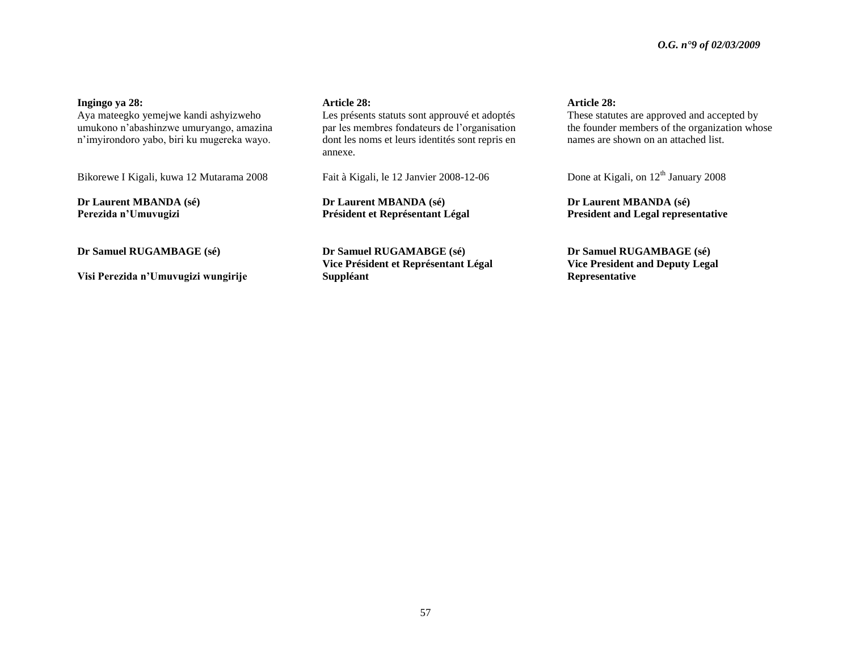#### **Ingingo ya 28:**

Aya mateegko yemejwe kandi ashyizweho umukono n"abashinzwe umuryango, amazina n"imyirondoro yabo, biri ku mugereka wayo.

Bikorewe I Kigali, kuwa 12 Mutarama 2008

**Dr Laurent MBANDA (sé) Perezida n"Umuvugizi**

**Dr Samuel RUGAMBAGE (sé)**

**Visi Perezida n"Umuvugizi wungirije**

#### **Article 28:**

Les présents statuts sont approuvé et adoptés par les membres fondateurs de l"organisation dont les noms et leurs identités sont repris en annexe.

Fait à Kigali, le 12 Janvier 2008-12-06

**Dr Laurent MBANDA (sé) Président et Représentant Légal**

**Dr Samuel RUGAMABGE (sé) Vice Président et Représentant Légal Suppléant**

#### **Article 28:**

These statutes are approved and accepted by the founder members of the organization whose names are shown on an attached list.

Done at Kigali, on  $12<sup>th</sup>$  January 2008

**Dr Laurent MBANDA (sé) President and Legal representative**

**Dr Samuel RUGAMBAGE (sé) Vice President and Deputy Legal Representative**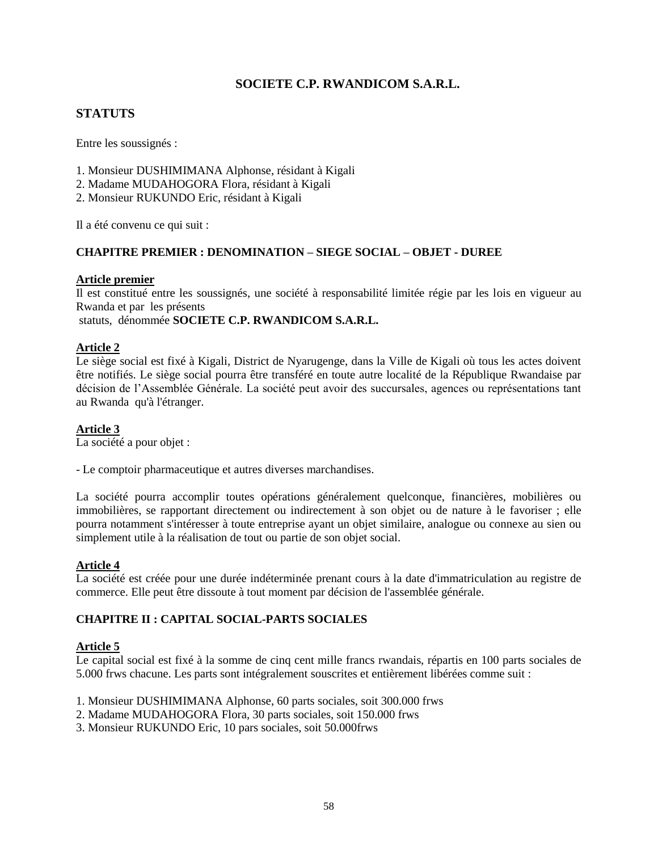## **SOCIETE C.P. RWANDICOM S.A.R.L.**

## **STATUTS**

Entre les soussignés :

- 1. Monsieur DUSHIMIMANA Alphonse, résidant à Kigali
- 2. Madame MUDAHOGORA Flora, résidant à Kigali
- 2. Monsieur RUKUNDO Eric, résidant à Kigali

Il a été convenu ce qui suit :

### **CHAPITRE PREMIER : DENOMINATION – SIEGE SOCIAL – OBJET - DUREE**

### **Article premier**

Il est constitué entre les soussignés, une société à responsabilité limitée régie par les lois en vigueur au Rwanda et par les présents

statuts, dénommée **SOCIETE C.P. RWANDICOM S.A.R.L.**

### **Article 2**

Le siège social est fixé à Kigali, District de Nyarugenge, dans la Ville de Kigali où tous les actes doivent être notifiés. Le siège social pourra être transféré en toute autre localité de la République Rwandaise par décision de l"Assemblée Générale. La société peut avoir des succursales, agences ou représentations tant au Rwanda qu'à l'étranger.

### **Article 3**

La société a pour objet :

- Le comptoir pharmaceutique et autres diverses marchandises.

La société pourra accomplir toutes opérations généralement quelconque, financières, mobilières ou immobilières, se rapportant directement ou indirectement à son objet ou de nature à le favoriser ; elle pourra notamment s'intéresser à toute entreprise ayant un objet similaire, analogue ou connexe au sien ou simplement utile à la réalisation de tout ou partie de son objet social.

### **Article 4**

La société est créée pour une durée indéterminée prenant cours à la date d'immatriculation au registre de commerce. Elle peut être dissoute à tout moment par décision de l'assemblée générale.

### **CHAPITRE II : CAPITAL SOCIAL-PARTS SOCIALES**

### **Article 5**

Le capital social est fixé à la somme de cinq cent mille francs rwandais, répartis en 100 parts sociales de 5.000 frws chacune. Les parts sont intégralement souscrites et entièrement libérées comme suit :

- 1. Monsieur DUSHIMIMANA Alphonse, 60 parts sociales, soit 300.000 frws
- 2. Madame MUDAHOGORA Flora, 30 parts sociales, soit 150.000 frws
- 3. Monsieur RUKUNDO Eric, 10 pars sociales, soit 50.000frws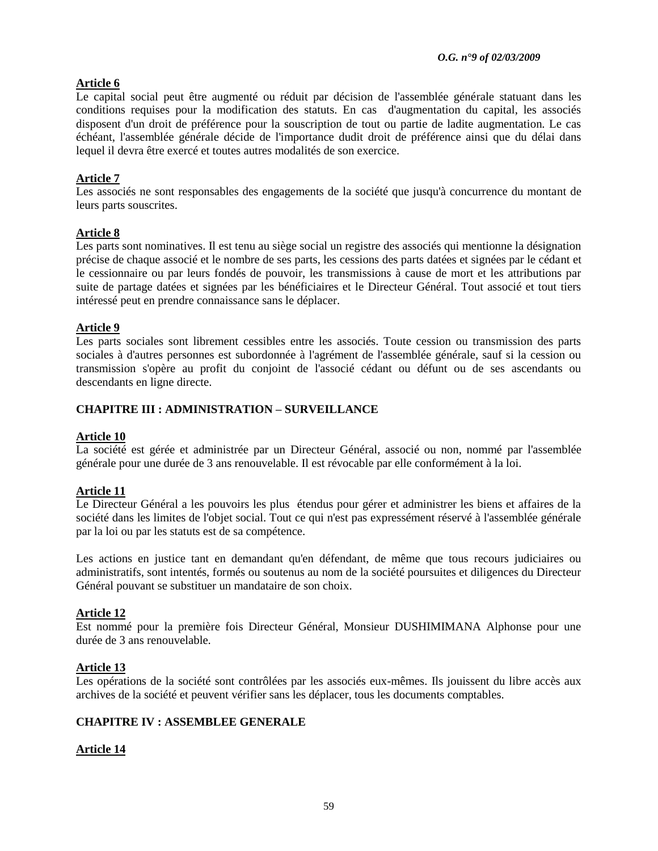## **Article 6**

Le capital social peut être augmenté ou réduit par décision de l'assemblée générale statuant dans les conditions requises pour la modification des statuts. En cas d'augmentation du capital, les associés disposent d'un droit de préférence pour la souscription de tout ou partie de ladite augmentation. Le cas échéant, l'assemblée générale décide de l'importance dudit droit de préférence ainsi que du délai dans lequel il devra être exercé et toutes autres modalités de son exercice.

### **Article 7**

Les associés ne sont responsables des engagements de la société que jusqu'à concurrence du montant de leurs parts souscrites.

### **Article 8**

Les parts sont nominatives. Il est tenu au siège social un registre des associés qui mentionne la désignation précise de chaque associé et le nombre de ses parts, les cessions des parts datées et signées par le cédant et le cessionnaire ou par leurs fondés de pouvoir, les transmissions à cause de mort et les attributions par suite de partage datées et signées par les bénéficiaires et le Directeur Général. Tout associé et tout tiers intéressé peut en prendre connaissance sans le déplacer.

### **Article 9**

Les parts sociales sont librement cessibles entre les associés. Toute cession ou transmission des parts sociales à d'autres personnes est subordonnée à l'agrément de l'assemblée générale, sauf si la cession ou transmission s'opère au profit du conjoint de l'associé cédant ou défunt ou de ses ascendants ou descendants en ligne directe.

### **CHAPITRE III : ADMINISTRATION – SURVEILLANCE**

### **Article 10**

La société est gérée et administrée par un Directeur Général, associé ou non, nommé par l'assemblée générale pour une durée de 3 ans renouvelable. Il est révocable par elle conformément à la loi.

### **Article 11**

Le Directeur Général a les pouvoirs les plus étendus pour gérer et administrer les biens et affaires de la société dans les limites de l'objet social. Tout ce qui n'est pas expressément réservé à l'assemblée générale par la loi ou par les statuts est de sa compétence.

Les actions en justice tant en demandant qu'en défendant, de même que tous recours judiciaires ou administratifs, sont intentés, formés ou soutenus au nom de la société poursuites et diligences du Directeur Général pouvant se substituer un mandataire de son choix.

### **Article 12**

Est nommé pour la première fois Directeur Général, Monsieur DUSHIMIMANA Alphonse pour une durée de 3 ans renouvelable.

### **Article 13**

Les opérations de la société sont contrôlées par les associés eux-mêmes. Ils jouissent du libre accès aux archives de la société et peuvent vérifier sans les déplacer, tous les documents comptables.

### **CHAPITRE IV : ASSEMBLEE GENERALE**

### **Article 14**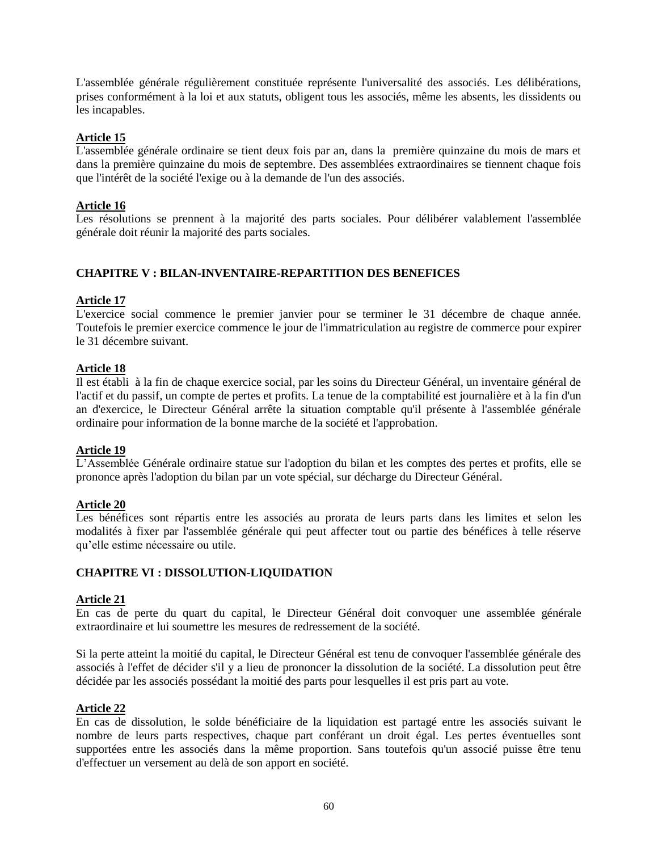L'assemblée générale régulièrement constituée représente l'universalité des associés. Les délibérations, prises conformément à la loi et aux statuts, obligent tous les associés, même les absents, les dissidents ou les incapables.

### **Article 15**

L'assemblée générale ordinaire se tient deux fois par an, dans la première quinzaine du mois de mars et dans la première quinzaine du mois de septembre. Des assemblées extraordinaires se tiennent chaque fois que l'intérêt de la société l'exige ou à la demande de l'un des associés.

### **Article 16**

Les résolutions se prennent à la majorité des parts sociales. Pour délibérer valablement l'assemblée générale doit réunir la majorité des parts sociales.

### **CHAPITRE V : BILAN-INVENTAIRE-REPARTITION DES BENEFICES**

### **Article 17**

L'exercice social commence le premier janvier pour se terminer le 31 décembre de chaque année. Toutefois le premier exercice commence le jour de l'immatriculation au registre de commerce pour expirer le 31 décembre suivant.

### **Article 18**

Il est établi à la fin de chaque exercice social, par les soins du Directeur Général, un inventaire général de l'actif et du passif, un compte de pertes et profits. La tenue de la comptabilité est journalière et à la fin d'un an d'exercice, le Directeur Général arrête la situation comptable qu'il présente à l'assemblée générale ordinaire pour information de la bonne marche de la société et l'approbation.

### **Article 19**

L"Assemblée Générale ordinaire statue sur l'adoption du bilan et les comptes des pertes et profits, elle se prononce après l'adoption du bilan par un vote spécial, sur décharge du Directeur Général.

### **Article 20**

Les bénéfices sont répartis entre les associés au prorata de leurs parts dans les limites et selon les modalités à fixer par l'assemblée générale qui peut affecter tout ou partie des bénéfices à telle réserve qu"elle estime nécessaire ou utile.

### **CHAPITRE VI : DISSOLUTION-LIQUIDATION**

### **Article 21**

En cas de perte du quart du capital, le Directeur Général doit convoquer une assemblée générale extraordinaire et lui soumettre les mesures de redressement de la société.

Si la perte atteint la moitié du capital, le Directeur Général est tenu de convoquer l'assemblée générale des associés à l'effet de décider s'il y a lieu de prononcer la dissolution de la société. La dissolution peut être décidée par les associés possédant la moitié des parts pour lesquelles il est pris part au vote.

### **Article 22**

En cas de dissolution, le solde bénéficiaire de la liquidation est partagé entre les associés suivant le nombre de leurs parts respectives, chaque part conférant un droit égal. Les pertes éventuelles sont supportées entre les associés dans la même proportion. Sans toutefois qu'un associé puisse être tenu d'effectuer un versement au delà de son apport en société.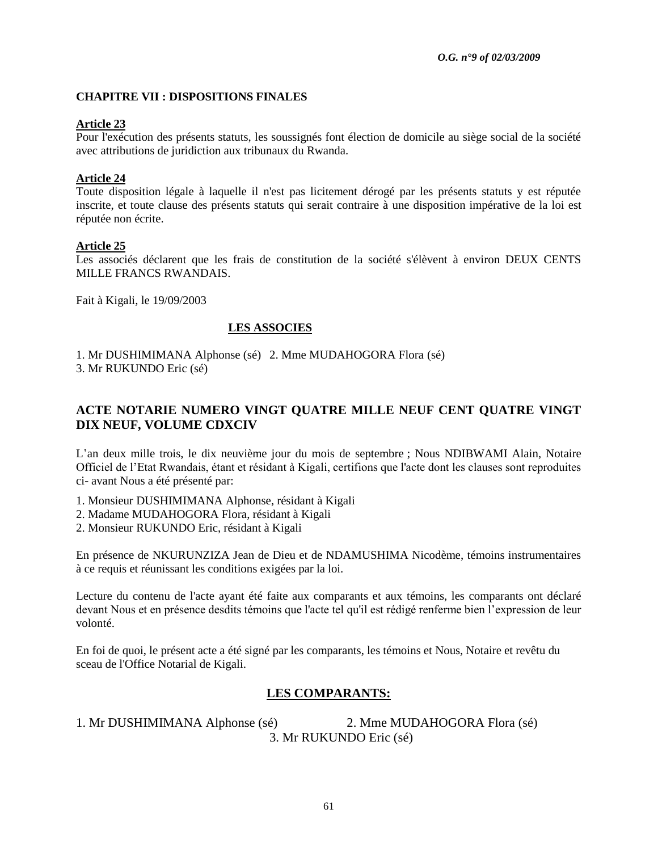### **CHAPITRE VII : DISPOSITIONS FINALES**

### **Article 23**

Pour l'exécution des présents statuts, les soussignés font élection de domicile au siège social de la société avec attributions de juridiction aux tribunaux du Rwanda.

### **Article 24**

Toute disposition légale à laquelle il n'est pas licitement dérogé par les présents statuts y est réputée inscrite, et toute clause des présents statuts qui serait contraire à une disposition impérative de la loi est réputée non écrite.

### **Article 25**

Les associés déclarent que les frais de constitution de la société s'élèvent à environ DEUX CENTS MILLE FRANCS RWANDAIS.

Fait à Kigali, le 19/09/2003

### **LES ASSOCIES**

1. Mr DUSHIMIMANA Alphonse (sé) 2. Mme MUDAHOGORA Flora (sé) 3. Mr RUKUNDO Eric (sé)

# **ACTE NOTARIE NUMERO VINGT QUATRE MILLE NEUF CENT QUATRE VINGT DIX NEUF, VOLUME CDXCIV**

L"an deux mille trois, le dix neuvième jour du mois de septembre ; Nous NDIBWAMI Alain, Notaire Officiel de l"Etat Rwandais, étant et résidant à Kigali, certifions que l'acte dont les clauses sont reproduites ci- avant Nous a été présenté par:

- 1. Monsieur DUSHIMIMANA Alphonse, résidant à Kigali
- 2. Madame MUDAHOGORA Flora, résidant à Kigali
- 2. Monsieur RUKUNDO Eric, résidant à Kigali

En présence de NKURUNZIZA Jean de Dieu et de NDAMUSHIMA Nicodème, témoins instrumentaires à ce requis et réunissant les conditions exigées par la loi.

Lecture du contenu de l'acte ayant été faite aux comparants et aux témoins, les comparants ont déclaré devant Nous et en présence desdits témoins que l'acte tel qu'il est rédigé renferme bien l"expression de leur volonté.

En foi de quoi, le présent acte a été signé par les comparants, les témoins et Nous, Notaire et revêtu du sceau de l'Office Notarial de Kigali.

# **LES COMPARANTS:**

1. Mr DUSHIMIMANA Alphonse (sé) 2. Mme MUDAHOGORA Flora (sé) 3. Mr RUKUNDO Eric (sé)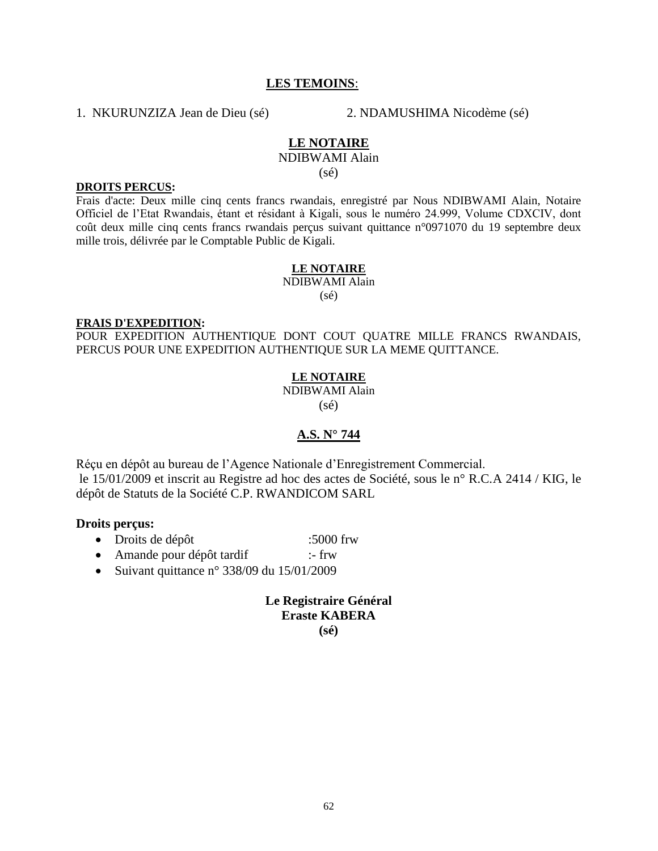### **LES TEMOINS**:

1. NKURUNZIZA Jean de Dieu (sé) 2. NDAMUSHIMA Nicodème (sé)

### **LE NOTAIRE**

NDIBWAMI Alain

(sé)

#### **DROITS PERCUS:**

Frais d'acte: Deux mille cinq cents francs rwandais, enregistré par Nous NDIBWAMI Alain, Notaire Officiel de l"Etat Rwandais, étant et résidant à Kigali, sous le numéro 24.999, Volume CDXCIV, dont coût deux mille cinq cents francs rwandais perçus suivant quittance n°0971070 du 19 septembre deux mille trois, délivrée par le Comptable Public de Kigali.

### **LE NOTAIRE**

NDIBWAMI Alain

(sé)

#### **FRAIS D'EXPEDITION:**

POUR EXPEDITION AUTHENTIQUE DONT COUT QUATRE MILLE FRANCS RWANDAIS, PERCUS POUR UNE EXPEDITION AUTHENTIQUE SUR LA MEME QUITTANCE.

### **LE NOTAIRE**

NDIBWAMI Alain  $(s\acute{e})$ 

### **A.S. N° 744**

Réçu en dépôt au bureau de l"Agence Nationale d"Enregistrement Commercial. le 15/01/2009 et inscrit au Registre ad hoc des actes de Société, sous le n° R.C.A 2414 / KIG, le dépôt de Statuts de la Société C.P. RWANDICOM SARL

### **Droits perçus:**

- Droits de dépôt :5000 frw
- Amande pour dépôt tardif :- frw
- Suivant quittance  $n^{\circ}$  338/09 du 15/01/2009

### **Le Registraire Général Eraste KABERA (sé)**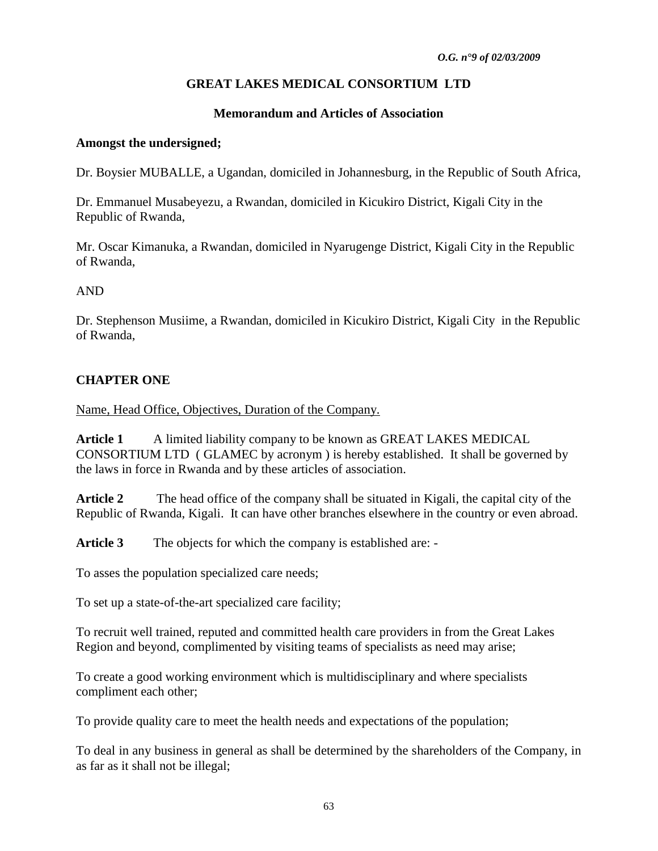# **GREAT LAKES MEDICAL CONSORTIUM LTD**

## **Memorandum and Articles of Association**

### **Amongst the undersigned;**

Dr. Boysier MUBALLE, a Ugandan, domiciled in Johannesburg, in the Republic of South Africa,

Dr. Emmanuel Musabeyezu, a Rwandan, domiciled in Kicukiro District, Kigali City in the Republic of Rwanda,

Mr. Oscar Kimanuka, a Rwandan, domiciled in Nyarugenge District, Kigali City in the Republic of Rwanda,

### AND

Dr. Stephenson Musiime, a Rwandan, domiciled in Kicukiro District, Kigali City in the Republic of Rwanda,

## **CHAPTER ONE**

Name, Head Office, Objectives, Duration of the Company.

**Article 1** A limited liability company to be known as GREAT LAKES MEDICAL CONSORTIUM LTD ( GLAMEC by acronym ) is hereby established. It shall be governed by the laws in force in Rwanda and by these articles of association.

**Article 2** The head office of the company shall be situated in Kigali, the capital city of the Republic of Rwanda, Kigali. It can have other branches elsewhere in the country or even abroad.

**Article 3** The objects for which the company is established are: -

To asses the population specialized care needs;

To set up a state-of-the-art specialized care facility;

To recruit well trained, reputed and committed health care providers in from the Great Lakes Region and beyond, complimented by visiting teams of specialists as need may arise;

To create a good working environment which is multidisciplinary and where specialists compliment each other;

To provide quality care to meet the health needs and expectations of the population;

To deal in any business in general as shall be determined by the shareholders of the Company, in as far as it shall not be illegal;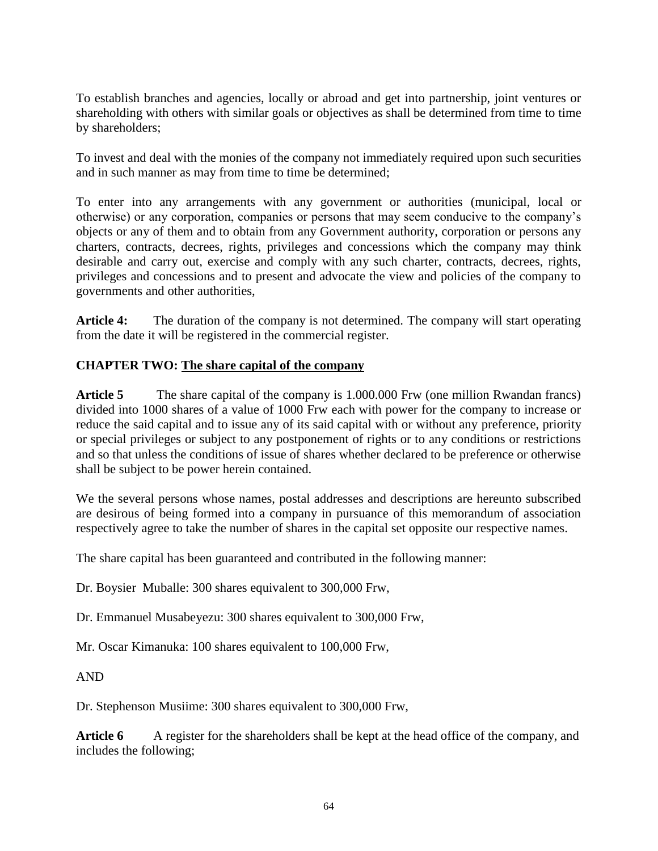To establish branches and agencies, locally or abroad and get into partnership, joint ventures or shareholding with others with similar goals or objectives as shall be determined from time to time by shareholders;

To invest and deal with the monies of the company not immediately required upon such securities and in such manner as may from time to time be determined;

To enter into any arrangements with any government or authorities (municipal, local or otherwise) or any corporation, companies or persons that may seem conducive to the company"s objects or any of them and to obtain from any Government authority, corporation or persons any charters, contracts, decrees, rights, privileges and concessions which the company may think desirable and carry out, exercise and comply with any such charter, contracts, decrees, rights, privileges and concessions and to present and advocate the view and policies of the company to governments and other authorities,

Article 4: The duration of the company is not determined. The company will start operating from the date it will be registered in the commercial register.

## **CHAPTER TWO: The share capital of the company**

**Article 5** The share capital of the company is 1.000.000 Frw (one million Rwandan francs) divided into 1000 shares of a value of 1000 Frw each with power for the company to increase or reduce the said capital and to issue any of its said capital with or without any preference, priority or special privileges or subject to any postponement of rights or to any conditions or restrictions and so that unless the conditions of issue of shares whether declared to be preference or otherwise shall be subject to be power herein contained.

We the several persons whose names, postal addresses and descriptions are hereunto subscribed are desirous of being formed into a company in pursuance of this memorandum of association respectively agree to take the number of shares in the capital set opposite our respective names.

The share capital has been guaranteed and contributed in the following manner:

Dr. Boysier Muballe: 300 shares equivalent to 300,000 Frw,

Dr. Emmanuel Musabeyezu: 300 shares equivalent to 300,000 Frw,

Mr. Oscar Kimanuka: 100 shares equivalent to 100,000 Frw,

AND

Dr. Stephenson Musiime: 300 shares equivalent to 300,000 Frw,

Article 6 A register for the shareholders shall be kept at the head office of the company, and includes the following;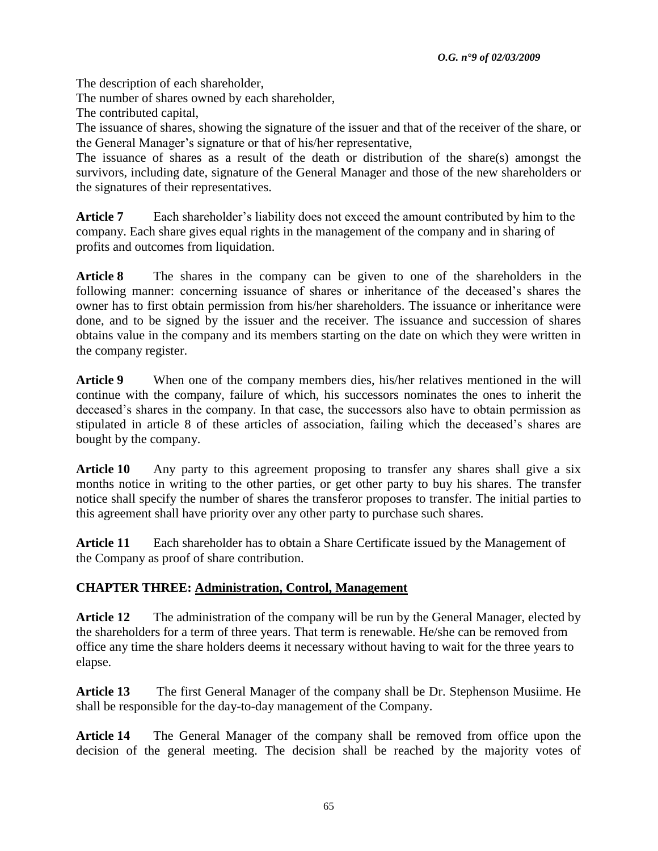The description of each shareholder,

The number of shares owned by each shareholder,

The contributed capital,

The issuance of shares, showing the signature of the issuer and that of the receiver of the share, or the General Manager"s signature or that of his/her representative,

The issuance of shares as a result of the death or distribution of the share(s) amongst the survivors, including date, signature of the General Manager and those of the new shareholders or the signatures of their representatives.

Article 7 Each shareholder's liability does not exceed the amount contributed by him to the company. Each share gives equal rights in the management of the company and in sharing of profits and outcomes from liquidation.

**Article 8** The shares in the company can be given to one of the shareholders in the following manner: concerning issuance of shares or inheritance of the deceased"s shares the owner has to first obtain permission from his/her shareholders. The issuance or inheritance were done, and to be signed by the issuer and the receiver. The issuance and succession of shares obtains value in the company and its members starting on the date on which they were written in the company register.

**Article 9** When one of the company members dies, his/her relatives mentioned in the will continue with the company, failure of which, his successors nominates the ones to inherit the deceased's shares in the company. In that case, the successors also have to obtain permission as stipulated in article 8 of these articles of association, failing which the deceased"s shares are bought by the company.

Article 10 Any party to this agreement proposing to transfer any shares shall give a six months notice in writing to the other parties, or get other party to buy his shares. The transfer notice shall specify the number of shares the transferor proposes to transfer. The initial parties to this agreement shall have priority over any other party to purchase such shares.

**Article 11** Each shareholder has to obtain a Share Certificate issued by the Management of the Company as proof of share contribution.

# **CHAPTER THREE: Administration, Control, Management**

**Article 12** The administration of the company will be run by the General Manager, elected by the shareholders for a term of three years. That term is renewable. He/she can be removed from office any time the share holders deems it necessary without having to wait for the three years to elapse.

**Article 13** The first General Manager of the company shall be Dr. Stephenson Musiime. He shall be responsible for the day-to-day management of the Company.

**Article 14** The General Manager of the company shall be removed from office upon the decision of the general meeting. The decision shall be reached by the majority votes of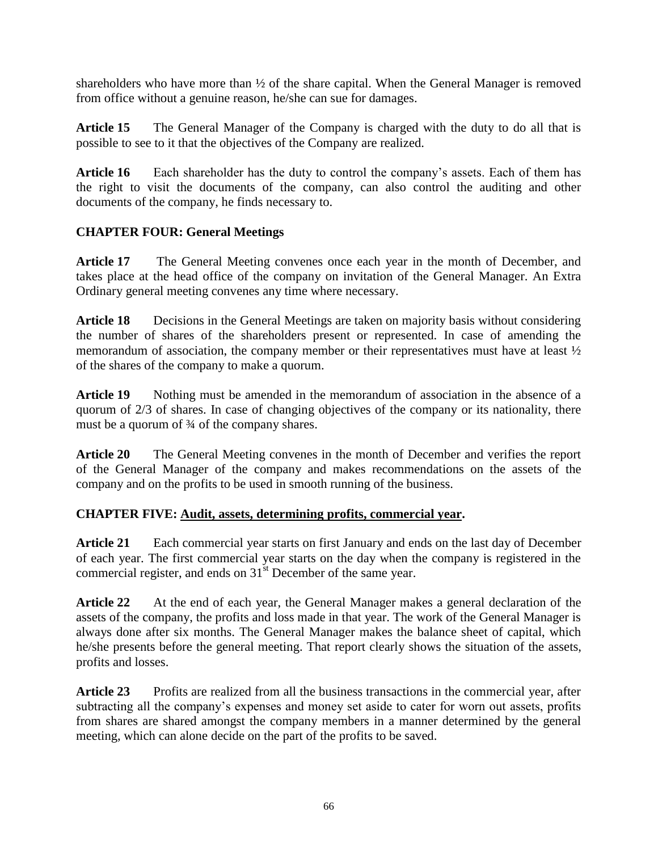shareholders who have more than  $\frac{1}{2}$  of the share capital. When the General Manager is removed from office without a genuine reason, he/she can sue for damages.

**Article 15** The General Manager of the Company is charged with the duty to do all that is possible to see to it that the objectives of the Company are realized.

**Article 16** Each shareholder has the duty to control the company"s assets. Each of them has the right to visit the documents of the company, can also control the auditing and other documents of the company, he finds necessary to.

# **CHAPTER FOUR: General Meetings**

**Article 17** The General Meeting convenes once each year in the month of December, and takes place at the head office of the company on invitation of the General Manager. An Extra Ordinary general meeting convenes any time where necessary.

**Article 18** Decisions in the General Meetings are taken on majority basis without considering the number of shares of the shareholders present or represented. In case of amending the memorandum of association, the company member or their representatives must have at least ½ of the shares of the company to make a quorum.

Article 19 Nothing must be amended in the memorandum of association in the absence of a quorum of 2/3 of shares. In case of changing objectives of the company or its nationality, there must be a quorum of  $\frac{3}{4}$  of the company shares.

**Article 20** The General Meeting convenes in the month of December and verifies the report of the General Manager of the company and makes recommendations on the assets of the company and on the profits to be used in smooth running of the business.

# **CHAPTER FIVE: Audit, assets, determining profits, commercial year.**

**Article 21** Each commercial year starts on first January and ends on the last day of December of each year. The first commercial year starts on the day when the company is registered in the commercial register, and ends on 31<sup>st</sup> December of the same year.

**Article 22** At the end of each year, the General Manager makes a general declaration of the assets of the company, the profits and loss made in that year. The work of the General Manager is always done after six months. The General Manager makes the balance sheet of capital, which he/she presents before the general meeting. That report clearly shows the situation of the assets, profits and losses.

**Article 23** Profits are realized from all the business transactions in the commercial year, after subtracting all the company's expenses and money set aside to cater for worn out assets, profits from shares are shared amongst the company members in a manner determined by the general meeting, which can alone decide on the part of the profits to be saved.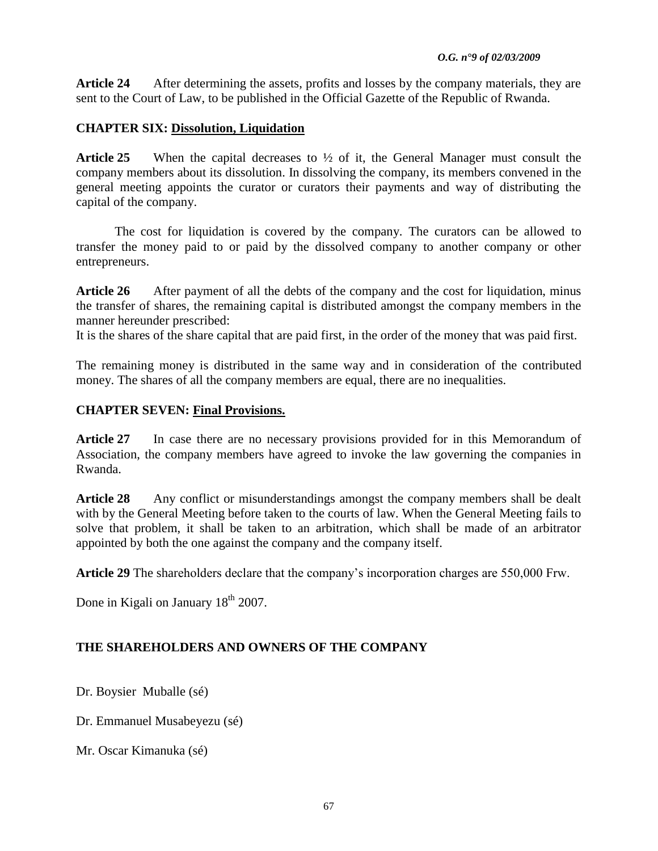**Article 24** After determining the assets, profits and losses by the company materials, they are sent to the Court of Law, to be published in the Official Gazette of the Republic of Rwanda.

# **CHAPTER SIX: Dissolution, Liquidation**

**Article 25** When the capital decreases to ½ of it, the General Manager must consult the company members about its dissolution. In dissolving the company, its members convened in the general meeting appoints the curator or curators their payments and way of distributing the capital of the company.

The cost for liquidation is covered by the company. The curators can be allowed to transfer the money paid to or paid by the dissolved company to another company or other entrepreneurs.

Article 26 After payment of all the debts of the company and the cost for liquidation, minus the transfer of shares, the remaining capital is distributed amongst the company members in the manner hereunder prescribed:

It is the shares of the share capital that are paid first, in the order of the money that was paid first.

The remaining money is distributed in the same way and in consideration of the contributed money. The shares of all the company members are equal, there are no inequalities.

# **CHAPTER SEVEN: Final Provisions.**

**Article 27** In case there are no necessary provisions provided for in this Memorandum of Association, the company members have agreed to invoke the law governing the companies in Rwanda.

**Article 28** Any conflict or misunderstandings amongst the company members shall be dealt with by the General Meeting before taken to the courts of law. When the General Meeting fails to solve that problem, it shall be taken to an arbitration, which shall be made of an arbitrator appointed by both the one against the company and the company itself.

Article 29 The shareholders declare that the company's incorporation charges are 550,000 Frw.

Done in Kigali on January 18<sup>th</sup> 2007.

# **THE SHAREHOLDERS AND OWNERS OF THE COMPANY**

Dr. Boysier Muballe (sé)

Dr. Emmanuel Musabeyezu (sé)

Mr. Oscar Kimanuka (sé)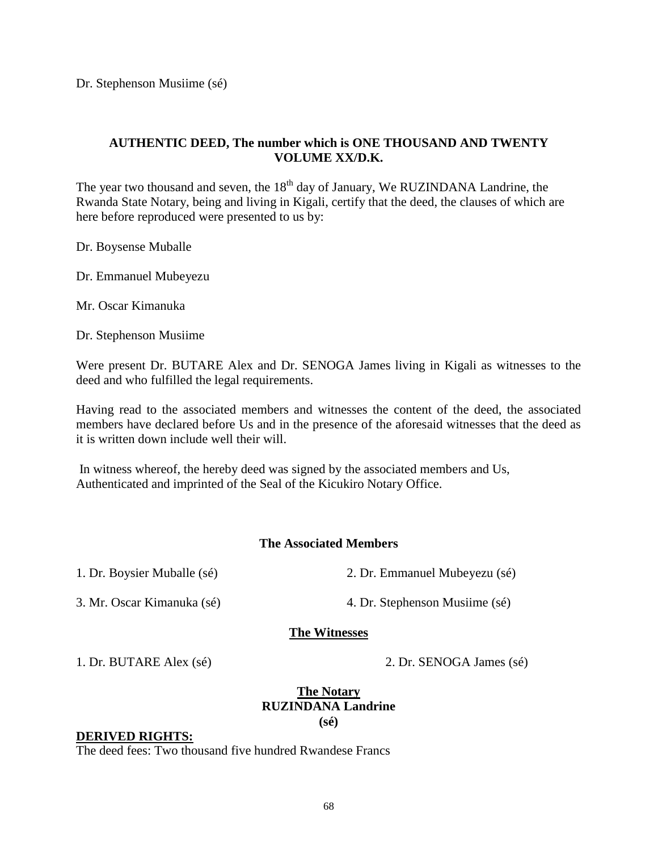Dr. Stephenson Musiime (sé)

## **AUTHENTIC DEED, The number which is ONE THOUSAND AND TWENTY VOLUME XX/D.K.**

The year two thousand and seven, the 18<sup>th</sup> day of January, We RUZINDANA Landrine, the Rwanda State Notary, being and living in Kigali, certify that the deed, the clauses of which are here before reproduced were presented to us by:

Dr. Boysense Muballe

Dr. Emmanuel Mubeyezu

Mr. Oscar Kimanuka

Dr. Stephenson Musiime

Were present Dr. BUTARE Alex and Dr. SENOGA James living in Kigali as witnesses to the deed and who fulfilled the legal requirements.

Having read to the associated members and witnesses the content of the deed, the associated members have declared before Us and in the presence of the aforesaid witnesses that the deed as it is written down include well their will.

In witness whereof, the hereby deed was signed by the associated members and Us, Authenticated and imprinted of the Seal of the Kicukiro Notary Office.

### **The Associated Members**

1. Dr. Boysier Muballe (sé) 2. Dr. Emmanuel Mubeyezu (sé)

3. Mr. Oscar Kimanuka (sé) 4. Dr. Stephenson Musiime (sé)

### **The Witnesses**

1. Dr. BUTARE Alex (sé) 2. Dr. SENOGA James (sé)

### **The Notary RUZINDANA Landrine (sé)**

### **DERIVED RIGHTS:**

The deed fees: Two thousand five hundred Rwandese Francs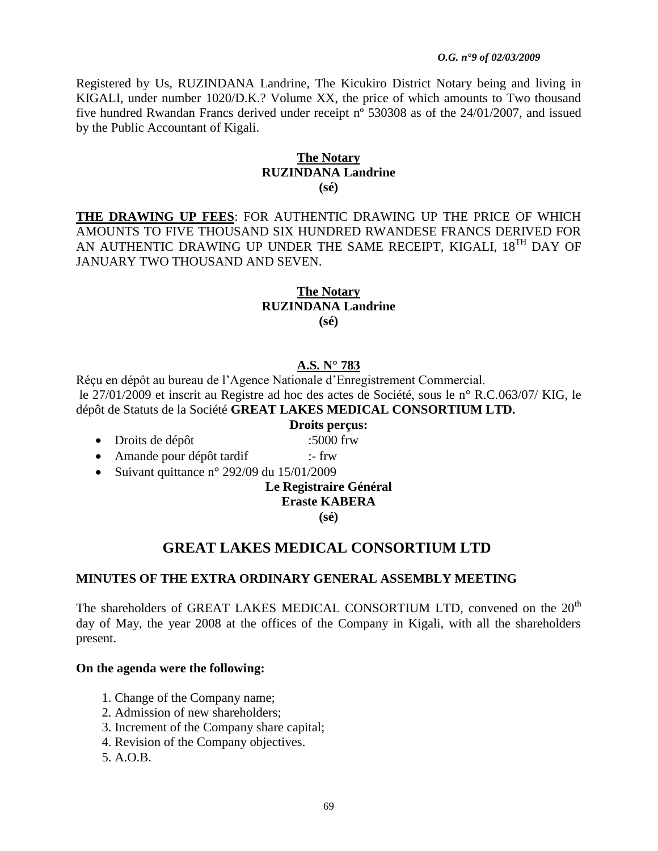### *O.G. n°9 of 02/03/2009*

Registered by Us, RUZINDANA Landrine, The Kicukiro District Notary being and living in KIGALI, under number 1020/D.K.? Volume XX, the price of which amounts to Two thousand five hundred Rwandan Francs derived under receipt nº 530308 as of the 24/01/2007, and issued by the Public Accountant of Kigali.

### **The Notary RUZINDANA Landrine (sé)**

**THE DRAWING UP FEES**: FOR AUTHENTIC DRAWING UP THE PRICE OF WHICH AMOUNTS TO FIVE THOUSAND SIX HUNDRED RWANDESE FRANCS DERIVED FOR AN AUTHENTIC DRAWING UP UNDER THE SAME RECEIPT, KIGALI, 18<sup>TH</sup> DAY OF JANUARY TWO THOUSAND AND SEVEN.

### **The Notary RUZINDANA Landrine (sé)**

# **A.S. N° 783**

Réçu en dépôt au bureau de l"Agence Nationale d"Enregistrement Commercial. le 27/01/2009 et inscrit au Registre ad hoc des actes de Société, sous le n° R.C.063/07/ KIG, le dépôt de Statuts de la Société **GREAT LAKES MEDICAL CONSORTIUM LTD.**

### **Droits perçus:**

- Droits de dépôt :5000 frw
- Amande pour dépôt tardif :- frw
- Suivant quittance n° 292/09 du  $15/01/2009$

### **Le Registraire Général**

### **Eraste KABERA**

**(sé)**

# **GREAT LAKES MEDICAL CONSORTIUM LTD**

### **MINUTES OF THE EXTRA ORDINARY GENERAL ASSEMBLY MEETING**

The shareholders of GREAT LAKES MEDICAL CONSORTIUM LTD, convened on the 20<sup>th</sup> day of May, the year 2008 at the offices of the Company in Kigali, with all the shareholders present.

### **On the agenda were the following:**

- 1. Change of the Company name;
- 2. Admission of new shareholders;
- 3. Increment of the Company share capital;
- 4. Revision of the Company objectives.
- 5. A.O.B.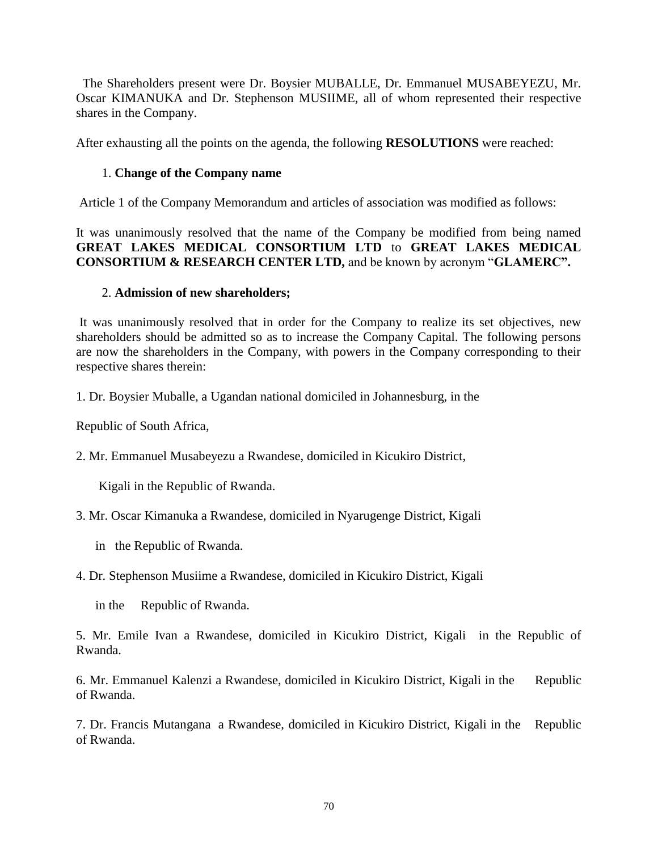The Shareholders present were Dr. Boysier MUBALLE, Dr. Emmanuel MUSABEYEZU, Mr. Oscar KIMANUKA and Dr. Stephenson MUSIIME, all of whom represented their respective shares in the Company.

After exhausting all the points on the agenda, the following **RESOLUTIONS** were reached:

## 1. **Change of the Company name**

Article 1 of the Company Memorandum and articles of association was modified as follows:

It was unanimously resolved that the name of the Company be modified from being named **GREAT LAKES MEDICAL CONSORTIUM LTD** to **GREAT LAKES MEDICAL CONSORTIUM & RESEARCH CENTER LTD,** and be known by acronym "**GLAMERC".**

## 2. **Admission of new shareholders;**

It was unanimously resolved that in order for the Company to realize its set objectives, new shareholders should be admitted so as to increase the Company Capital. The following persons are now the shareholders in the Company, with powers in the Company corresponding to their respective shares therein:

1. Dr. Boysier Muballe, a Ugandan national domiciled in Johannesburg, in the

Republic of South Africa,

2. Mr. Emmanuel Musabeyezu a Rwandese, domiciled in Kicukiro District,

Kigali in the Republic of Rwanda.

3. Mr. Oscar Kimanuka a Rwandese, domiciled in Nyarugenge District, Kigali

in the Republic of Rwanda.

4. Dr. Stephenson Musiime a Rwandese, domiciled in Kicukiro District, Kigali

in the Republic of Rwanda.

5. Mr. Emile Ivan a Rwandese, domiciled in Kicukiro District, Kigali in the Republic of Rwanda.

6. Mr. Emmanuel Kalenzi a Rwandese, domiciled in Kicukiro District, Kigali in the Republic of Rwanda.

7. Dr. Francis Mutangana a Rwandese, domiciled in Kicukiro District, Kigali in the Republic of Rwanda.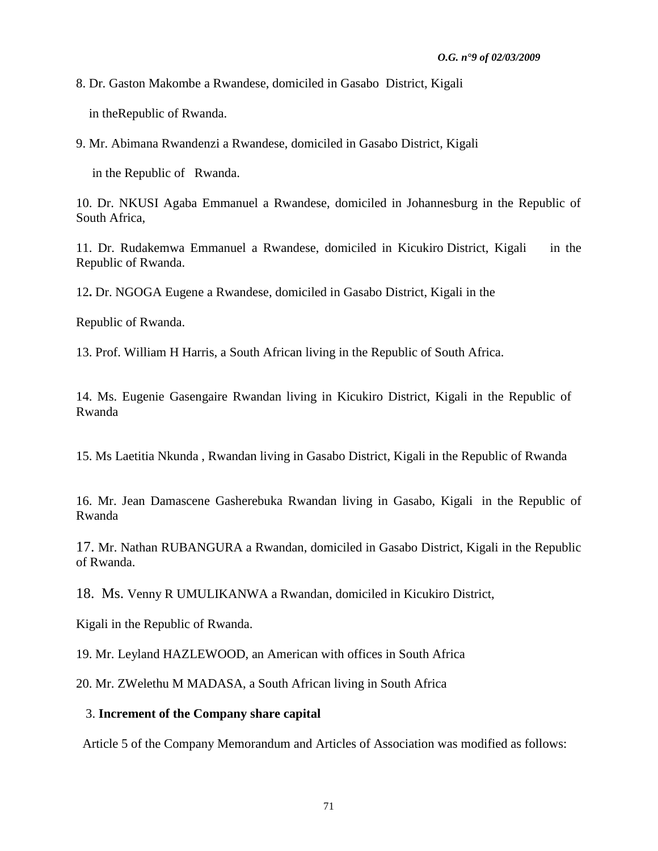8. Dr. Gaston Makombe a Rwandese, domiciled in Gasabo District, Kigali

in theRepublic of Rwanda.

9. Mr. Abimana Rwandenzi a Rwandese, domiciled in Gasabo District, Kigali

in the Republic of Rwanda.

10. Dr. NKUSI Agaba Emmanuel a Rwandese, domiciled in Johannesburg in the Republic of South Africa,

11. Dr. Rudakemwa Emmanuel a Rwandese, domiciled in Kicukiro District, Kigali in the Republic of Rwanda.

12**.** Dr. NGOGA Eugene a Rwandese, domiciled in Gasabo District, Kigali in the

Republic of Rwanda.

13. Prof. William H Harris, a South African living in the Republic of South Africa.

14. Ms. Eugenie Gasengaire Rwandan living in Kicukiro District, Kigali in the Republic of Rwanda

15. Ms Laetitia Nkunda , Rwandan living in Gasabo District, Kigali in the Republic of Rwanda

16. Mr. Jean Damascene Gasherebuka Rwandan living in Gasabo, Kigali in the Republic of Rwanda

17. Mr. Nathan RUBANGURA a Rwandan, domiciled in Gasabo District, Kigali in the Republic of Rwanda.

18. Ms. Venny R UMULIKANWA a Rwandan, domiciled in Kicukiro District,

Kigali in the Republic of Rwanda.

19. Mr. Leyland HAZLEWOOD, an American with offices in South Africa

20. Mr. ZWelethu M MADASA, a South African living in South Africa

### 3. **Increment of the Company share capital**

Article 5 of the Company Memorandum and Articles of Association was modified as follows: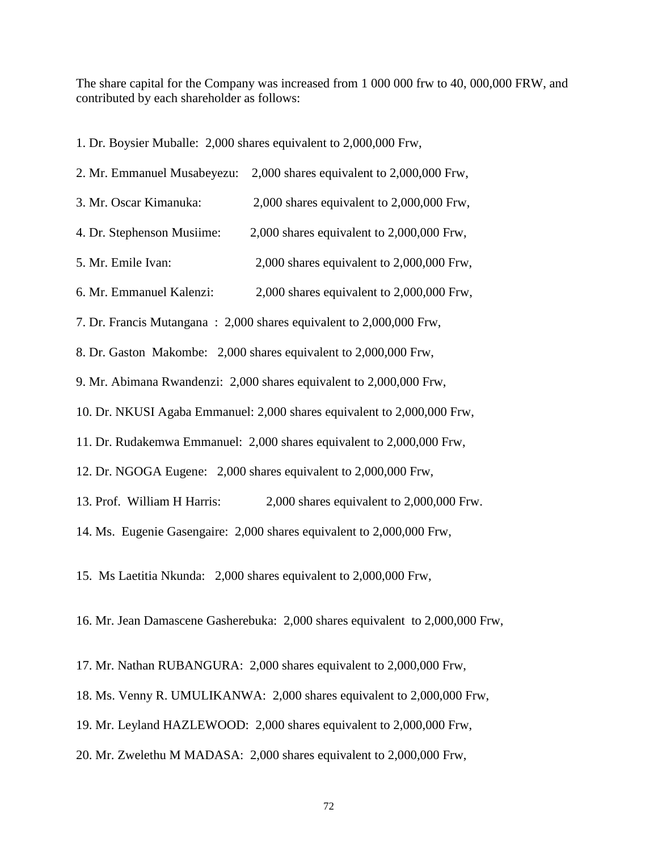The share capital for the Company was increased from 1 000 000 frw to 40, 000,000 FRW, and contributed by each shareholder as follows:

1. Dr. Boysier Muballe: 2,000 shares equivalent to 2,000,000 Frw,

| 2. Mr. Emmanuel Musabeyezu:                                             | 2,000 shares equivalent to 2,000,000 Frw,     |  |  |  |  |
|-------------------------------------------------------------------------|-----------------------------------------------|--|--|--|--|
| 3. Mr. Oscar Kimanuka:                                                  | $2,000$ shares equivalent to $2,000,000$ Frw, |  |  |  |  |
| 4. Dr. Stephenson Musiime:                                              | 2,000 shares equivalent to 2,000,000 Frw,     |  |  |  |  |
| 5. Mr. Emile Ivan:                                                      | $2,000$ shares equivalent to $2,000,000$ Frw, |  |  |  |  |
| 6. Mr. Emmanuel Kalenzi:                                                | 2,000 shares equivalent to 2,000,000 Frw,     |  |  |  |  |
| 7. Dr. Francis Mutangana : 2,000 shares equivalent to 2,000,000 Frw,    |                                               |  |  |  |  |
| 8. Dr. Gaston Makombe: 2,000 shares equivalent to 2,000,000 Frw,        |                                               |  |  |  |  |
| 9. Mr. Abimana Rwandenzi: 2,000 shares equivalent to 2,000,000 Frw,     |                                               |  |  |  |  |
| 10. Dr. NKUSI Agaba Emmanuel: 2,000 shares equivalent to 2,000,000 Frw, |                                               |  |  |  |  |
| 11. Dr. Rudakemwa Emmanuel: 2,000 shares equivalent to 2,000,000 Frw,   |                                               |  |  |  |  |
| 12. Dr. NGOGA Eugene: 2,000 shares equivalent to 2,000,000 Frw,         |                                               |  |  |  |  |
| 13. Prof. William H Harris:                                             | $2,000$ shares equivalent to $2,000,000$ Frw. |  |  |  |  |

14. Ms. Eugenie Gasengaire: 2,000 shares equivalent to 2,000,000 Frw,

15. Ms Laetitia Nkunda: 2,000 shares equivalent to 2,000,000 Frw,

16. Mr. Jean Damascene Gasherebuka: 2,000 shares equivalent to 2,000,000 Frw,

17. Mr. Nathan RUBANGURA: 2,000 shares equivalent to 2,000,000 Frw,

18. Ms. Venny R. UMULIKANWA: 2,000 shares equivalent to 2,000,000 Frw,

19. Mr. Leyland HAZLEWOOD: 2,000 shares equivalent to 2,000,000 Frw,

20. Mr. Zwelethu M MADASA: 2,000 shares equivalent to 2,000,000 Frw,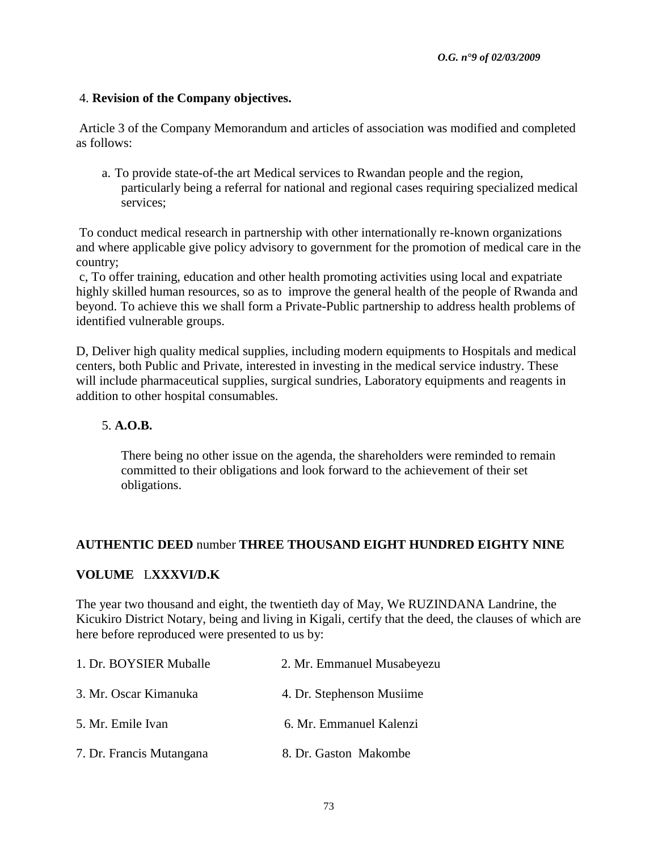## 4. **Revision of the Company objectives.**

Article 3 of the Company Memorandum and articles of association was modified and completed as follows:

a. To provide state-of-the art Medical services to Rwandan people and the region, particularly being a referral for national and regional cases requiring specialized medical services;

To conduct medical research in partnership with other internationally re-known organizations and where applicable give policy advisory to government for the promotion of medical care in the country;

c, To offer training, education and other health promoting activities using local and expatriate highly skilled human resources, so as to improve the general health of the people of Rwanda and beyond. To achieve this we shall form a Private-Public partnership to address health problems of identified vulnerable groups.

D, Deliver high quality medical supplies, including modern equipments to Hospitals and medical centers, both Public and Private, interested in investing in the medical service industry. These will include pharmaceutical supplies, surgical sundries, Laboratory equipments and reagents in addition to other hospital consumables.

## 5. **A.O.B.**

There being no other issue on the agenda, the shareholders were reminded to remain committed to their obligations and look forward to the achievement of their set obligations.

## **AUTHENTIC DEED** number **THREE THOUSAND EIGHT HUNDRED EIGHTY NINE**

### **VOLUME** L**XXXVI/D.K**

The year two thousand and eight, the twentieth day of May, We RUZINDANA Landrine, the Kicukiro District Notary, being and living in Kigali, certify that the deed, the clauses of which are here before reproduced were presented to us by:

| 1. Dr. BOYSIER Muballe   | 2. Mr. Emmanuel Musabeyezu |
|--------------------------|----------------------------|
| 3. Mr. Oscar Kimanuka    | 4. Dr. Stephenson Musiime  |
| 5. Mr. Emile Ivan        | 6. Mr. Emmanuel Kalenzi    |
| 7. Dr. Francis Mutangana | 8. Dr. Gaston Makombe      |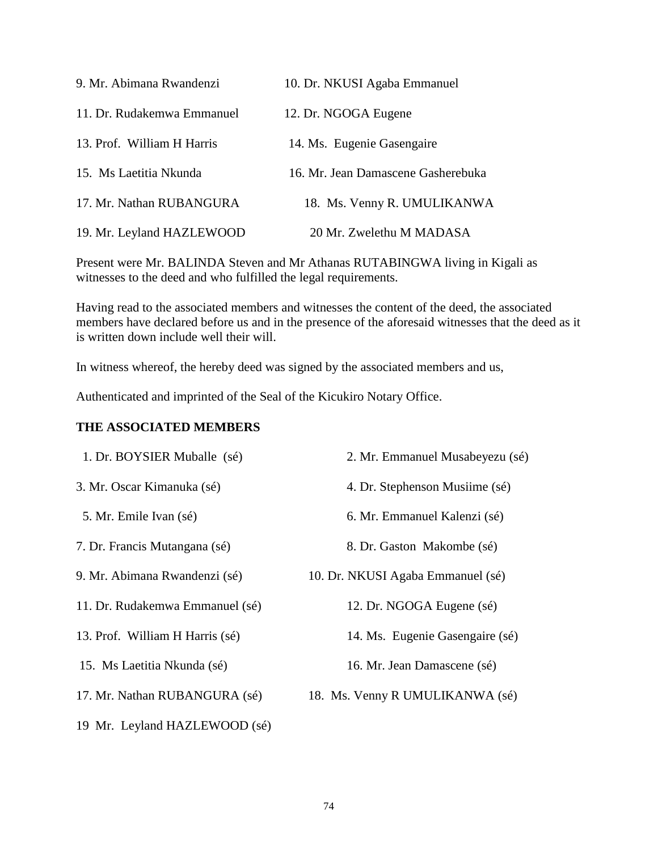| 9. Mr. Abimana Rwandenzi   | 10. Dr. NKUSI Agaba Emmanuel       |
|----------------------------|------------------------------------|
| 11. Dr. Rudakemwa Emmanuel | 12. Dr. NGOGA Eugene               |
| 13. Prof. William H Harris | 14. Ms. Eugenie Gasengaire         |
| 15. Ms Laetitia Nkunda     | 16. Mr. Jean Damascene Gasherebuka |
| 17. Mr. Nathan RUBANGURA   | 18. Ms. Venny R. UMULIKANWA        |
| 19. Mr. Leyland HAZLEWOOD  | 20 Mr. Zwelethu M MADASA           |

Present were Mr. BALINDA Steven and Mr Athanas RUTABINGWA living in Kigali as witnesses to the deed and who fulfilled the legal requirements.

Having read to the associated members and witnesses the content of the deed, the associated members have declared before us and in the presence of the aforesaid witnesses that the deed as it is written down include well their will.

In witness whereof, the hereby deed was signed by the associated members and us,

Authenticated and imprinted of the Seal of the Kicukiro Notary Office.

## **THE ASSOCIATED MEMBERS**

| 1. Dr. BOYSIER Muballe (sé)     | 2. Mr. Emmanuel Musabeyezu (sé)   |
|---------------------------------|-----------------------------------|
| 3. Mr. Oscar Kimanuka (sé)      | 4. Dr. Stephenson Musiime (sé)    |
| 5. Mr. Emile Ivan (sé)          | 6. Mr. Emmanuel Kalenzi (sé)      |
| 7. Dr. Francis Mutangana (sé)   | 8. Dr. Gaston Makombe (sé)        |
| 9. Mr. Abimana Rwandenzi (sé)   | 10. Dr. NKUSI Agaba Emmanuel (sé) |
| 11. Dr. Rudakemwa Emmanuel (sé) | 12. Dr. NGOGA Eugene (sé)         |
| 13. Prof. William H Harris (sé) | 14. Ms. Eugenie Gasengaire (sé)   |
| 15. Ms Laetitia Nkunda (sé)     | 16. Mr. Jean Damascene (sé)       |
| 17. Mr. Nathan RUBANGURA (sé)   | 18. Ms. Venny R UMULIKANWA (sé)   |
| 19 Mr. Leyland HAZLEWOOD (sé)   |                                   |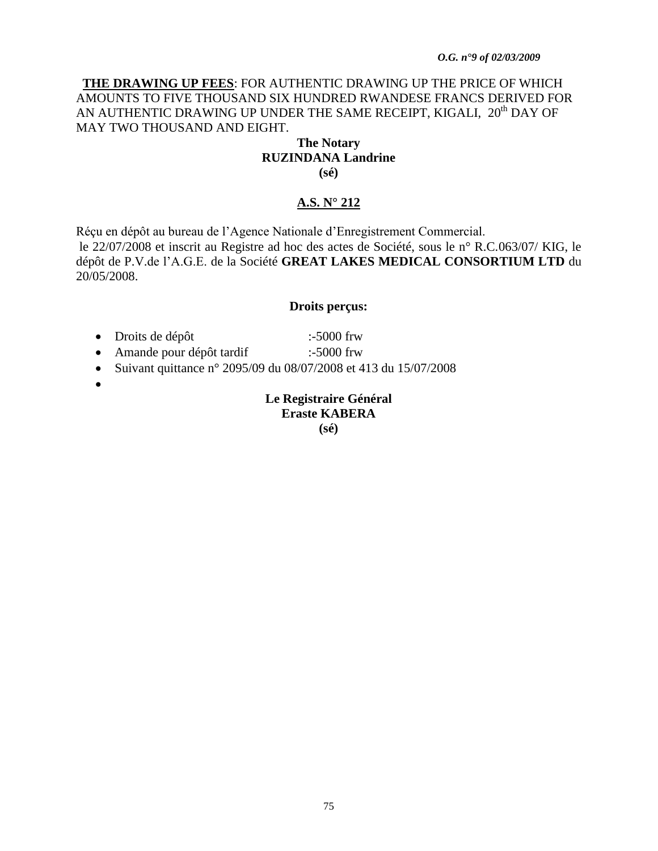#### *O.G. n°9 of 02/03/2009*

## **THE DRAWING UP FEES**: FOR AUTHENTIC DRAWING UP THE PRICE OF WHICH AMOUNTS TO FIVE THOUSAND SIX HUNDRED RWANDESE FRANCS DERIVED FOR AN AUTHENTIC DRAWING UP UNDER THE SAME RECEIPT, KIGALI, 20<sup>th</sup> DAY OF MAY TWO THOUSAND AND EIGHT.

#### **The Notary RUZINDANA Landrine (sé)**

## **A.S. N° 212**

Réçu en dépôt au bureau de l"Agence Nationale d"Enregistrement Commercial. le 22/07/2008 et inscrit au Registre ad hoc des actes de Société, sous le n° R.C.063/07/ KIG, le dépôt de P.V.de l"A.G.E. de la Société **GREAT LAKES MEDICAL CONSORTIUM LTD** du 20/05/2008.

#### **Droits perçus:**

- Droits de dépôt :-5000 frw
- Amande pour dépôt tardif :-5000 frw
- Suivant quittance n° 2095/09 du 08/07/2008 et 413 du 15/07/2008
- $\bullet$

### **Le Registraire Général Eraste KABERA (sé)**

75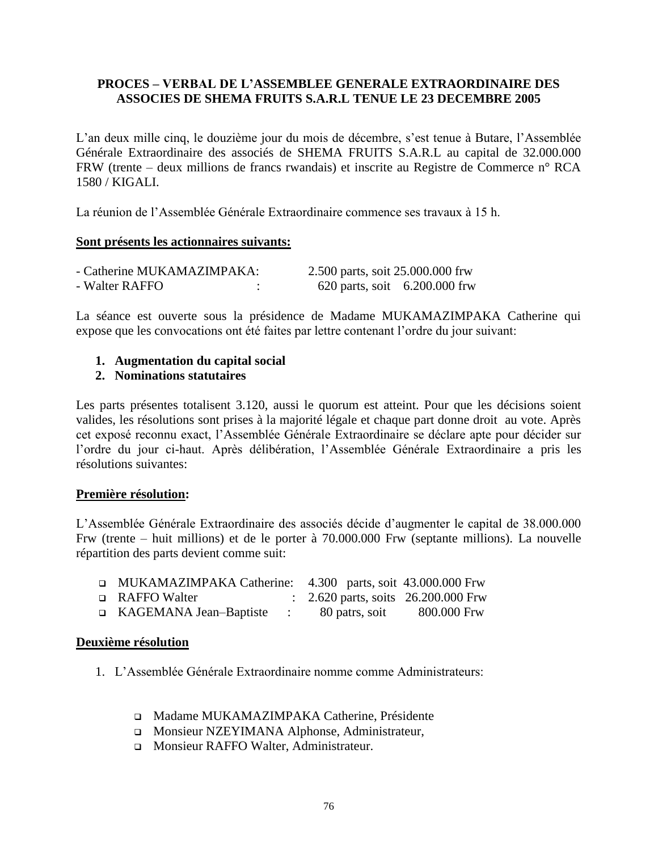## **PROCES – VERBAL DE L"ASSEMBLEE GENERALE EXTRAORDINAIRE DES ASSOCIES DE SHEMA FRUITS S.A.R.L TENUE LE 23 DECEMBRE 2005**

L'an deux mille cinq, le douzième jour du mois de décembre, s'est tenue à Butare, l'Assemblée Générale Extraordinaire des associés de SHEMA FRUITS S.A.R.L au capital de 32.000.000 FRW (trente – deux millions de francs rwandais) et inscrite au Registre de Commerce n° RCA 1580 / KIGALI.

La réunion de l"Assemblée Générale Extraordinaire commence ses travaux à 15 h.

### **Sont présents les actionnaires suivants:**

| - Catherine MUKAMAZIMPAKA: | 2.500 parts, soit 25.000.000 frw |  |
|----------------------------|----------------------------------|--|
| - Walter RAFFO             | 620 parts, soit 6.200.000 frw    |  |

La séance est ouverte sous la présidence de Madame MUKAMAZIMPAKA Catherine qui expose que les convocations ont été faites par lettre contenant l"ordre du jour suivant:

## **1. Augmentation du capital social**

### **2. Nominations statutaires**

Les parts présentes totalisent 3.120, aussi le quorum est atteint. Pour que les décisions soient valides, les résolutions sont prises à la majorité légale et chaque part donne droit au vote. Après cet exposé reconnu exact, l"Assemblée Générale Extraordinaire se déclare apte pour décider sur l"ordre du jour ci-haut. Après délibération, l"Assemblée Générale Extraordinaire a pris les résolutions suivantes:

### **Première résolution:**

L"Assemblée Générale Extraordinaire des associés décide d"augmenter le capital de 38.000.000 Frw (trente – huit millions) et de le porter à 70.000.000 Frw (septante millions). La nouvelle répartition des parts devient comme suit:

| ■ MUKAMAZIMPAKA Catherine: 4.300 parts, soit 43.000.000 Frw |                                                |             |
|-------------------------------------------------------------|------------------------------------------------|-------------|
| □ RAFFO Walter                                              | $\therefore$ 2.620 parts, soits 26.200.000 Frw |             |
| ■ KAGEMANA Jean-Baptiste                                    | 80 patrs, soit                                 | 800.000 Frw |

### **Deuxième résolution**

- 1. L"Assemblée Générale Extraordinaire nomme comme Administrateurs:
	- Madame MUKAMAZIMPAKA Catherine, Présidente
	- Monsieur NZEYIMANA Alphonse, Administrateur,
	- Monsieur RAFFO Walter, Administrateur.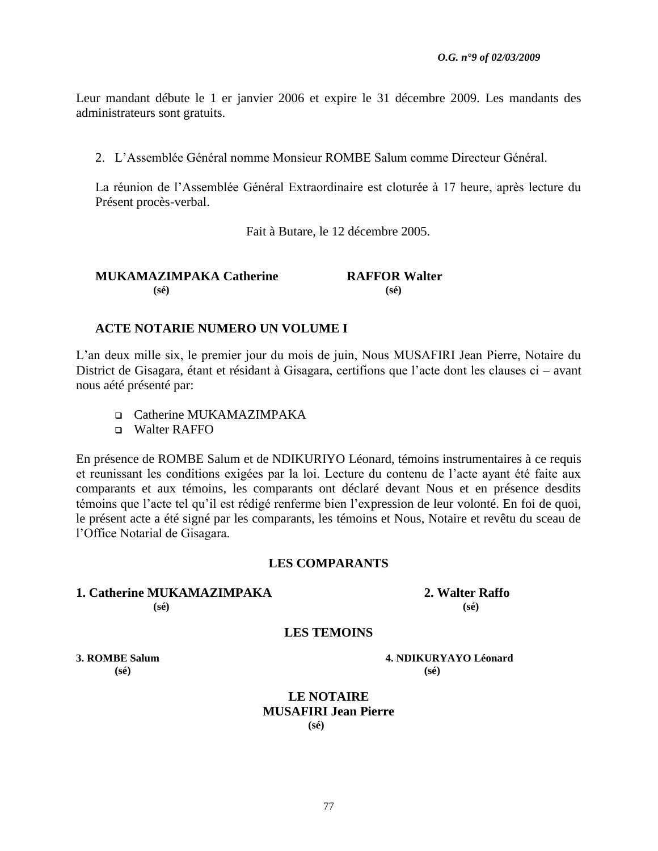Leur mandant débute le 1 er janvier 2006 et expire le 31 décembre 2009. Les mandants des administrateurs sont gratuits.

2. L"Assemblée Général nomme Monsieur ROMBE Salum comme Directeur Général.

La réunion de l"Assemblée Général Extraordinaire est cloturée à 17 heure, après lecture du Présent procès-verbal.

Fait à Butare, le 12 décembre 2005.

| MUKAMAZIMPAKA Catherine | <b>RAFFOR Walter</b> |
|-------------------------|----------------------|
| $(s\acute{e})$          | $(s\acute{e})$       |

#### **ACTE NOTARIE NUMERO UN VOLUME I**

L"an deux mille six, le premier jour du mois de juin, Nous MUSAFIRI Jean Pierre, Notaire du District de Gisagara, étant et résidant à Gisagara, certifions que l"acte dont les clauses ci – avant nous aété présenté par:

□ Catherine MUKAMAZIMPAKA

Walter RAFFO

En présence de ROMBE Salum et de NDIKURIYO Léonard, témoins instrumentaires à ce requis et reunissant les conditions exigées par la loi. Lecture du contenu de l"acte ayant été faite aux comparants et aux témoins, les comparants ont déclaré devant Nous et en présence desdits témoins que l"acte tel qu"il est rédigé renferme bien l"expression de leur volonté. En foi de quoi, le présent acte a été signé par les comparants, les témoins et Nous, Notaire et revêtu du sceau de l"Office Notarial de Gisagara.

#### **LES COMPARANTS**

#### **1. Catherine MUKAMAZIMPAKA 2. Walter Raffo (sé) (sé)**

#### **LES TEMOINS**

**3. ROMBE Salum 4. NDIKURYAYO Léonard (sé) (sé)**

> **LE NOTAIRE MUSAFIRI Jean Pierre (sé)**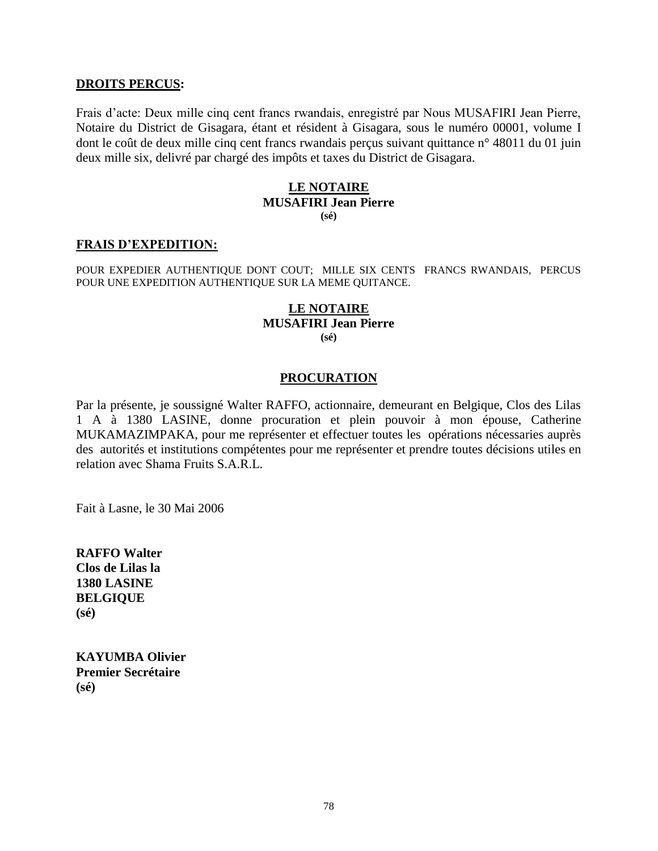### **DROITS PERCUS:**

Frais d"acte: Deux mille cinq cent francs rwandais, enregistré par Nous MUSAFIRI Jean Pierre, Notaire du District de Gisagara, étant et résident à Gisagara, sous le numéro 00001, volume I dont le coût de deux mille cinq cent francs rwandais perçus suivant quittance n° 48011 du 01 juin deux mille six, delivré par chargé des impôts et taxes du District de Gisagara.

#### **LE NOTAIRE MUSAFIRI Jean Pierre (sé)**

#### **FRAIS D"EXPEDITION:**

POUR EXPEDIER AUTHENTIQUE DONT COUT; MILLE SIX CENTS FRANCS RWANDAIS, PERCUS POUR UNE EXPEDITION AUTHENTIQUE SUR LA MEME QUITANCE.

#### **LE NOTAIRE MUSAFIRI Jean Pierre (sé)**

#### **PROCURATION**

Par la présente, je soussigné Walter RAFFO, actionnaire, demeurant en Belgique, Clos des Lilas 1 A à 1380 LASINE, donne procuration et plein pouvoir à mon épouse, Catherine MUKAMAZIMPAKA, pour me représenter et effectuer toutes les opérations nécessaries auprès des autorités et institutions compétentes pour me représenter et prendre toutes décisions utiles en relation avec Shama Fruits S.A.R.L.

Fait à Lasne, le 30 Mai 2006

**RAFFO Walter Clos de Lilas la 1380 LASINE BELGIQUE (sé)**

**KAYUMBA Olivier Premier Secrétaire (sé)**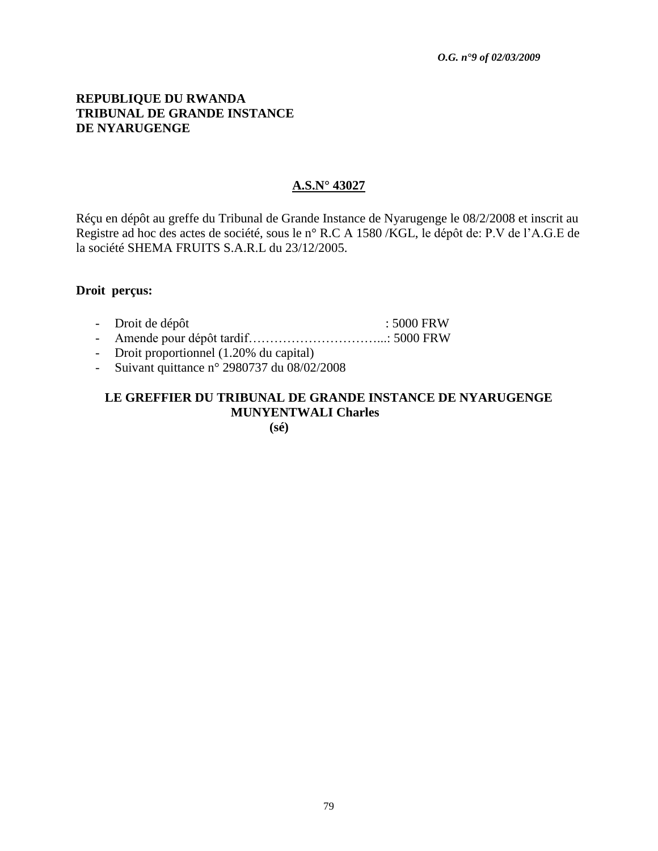## **REPUBLIQUE DU RWANDA TRIBUNAL DE GRANDE INSTANCE DE NYARUGENGE**

### **A.S.N° 43027**

Réçu en dépôt au greffe du Tribunal de Grande Instance de Nyarugenge le 08/2/2008 et inscrit au Registre ad hoc des actes de société, sous le n° R.C A 1580 /KGL, le dépôt de: P.V de l"A.G.E de la société SHEMA FRUITS S.A.R.L du 23/12/2005.

#### **Droit perçus:**

- Droit de dépôt : 5000 FRW
- Amende pour dépôt tardif…………………………...: 5000 FRW
- Droit proportionnel (1.20% du capital)
- Suivant quittance n° 2980737 du 08/02/2008

## **LE GREFFIER DU TRIBUNAL DE GRANDE INSTANCE DE NYARUGENGE MUNYENTWALI Charles**

**(sé)**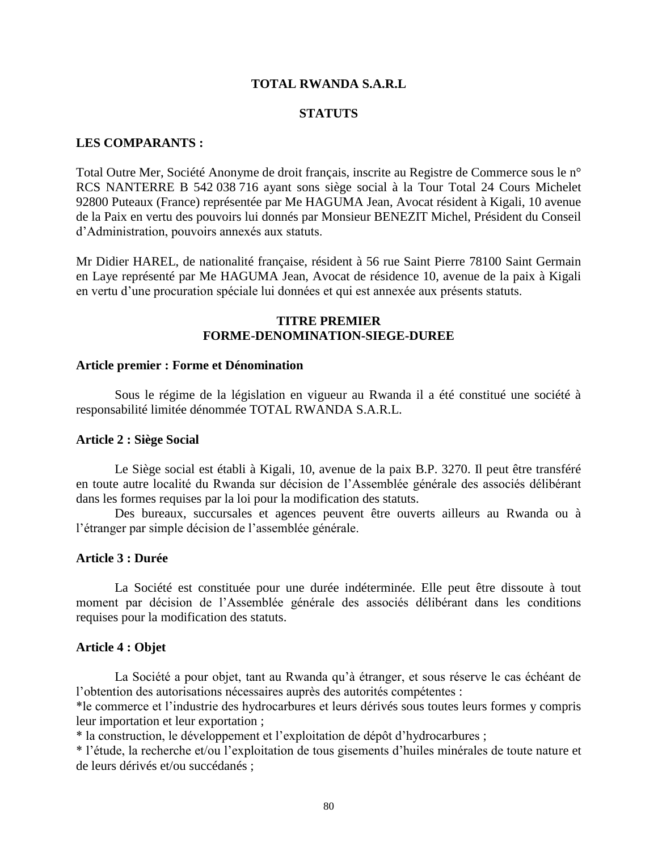#### **TOTAL RWANDA S.A.R.L**

#### **STATUTS**

#### **LES COMPARANTS :**

Total Outre Mer, Société Anonyme de droit français, inscrite au Registre de Commerce sous le n° RCS NANTERRE B 542 038 716 ayant sons siège social à la Tour Total 24 Cours Michelet 92800 Puteaux (France) représentée par Me HAGUMA Jean, Avocat résident à Kigali, 10 avenue de la Paix en vertu des pouvoirs lui donnés par Monsieur BENEZIT Michel, Président du Conseil d"Administration, pouvoirs annexés aux statuts.

Mr Didier HAREL, de nationalité française, résident à 56 rue Saint Pierre 78100 Saint Germain en Laye représenté par Me HAGUMA Jean, Avocat de résidence 10, avenue de la paix à Kigali en vertu d"une procuration spéciale lui données et qui est annexée aux présents statuts.

#### **TITRE PREMIER FORME-DENOMINATION-SIEGE-DUREE**

#### **Article premier : Forme et Dénomination**

Sous le régime de la législation en vigueur au Rwanda il a été constitué une société à responsabilité limitée dénommée TOTAL RWANDA S.A.R.L.

#### **Article 2 : Siège Social**

Le Siège social est établi à Kigali, 10, avenue de la paix B.P. 3270. Il peut être transféré en toute autre localité du Rwanda sur décision de l"Assemblée générale des associés délibérant dans les formes requises par la loi pour la modification des statuts.

Des bureaux, succursales et agences peuvent être ouverts ailleurs au Rwanda ou à l"étranger par simple décision de l"assemblée générale.

#### **Article 3 : Durée**

La Société est constituée pour une durée indéterminée. Elle peut être dissoute à tout moment par décision de l"Assemblée générale des associés délibérant dans les conditions requises pour la modification des statuts.

#### **Article 4 : Objet**

La Société a pour objet, tant au Rwanda qu"à étranger, et sous réserve le cas échéant de l"obtention des autorisations nécessaires auprès des autorités compétentes :

\*le commerce et l"industrie des hydrocarbures et leurs dérivés sous toutes leurs formes y compris leur importation et leur exportation ;

\* la construction, le développement et l"exploitation de dépôt d"hydrocarbures ;

\* l"étude, la recherche et/ou l"exploitation de tous gisements d"huiles minérales de toute nature et de leurs dérivés et/ou succédanés ;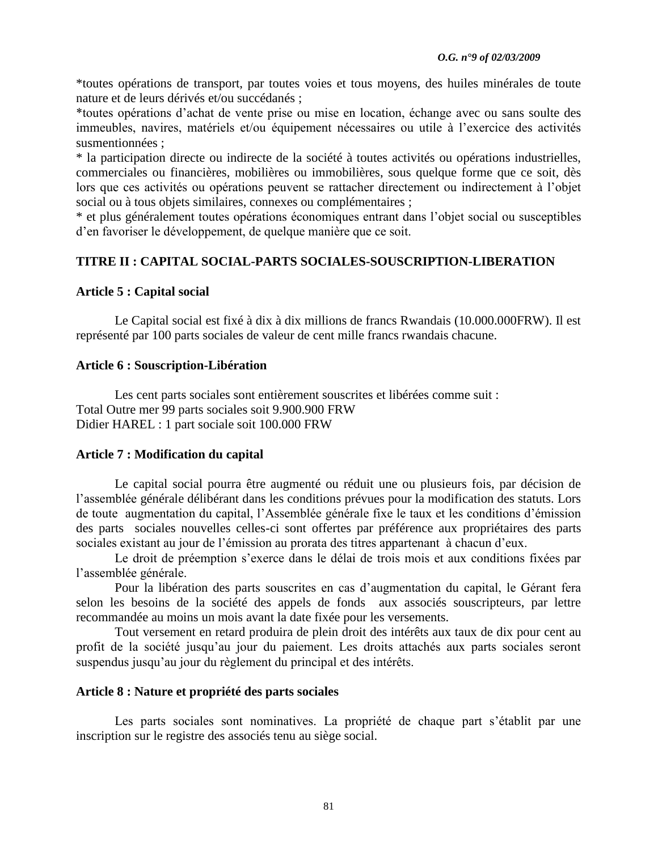\*toutes opérations de transport, par toutes voies et tous moyens, des huiles minérales de toute nature et de leurs dérivés et/ou succédanés ;

\*toutes opérations d"achat de vente prise ou mise en location, échange avec ou sans soulte des immeubles, navires, matériels et/ou équipement nécessaires ou utile à l"exercice des activités susmentionnées ;

\* la participation directe ou indirecte de la société à toutes activités ou opérations industrielles, commerciales ou financières, mobilières ou immobilières, sous quelque forme que ce soit, dès lors que ces activités ou opérations peuvent se rattacher directement ou indirectement à l"objet social ou à tous objets similaires, connexes ou complémentaires ;

\* et plus généralement toutes opérations économiques entrant dans l"objet social ou susceptibles d"en favoriser le développement, de quelque manière que ce soit.

## **TITRE II : CAPITAL SOCIAL-PARTS SOCIALES-SOUSCRIPTION-LIBERATION**

## **Article 5 : Capital social**

Le Capital social est fixé à dix à dix millions de francs Rwandais (10.000.000FRW). Il est représenté par 100 parts sociales de valeur de cent mille francs rwandais chacune.

## **Article 6 : Souscription-Libération**

Les cent parts sociales sont entièrement souscrites et libérées comme suit : Total Outre mer 99 parts sociales soit 9.900.900 FRW Didier HAREL : 1 part sociale soit 100.000 FRW

## **Article 7 : Modification du capital**

Le capital social pourra être augmenté ou réduit une ou plusieurs fois, par décision de l"assemblée générale délibérant dans les conditions prévues pour la modification des statuts. Lors de toute augmentation du capital, l"Assemblée générale fixe le taux et les conditions d"émission des parts sociales nouvelles celles-ci sont offertes par préférence aux propriétaires des parts sociales existant au jour de l'émission au prorata des titres appartenant à chacun d'eux.

Le droit de préemption s'exerce dans le délai de trois mois et aux conditions fixées par l"assemblée générale.

Pour la libération des parts souscrites en cas d"augmentation du capital, le Gérant fera selon les besoins de la société des appels de fonds aux associés souscripteurs, par lettre recommandée au moins un mois avant la date fixée pour les versements.

Tout versement en retard produira de plein droit des intérêts aux taux de dix pour cent au profit de la société jusqu"au jour du paiement. Les droits attachés aux parts sociales seront suspendus jusqu"au jour du règlement du principal et des intérêts.

## **Article 8 : Nature et propriété des parts sociales**

Les parts sociales sont nominatives. La propriété de chaque part s'établit par une inscription sur le registre des associés tenu au siège social.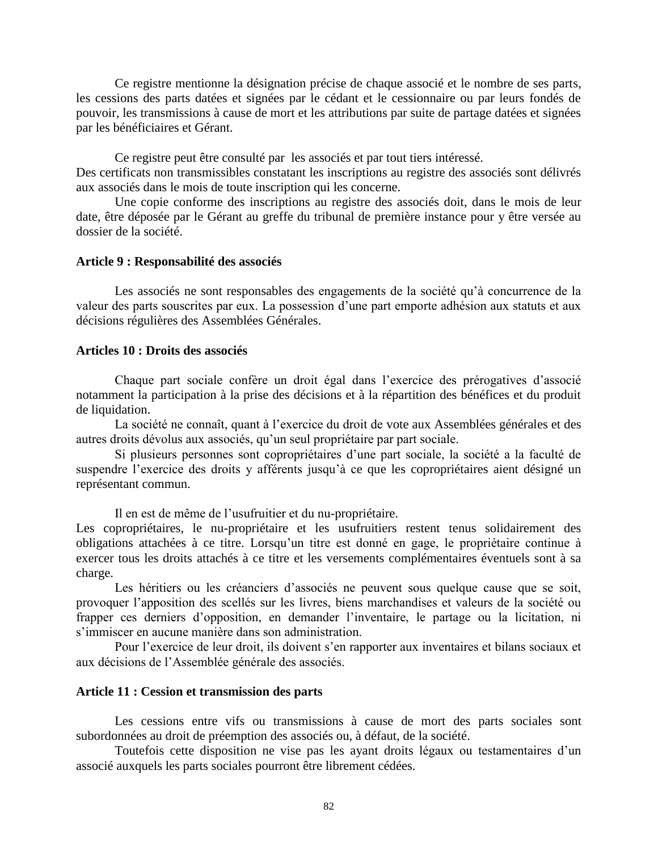Ce registre mentionne la désignation précise de chaque associé et le nombre de ses parts, les cessions des parts datées et signées par le cédant et le cessionnaire ou par leurs fondés de pouvoir, les transmissions à cause de mort et les attributions par suite de partage datées et signées par les bénéficiaires et Gérant.

Ce registre peut être consulté par les associés et par tout tiers intéressé. Des certificats non transmissibles constatant les inscriptions au registre des associés sont délivrés aux associés dans le mois de toute inscription qui les concerne.

Une copie conforme des inscriptions au registre des associés doit, dans le mois de leur date, être déposée par le Gérant au greffe du tribunal de première instance pour y être versée au dossier de la société.

#### **Article 9 : Responsabilité des associés**

Les associés ne sont responsables des engagements de la société qu'à concurrence de la valeur des parts souscrites par eux. La possession d'une part emporte adhésion aux statuts et aux décisions régulières des Assemblées Générales.

#### **Articles 10 : Droits des associés**

Chaque part sociale confère un droit égal dans l"exercice des prérogatives d"associé notamment la participation à la prise des décisions et à la répartition des bénéfices et du produit de liquidation.

La société ne connaît, quant à l'exercice du droit de vote aux Assemblées générales et des autres droits dévolus aux associés, qu"un seul propriétaire par part sociale.

Si plusieurs personnes sont copropriétaires d"une part sociale, la société a la faculté de suspendre l'exercice des droits y afférents jusqu'à ce que les copropriétaires aient désigné un représentant commun.

Il en est de même de l"usufruitier et du nu-propriétaire.

Les copropriétaires, le nu-propriétaire et les usufruitiers restent tenus solidairement des obligations attachées à ce titre. Lorsqu"un titre est donné en gage, le propriétaire continue à exercer tous les droits attachés à ce titre et les versements complémentaires éventuels sont à sa charge.

Les héritiers ou les créanciers d'associés ne peuvent sous quelque cause que se soit, provoquer l"apposition des scellés sur les livres, biens marchandises et valeurs de la société ou frapper ces derniers d"opposition, en demander l"inventaire, le partage ou la licitation, ni s"immiscer en aucune manière dans son administration.

Pour l'exercice de leur droit, ils doivent s'en rapporter aux inventaires et bilans sociaux et aux décisions de l"Assemblée générale des associés.

### **Article 11 : Cession et transmission des parts**

Les cessions entre vifs ou transmissions à cause de mort des parts sociales sont subordonnées au droit de préemption des associés ou, à défaut, de la société.

Toutefois cette disposition ne vise pas les ayant droits légaux ou testamentaires d"un associé auxquels les parts sociales pourront être librement cédées.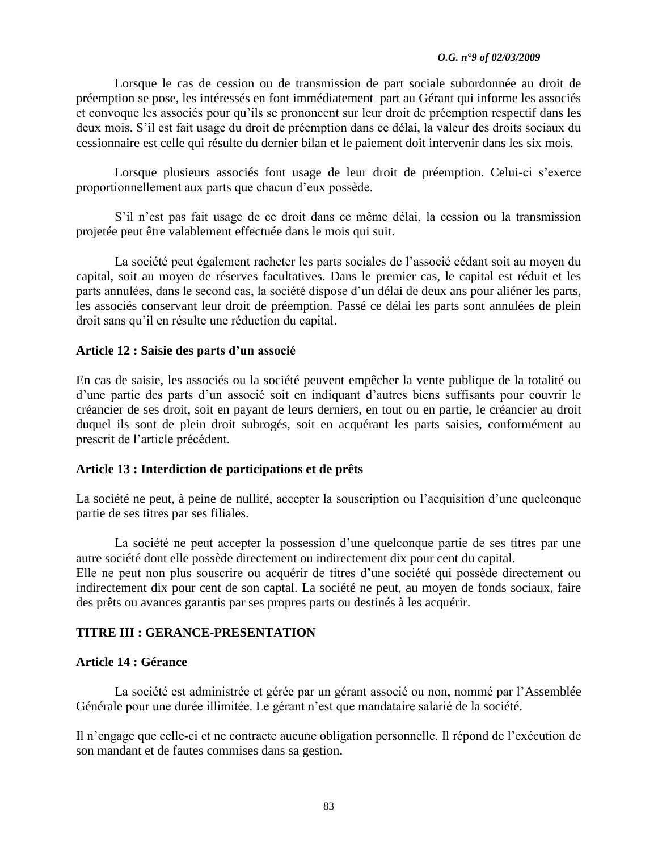#### *O.G. n°9 of 02/03/2009*

Lorsque le cas de cession ou de transmission de part sociale subordonnée au droit de préemption se pose, les intéressés en font immédiatement part au Gérant qui informe les associés et convoque les associés pour qu"ils se prononcent sur leur droit de préemption respectif dans les deux mois. S"il est fait usage du droit de préemption dans ce délai, la valeur des droits sociaux du cessionnaire est celle qui résulte du dernier bilan et le paiement doit intervenir dans les six mois.

Lorsque plusieurs associés font usage de leur droit de préemption. Celui-ci s"exerce proportionnellement aux parts que chacun d"eux possède.

S"il n"est pas fait usage de ce droit dans ce même délai, la cession ou la transmission projetée peut être valablement effectuée dans le mois qui suit.

La société peut également racheter les parts sociales de l"associé cédant soit au moyen du capital, soit au moyen de réserves facultatives. Dans le premier cas, le capital est réduit et les parts annulées, dans le second cas, la société dispose d"un délai de deux ans pour aliéner les parts, les associés conservant leur droit de préemption. Passé ce délai les parts sont annulées de plein droit sans qu"il en résulte une réduction du capital.

## **Article 12 : Saisie des parts d"un associé**

En cas de saisie, les associés ou la société peuvent empêcher la vente publique de la totalité ou d"une partie des parts d"un associé soit en indiquant d"autres biens suffisants pour couvrir le créancier de ses droit, soit en payant de leurs derniers, en tout ou en partie, le créancier au droit duquel ils sont de plein droit subrogés, soit en acquérant les parts saisies, conformément au prescrit de l"article précédent.

## **Article 13 : Interdiction de participations et de prêts**

La société ne peut, à peine de nullité, accepter la souscription ou l'acquisition d'une quelconque partie de ses titres par ses filiales.

La société ne peut accepter la possession d'une quelconque partie de ses titres par une autre société dont elle possède directement ou indirectement dix pour cent du capital. Elle ne peut non plus souscrire ou acquérir de titres d"une société qui possède directement ou indirectement dix pour cent de son captal. La société ne peut, au moyen de fonds sociaux, faire des prêts ou avances garantis par ses propres parts ou destinés à les acquérir.

## **TITRE III : GERANCE-PRESENTATION**

## **Article 14 : Gérance**

La société est administrée et gérée par un gérant associé ou non, nommé par l"Assemblée Générale pour une durée illimitée. Le gérant n"est que mandataire salarié de la société.

Il n"engage que celle-ci et ne contracte aucune obligation personnelle. Il répond de l"exécution de son mandant et de fautes commises dans sa gestion.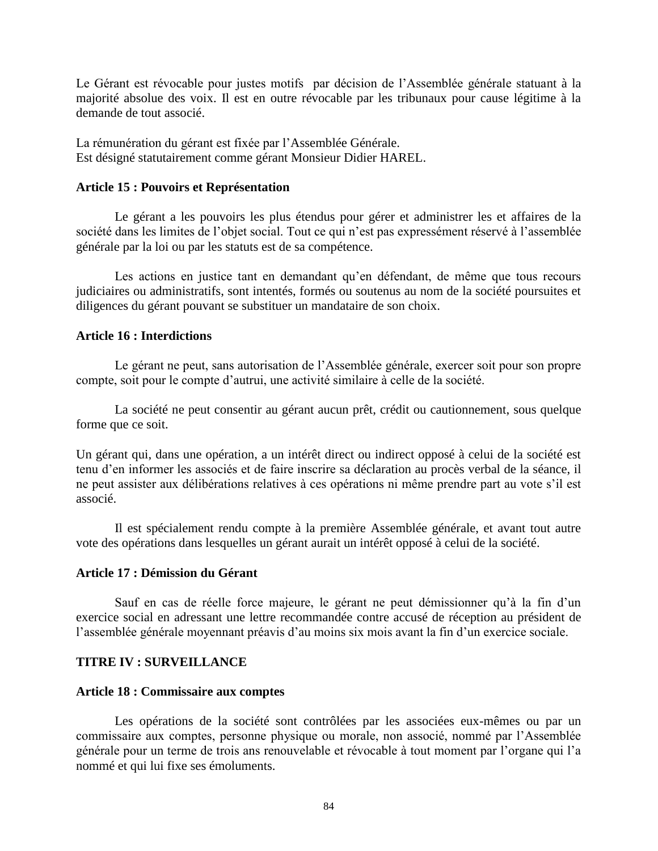Le Gérant est révocable pour justes motifs par décision de l'Assemblée générale statuant à la majorité absolue des voix. Il est en outre révocable par les tribunaux pour cause légitime à la demande de tout associé.

La rémunération du gérant est fixée par l"Assemblée Générale. Est désigné statutairement comme gérant Monsieur Didier HAREL.

#### **Article 15 : Pouvoirs et Représentation**

Le gérant a les pouvoirs les plus étendus pour gérer et administrer les et affaires de la société dans les limites de l'objet social. Tout ce qui n'est pas expressément réservé à l'assemblée générale par la loi ou par les statuts est de sa compétence.

Les actions en justice tant en demandant qu'en défendant, de même que tous recours judiciaires ou administratifs, sont intentés, formés ou soutenus au nom de la société poursuites et diligences du gérant pouvant se substituer un mandataire de son choix.

#### **Article 16 : Interdictions**

Le gérant ne peut, sans autorisation de l"Assemblée générale, exercer soit pour son propre compte, soit pour le compte d"autrui, une activité similaire à celle de la société.

La société ne peut consentir au gérant aucun prêt, crédit ou cautionnement, sous quelque forme que ce soit.

Un gérant qui, dans une opération, a un intérêt direct ou indirect opposé à celui de la société est tenu d"en informer les associés et de faire inscrire sa déclaration au procès verbal de la séance, il ne peut assister aux délibérations relatives à ces opérations ni même prendre part au vote s"il est associé.

Il est spécialement rendu compte à la première Assemblée générale, et avant tout autre vote des opérations dans lesquelles un gérant aurait un intérêt opposé à celui de la société.

#### **Article 17 : Démission du Gérant**

Sauf en cas de réelle force majeure, le gérant ne peut démissionner qu'à la fin d'un exercice social en adressant une lettre recommandée contre accusé de réception au président de l'assemblée générale moyennant préavis d'au moins six mois avant la fin d'un exercice sociale.

### **TITRE IV : SURVEILLANCE**

#### **Article 18 : Commissaire aux comptes**

Les opérations de la société sont contrôlées par les associées eux-mêmes ou par un commissaire aux comptes, personne physique ou morale, non associé, nommé par l"Assemblée générale pour un terme de trois ans renouvelable et révocable à tout moment par l"organe qui l"a nommé et qui lui fixe ses émoluments.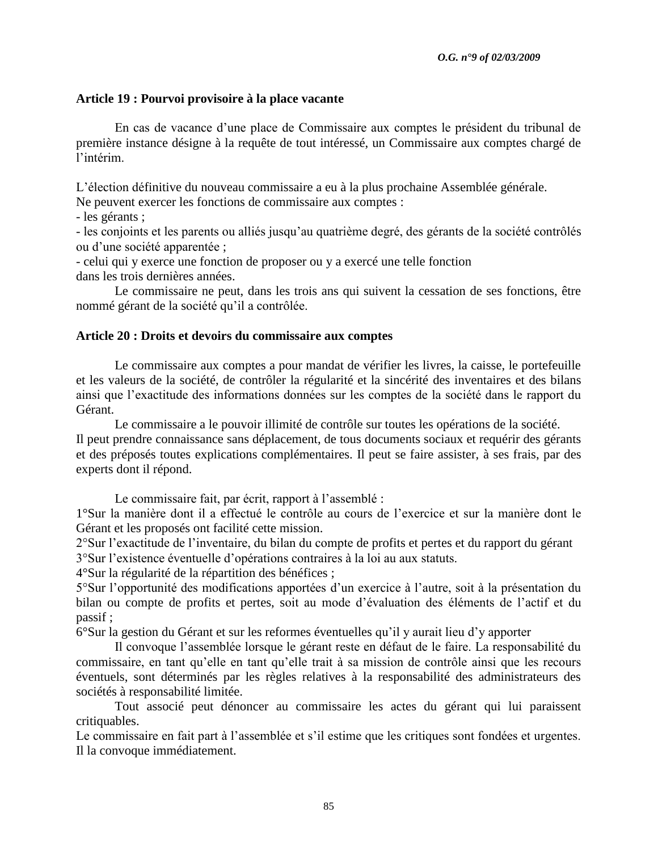## **Article 19 : Pourvoi provisoire à la place vacante**

En cas de vacance d"une place de Commissaire aux comptes le président du tribunal de première instance désigne à la requête de tout intéressé, un Commissaire aux comptes chargé de l"intérim.

L"élection définitive du nouveau commissaire a eu à la plus prochaine Assemblée générale.

Ne peuvent exercer les fonctions de commissaire aux comptes :

- les gérants ;

- les conjoints et les parents ou alliés jusqu"au quatrième degré, des gérants de la société contrôlés ou d"une société apparentée ;

- celui qui y exerce une fonction de proposer ou y a exercé une telle fonction dans les trois dernières années.

Le commissaire ne peut, dans les trois ans qui suivent la cessation de ses fonctions, être nommé gérant de la société qu"il a contrôlée.

### **Article 20 : Droits et devoirs du commissaire aux comptes**

Le commissaire aux comptes a pour mandat de vérifier les livres, la caisse, le portefeuille et les valeurs de la société, de contrôler la régularité et la sincérité des inventaires et des bilans ainsi que l"exactitude des informations données sur les comptes de la société dans le rapport du Gérant.

Le commissaire a le pouvoir illimité de contrôle sur toutes les opérations de la société. Il peut prendre connaissance sans déplacement, de tous documents sociaux et requérir des gérants et des préposés toutes explications complémentaires. Il peut se faire assister, à ses frais, par des experts dont il répond.

Le commissaire fait, par écrit, rapport à l'assemblé :

1°Sur la manière dont il a effectué le contrôle au cours de l"exercice et sur la manière dont le Gérant et les proposés ont facilité cette mission.

2°Sur l"exactitude de l"inventaire, du bilan du compte de profits et pertes et du rapport du gérant 3°Sur l"existence éventuelle d"opérations contraires à la loi au aux statuts.

4°Sur la régularité de la répartition des bénéfices ;

5°Sur l"opportunité des modifications apportées d"un exercice à l"autre, soit à la présentation du bilan ou compte de profits et pertes, soit au mode d"évaluation des éléments de l"actif et du passif ;

6°Sur la gestion du Gérant et sur les reformes éventuelles qu"il y aurait lieu d"y apporter

Il convoque l"assemblée lorsque le gérant reste en défaut de le faire. La responsabilité du commissaire, en tant qu"elle en tant qu"elle trait à sa mission de contrôle ainsi que les recours éventuels, sont déterminés par les règles relatives à la responsabilité des administrateurs des sociétés à responsabilité limitée.

Tout associé peut dénoncer au commissaire les actes du gérant qui lui paraissent critiquables.

Le commissaire en fait part à l'assemblée et s'il estime que les critiques sont fondées et urgentes. Il la convoque immédiatement.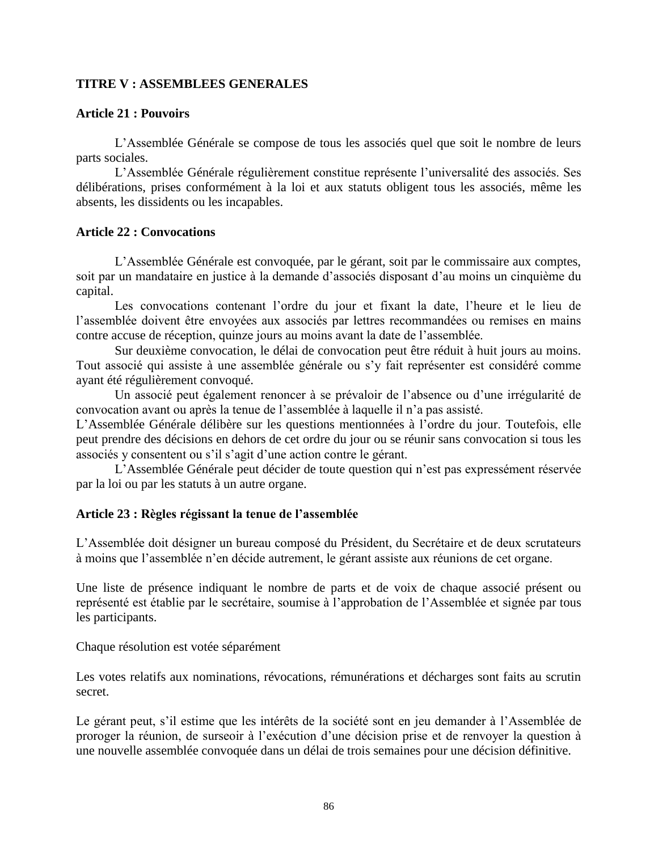## **TITRE V : ASSEMBLEES GENERALES**

### **Article 21 : Pouvoirs**

L"Assemblée Générale se compose de tous les associés quel que soit le nombre de leurs parts sociales.

L"Assemblée Générale régulièrement constitue représente l"universalité des associés. Ses délibérations, prises conformément à la loi et aux statuts obligent tous les associés, même les absents, les dissidents ou les incapables.

### **Article 22 : Convocations**

L"Assemblée Générale est convoquée, par le gérant, soit par le commissaire aux comptes, soit par un mandataire en justice à la demande d'associés disposant d'au moins un cinquième du capital.

Les convocations contenant l'ordre du jour et fixant la date, l'heure et le lieu de l'assemblée doivent être envoyées aux associés par lettres recommandées ou remises en mains contre accuse de réception, quinze jours au moins avant la date de l"assemblée.

Sur deuxième convocation, le délai de convocation peut être réduit à huit jours au moins. Tout associé qui assiste à une assemblée générale ou s'y fait représenter est considéré comme ayant été régulièrement convoqué.

Un associé peut également renoncer à se prévaloir de l"absence ou d"une irrégularité de convocation avant ou après la tenue de l"assemblée à laquelle il n"a pas assisté.

L"Assemblée Générale délibère sur les questions mentionnées à l"ordre du jour. Toutefois, elle peut prendre des décisions en dehors de cet ordre du jour ou se réunir sans convocation si tous les associés y consentent ou s"il s"agit d"une action contre le gérant.

L"Assemblée Générale peut décider de toute question qui n"est pas expressément réservée par la loi ou par les statuts à un autre organe.

## **Article 23 : Règles régissant la tenue de l"assemblée**

L"Assemblée doit désigner un bureau composé du Président, du Secrétaire et de deux scrutateurs à moins que l"assemblée n"en décide autrement, le gérant assiste aux réunions de cet organe.

Une liste de présence indiquant le nombre de parts et de voix de chaque associé présent ou représenté est établie par le secrétaire, soumise à l"approbation de l"Assemblée et signée par tous les participants.

Chaque résolution est votée séparément

Les votes relatifs aux nominations, révocations, rémunérations et décharges sont faits au scrutin secret.

Le gérant peut, s'il estime que les intérêts de la société sont en jeu demander à l'Assemblée de proroger la réunion, de surseoir à l"exécution d"une décision prise et de renvoyer la question à une nouvelle assemblée convoquée dans un délai de trois semaines pour une décision définitive.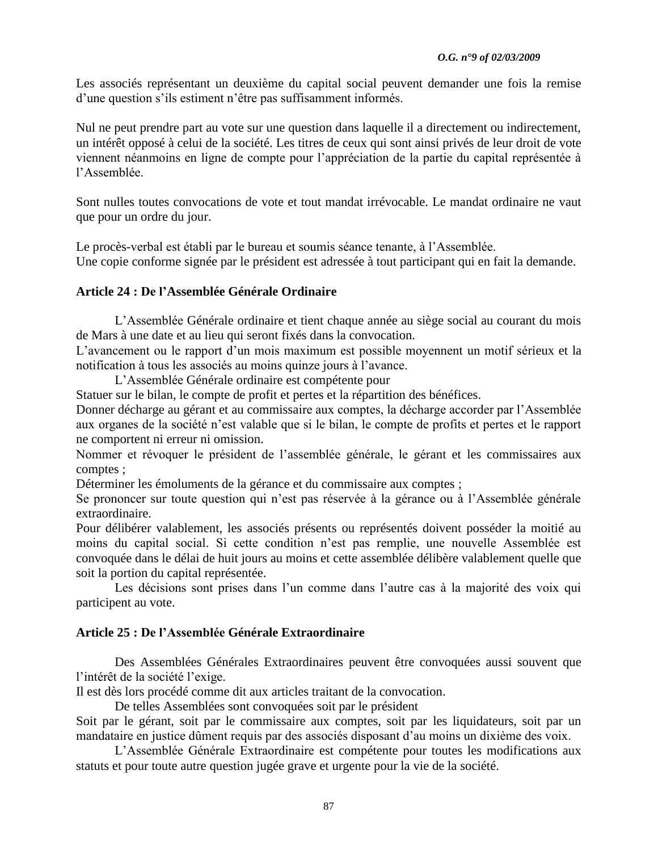Les associés représentant un deuxième du capital social peuvent demander une fois la remise d'une question s'ils estiment n'être pas suffisamment informés.

Nul ne peut prendre part au vote sur une question dans laquelle il a directement ou indirectement, un intérêt opposé à celui de la société. Les titres de ceux qui sont ainsi privés de leur droit de vote viennent néanmoins en ligne de compte pour l"appréciation de la partie du capital représentée à l"Assemblée.

Sont nulles toutes convocations de vote et tout mandat irrévocable. Le mandat ordinaire ne vaut que pour un ordre du jour.

Le procès-verbal est établi par le bureau et soumis séance tenante, à l"Assemblée. Une copie conforme signée par le président est adressée à tout participant qui en fait la demande.

## **Article 24 : De l"Assemblée Générale Ordinaire**

L"Assemblée Générale ordinaire et tient chaque année au siège social au courant du mois de Mars à une date et au lieu qui seront fixés dans la convocation.

L'avancement ou le rapport d'un mois maximum est possible moyennent un motif sérieux et la notification à tous les associés au moins quinze jours à l"avance.

L"Assemblée Générale ordinaire est compétente pour

Statuer sur le bilan, le compte de profit et pertes et la répartition des bénéfices.

Donner décharge au gérant et au commissaire aux comptes, la décharge accorder par l"Assemblée aux organes de la société n"est valable que si le bilan, le compte de profits et pertes et le rapport ne comportent ni erreur ni omission.

Nommer et révoquer le président de l"assemblée générale, le gérant et les commissaires aux comptes ;

Déterminer les émoluments de la gérance et du commissaire aux comptes ;

Se prononcer sur toute question qui n'est pas réservée à la gérance ou à l'Assemblée générale extraordinaire.

Pour délibérer valablement, les associés présents ou représentés doivent posséder la moitié au moins du capital social. Si cette condition n"est pas remplie, une nouvelle Assemblée est convoquée dans le délai de huit jours au moins et cette assemblée délibère valablement quelle que soit la portion du capital représentée.

Les décisions sont prises dans l'un comme dans l'autre cas à la majorité des voix qui participent au vote.

## **Article 25 : De l"Assemblée Générale Extraordinaire**

Des Assemblées Générales Extraordinaires peuvent être convoquées aussi souvent que l"intérêt de la société l"exige.

Il est dès lors procédé comme dit aux articles traitant de la convocation.

De telles Assemblées sont convoquées soit par le président

Soit par le gérant, soit par le commissaire aux comptes, soit par les liquidateurs, soit par un mandataire en justice dûment requis par des associés disposant d"au moins un dixième des voix.

L"Assemblée Générale Extraordinaire est compétente pour toutes les modifications aux statuts et pour toute autre question jugée grave et urgente pour la vie de la société.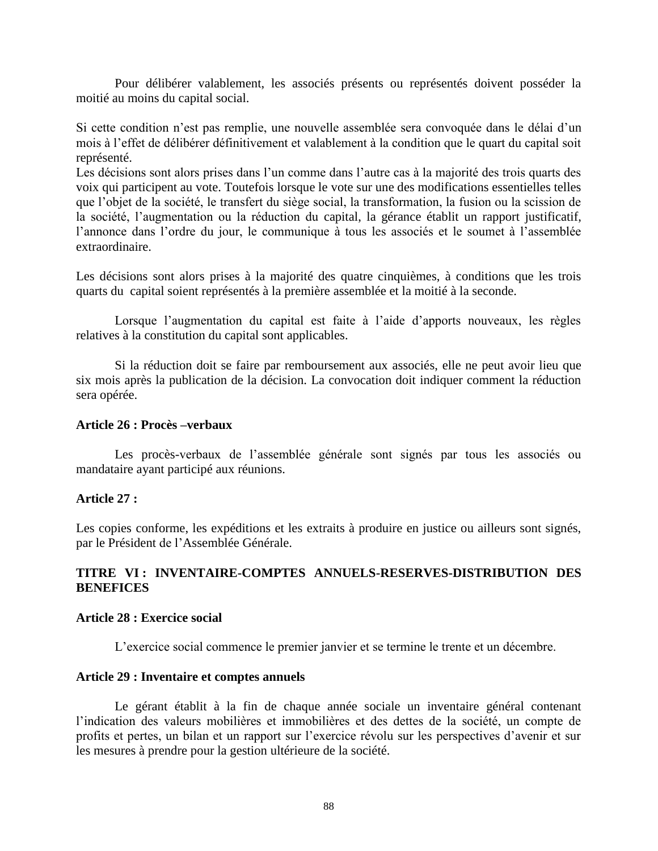Pour délibérer valablement, les associés présents ou représentés doivent posséder la moitié au moins du capital social.

Si cette condition n'est pas remplie, une nouvelle assemblée sera convoquée dans le délai d'un mois à l"effet de délibérer définitivement et valablement à la condition que le quart du capital soit représenté.

Les décisions sont alors prises dans l'un comme dans l'autre cas à la majorité des trois quarts des voix qui participent au vote. Toutefois lorsque le vote sur une des modifications essentielles telles que l"objet de la société, le transfert du siège social, la transformation, la fusion ou la scission de la société, l'augmentation ou la réduction du capital, la gérance établit un rapport justificatif, l"annonce dans l"ordre du jour, le communique à tous les associés et le soumet à l"assemblée extraordinaire.

Les décisions sont alors prises à la majorité des quatre cinquièmes, à conditions que les trois quarts du capital soient représentés à la première assemblée et la moitié à la seconde.

Lorsque l'augmentation du capital est faite à l'aide d'apports nouveaux, les règles relatives à la constitution du capital sont applicables.

Si la réduction doit se faire par remboursement aux associés, elle ne peut avoir lieu que six mois après la publication de la décision. La convocation doit indiquer comment la réduction sera opérée.

#### **Article 26 : Procès –verbaux**

Les procès-verbaux de l'assemblée générale sont signés par tous les associés ou mandataire ayant participé aux réunions.

### **Article 27 :**

Les copies conforme, les expéditions et les extraits à produire en justice ou ailleurs sont signés, par le Président de l"Assemblée Générale.

## **TITRE VI : INVENTAIRE-COMPTES ANNUELS-RESERVES-DISTRIBUTION DES BENEFICES**

## **Article 28 : Exercice social**

L"exercice social commence le premier janvier et se termine le trente et un décembre.

#### **Article 29 : Inventaire et comptes annuels**

Le gérant établit à la fin de chaque année sociale un inventaire général contenant l"indication des valeurs mobilières et immobilières et des dettes de la société, un compte de profits et pertes, un bilan et un rapport sur l"exercice révolu sur les perspectives d"avenir et sur les mesures à prendre pour la gestion ultérieure de la société.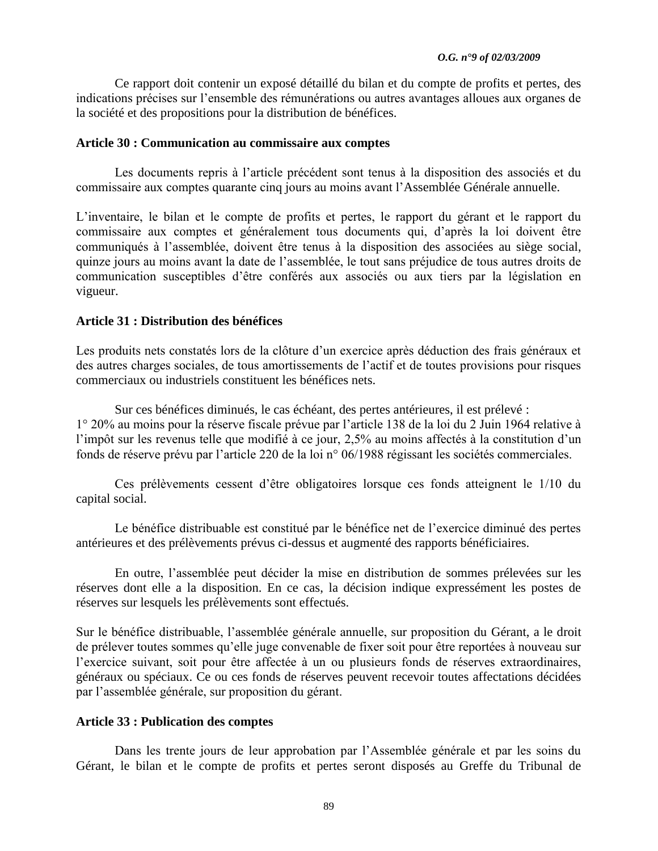#### *O.G. n°9 of 02/03/2009*

Ce rapport doit contenir un exposé détaillé du bilan et du compte de profits et pertes, des indications précises sur l"ensemble des rémunérations ou autres avantages alloues aux organes de la société et des propositions pour la distribution de bénéfices.

#### **Article 30 : Communication au commissaire aux comptes**

Les documents repris à l"article précédent sont tenus à la disposition des associés et du commissaire aux comptes quarante cinq jours au moins avant l"Assemblée Générale annuelle.

L"inventaire, le bilan et le compte de profits et pertes, le rapport du gérant et le rapport du commissaire aux comptes et généralement tous documents qui, d"après la loi doivent être communiqués à l"assemblée, doivent être tenus à la disposition des associées au siège social, quinze jours au moins avant la date de l"assemblée, le tout sans préjudice de tous autres droits de communication susceptibles d"être conférés aux associés ou aux tiers par la législation en vigueur.

## **Article 31 : Distribution des bénéfices**

Les produits nets constatés lors de la clôture d'un exercice après déduction des frais généraux et des autres charges sociales, de tous amortissements de l"actif et de toutes provisions pour risques commerciaux ou industriels constituent les bénéfices nets.

Sur ces bénéfices diminués, le cas échéant, des pertes antérieures, il est prélevé : 1° 20% au moins pour la réserve fiscale prévue par l"article 138 de la loi du 2 Juin 1964 relative à l'impôt sur les revenus telle que modifié à ce jour, 2,5% au moins affectés à la constitution d'un fonds de réserve prévu par l"article 220 de la loi n° 06/1988 régissant les sociétés commerciales.

Ces prélèvements cessent d"être obligatoires lorsque ces fonds atteignent le 1/10 du capital social.

Le bénéfice distribuable est constitué par le bénéfice net de l"exercice diminué des pertes antérieures et des prélèvements prévus ci-dessus et augmenté des rapports bénéficiaires.

En outre, l"assemblée peut décider la mise en distribution de sommes prélevées sur les réserves dont elle a la disposition. En ce cas, la décision indique expressément les postes de réserves sur lesquels les prélèvements sont effectués.

Sur le bénéfice distribuable, l"assemblée générale annuelle, sur proposition du Gérant, a le droit de prélever toutes sommes qu"elle juge convenable de fixer soit pour être reportées à nouveau sur l'exercice suivant, soit pour être affectée à un ou plusieurs fonds de réserves extraordinaires, généraux ou spéciaux. Ce ou ces fonds de réserves peuvent recevoir toutes affectations décidées par l"assemblée générale, sur proposition du gérant.

## **Article 33 : Publication des comptes**

Dans les trente jours de leur approbation par l"Assemblée générale et par les soins du Gérant, le bilan et le compte de profits et pertes seront disposés au Greffe du Tribunal de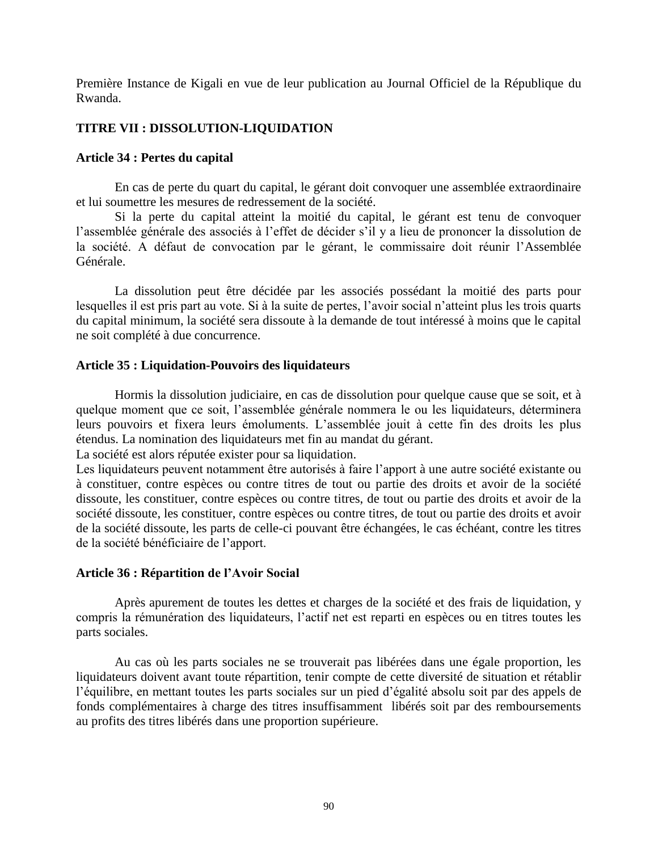Première Instance de Kigali en vue de leur publication au Journal Officiel de la République du Rwanda.

## **TITRE VII : DISSOLUTION-LIQUIDATION**

#### **Article 34 : Pertes du capital**

En cas de perte du quart du capital, le gérant doit convoquer une assemblée extraordinaire et lui soumettre les mesures de redressement de la société.

Si la perte du capital atteint la moitié du capital, le gérant est tenu de convoquer l"assemblée générale des associés à l"effet de décider s"il y a lieu de prononcer la dissolution de la société. A défaut de convocation par le gérant, le commissaire doit réunir l"Assemblée Générale.

La dissolution peut être décidée par les associés possédant la moitié des parts pour lesquelles il est pris part au vote. Si à la suite de pertes, l"avoir social n"atteint plus les trois quarts du capital minimum, la société sera dissoute à la demande de tout intéressé à moins que le capital ne soit complété à due concurrence.

### **Article 35 : Liquidation-Pouvoirs des liquidateurs**

Hormis la dissolution judiciaire, en cas de dissolution pour quelque cause que se soit, et à quelque moment que ce soit, l"assemblée générale nommera le ou les liquidateurs, déterminera leurs pouvoirs et fixera leurs émoluments. L"assemblée jouit à cette fin des droits les plus étendus. La nomination des liquidateurs met fin au mandat du gérant.

La société est alors réputée exister pour sa liquidation.

Les liquidateurs peuvent notamment être autorisés à faire l'apport à une autre société existante ou à constituer, contre espèces ou contre titres de tout ou partie des droits et avoir de la société dissoute, les constituer, contre espèces ou contre titres, de tout ou partie des droits et avoir de la société dissoute, les constituer, contre espèces ou contre titres, de tout ou partie des droits et avoir de la société dissoute, les parts de celle-ci pouvant être échangées, le cas échéant, contre les titres de la société bénéficiaire de l"apport.

### **Article 36 : Répartition de l"Avoir Social**

Après apurement de toutes les dettes et charges de la société et des frais de liquidation, y compris la rémunération des liquidateurs, l"actif net est reparti en espèces ou en titres toutes les parts sociales.

Au cas où les parts sociales ne se trouverait pas libérées dans une égale proportion, les liquidateurs doivent avant toute répartition, tenir compte de cette diversité de situation et rétablir l"équilibre, en mettant toutes les parts sociales sur un pied d"égalité absolu soit par des appels de fonds complémentaires à charge des titres insuffisamment libérés soit par des remboursements au profits des titres libérés dans une proportion supérieure.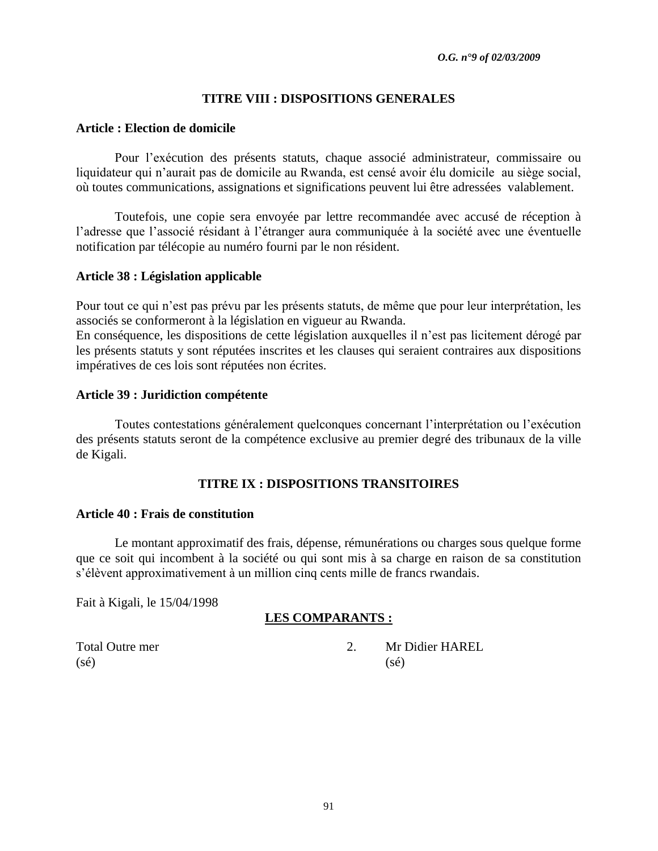## **TITRE VIII : DISPOSITIONS GENERALES**

#### **Article : Election de domicile**

Pour l"exécution des présents statuts, chaque associé administrateur, commissaire ou liquidateur qui n"aurait pas de domicile au Rwanda, est censé avoir élu domicile au siège social, où toutes communications, assignations et significations peuvent lui être adressées valablement.

Toutefois, une copie sera envoyée par lettre recommandée avec accusé de réception à l"adresse que l"associé résidant à l"étranger aura communiquée à la société avec une éventuelle notification par télécopie au numéro fourni par le non résident.

#### **Article 38 : Législation applicable**

Pour tout ce qui n"est pas prévu par les présents statuts, de même que pour leur interprétation, les associés se conformeront à la législation en vigueur au Rwanda.

En conséquence, les dispositions de cette législation auxquelles il n"est pas licitement dérogé par les présents statuts y sont réputées inscrites et les clauses qui seraient contraires aux dispositions impératives de ces lois sont réputées non écrites.

#### **Article 39 : Juridiction compétente**

Toutes contestations généralement quelconques concernant l"interprétation ou l"exécution des présents statuts seront de la compétence exclusive au premier degré des tribunaux de la ville de Kigali.

### **TITRE IX : DISPOSITIONS TRANSITOIRES**

### **Article 40 : Frais de constitution**

Le montant approximatif des frais, dépense, rémunérations ou charges sous quelque forme que ce soit qui incombent à la société ou qui sont mis à sa charge en raison de sa constitution s"élèvent approximativement à un million cinq cents mille de francs rwandais.

Fait à Kigali, le 15/04/1998

### **LES COMPARANTS :**

 $(s\acute{e})$  (sé)

Total Outre mer 2. Mr Didier HAREL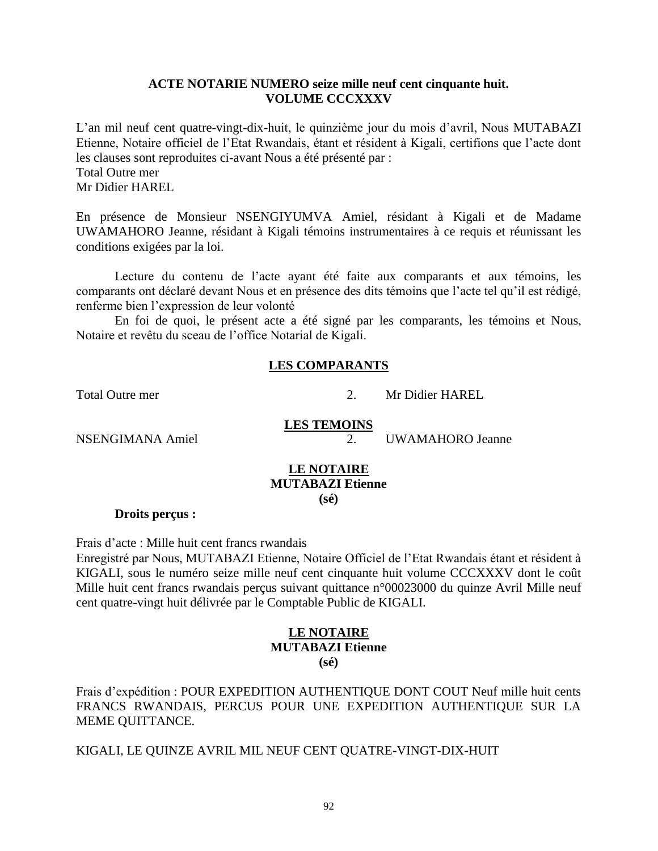### **ACTE NOTARIE NUMERO seize mille neuf cent cinquante huit. VOLUME CCCXXXV**

L"an mil neuf cent quatre-vingt-dix-huit, le quinzième jour du mois d"avril, Nous MUTABAZI Etienne, Notaire officiel de l"Etat Rwandais, étant et résident à Kigali, certifions que l"acte dont les clauses sont reproduites ci-avant Nous a été présenté par : Total Outre mer Mr Didier HAREL

En présence de Monsieur NSENGIYUMVA Amiel, résidant à Kigali et de Madame UWAMAHORO Jeanne, résidant à Kigali témoins instrumentaires à ce requis et réunissant les conditions exigées par la loi.

Lecture du contenu de l"acte ayant été faite aux comparants et aux témoins, les comparants ont déclaré devant Nous et en présence des dits témoins que l"acte tel qu"il est rédigé, renferme bien l"expression de leur volonté

En foi de quoi, le présent acte a été signé par les comparants, les témoins et Nous, Notaire et revêtu du sceau de l"office Notarial de Kigali.

## **LES COMPARANTS**

Total Outre mer 2. Mr Didier HAREL

# **LES TEMOINS**

NSENGIMANA Amiel 2. UWAMAHORO Jeanne

### **LE NOTAIRE MUTABAZI Etienne (sé)**

**Droits perçus :**

Frais d"acte : Mille huit cent francs rwandais

Enregistré par Nous, MUTABAZI Etienne, Notaire Officiel de l"Etat Rwandais étant et résident à KIGALI, sous le numéro seize mille neuf cent cinquante huit volume CCCXXXV dont le coût Mille huit cent francs rwandais perçus suivant quittance n°00023000 du quinze Avril Mille neuf cent quatre-vingt huit délivrée par le Comptable Public de KIGALI.

### **LE NOTAIRE MUTABAZI Etienne (sé)**

Frais d"expédition : POUR EXPEDITION AUTHENTIQUE DONT COUT Neuf mille huit cents FRANCS RWANDAIS, PERCUS POUR UNE EXPEDITION AUTHENTIQUE SUR LA MEME QUITTANCE.

KIGALI, LE QUINZE AVRIL MIL NEUF CENT QUATRE-VINGT-DIX-HUIT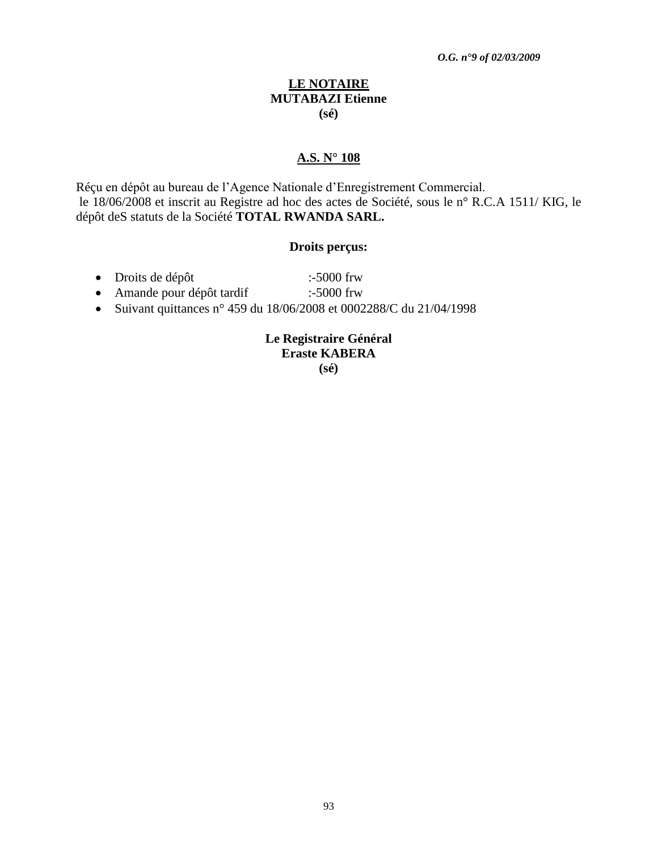### **LE NOTAIRE MUTABAZI Etienne (sé)**

## **A.S. N° 108**

Réçu en dépôt au bureau de l"Agence Nationale d"Enregistrement Commercial. le 18/06/2008 et inscrit au Registre ad hoc des actes de Société, sous le n° R.C.A 1511/ KIG, le dépôt deS statuts de la Société **TOTAL RWANDA SARL.**

#### **Droits perçus:**

- Droits de dépôt :-5000 frw
- Amande pour dépôt tardif :-5000 frw
- Suivant quittances n° 459 du 18/06/2008 et 0002288/C du 21/04/1998

# **Le Registraire Général Eraste KABERA**

**(sé)**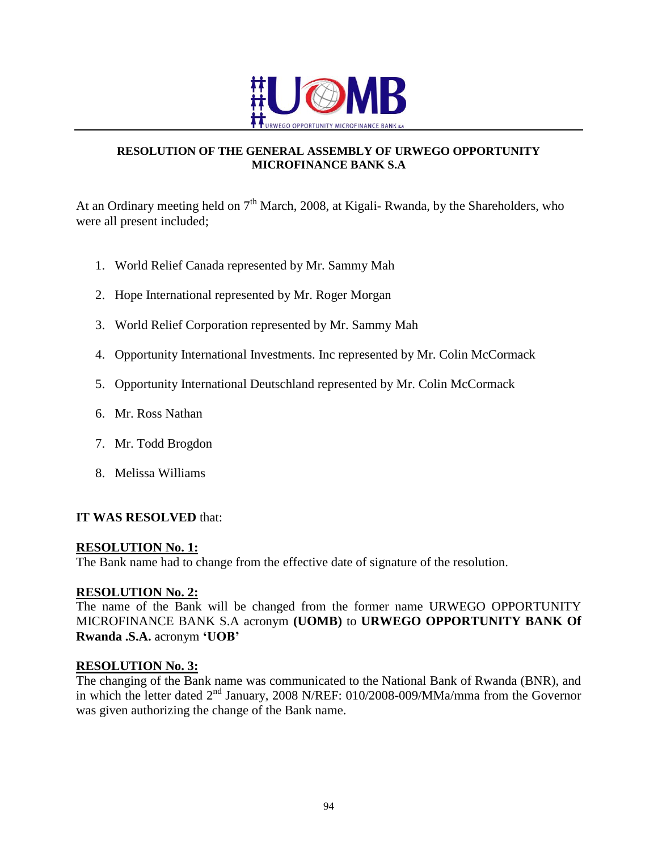

## **RESOLUTION OF THE GENERAL ASSEMBLY OF URWEGO OPPORTUNITY MICROFINANCE BANK S.A**

At an Ordinary meeting held on  $7<sup>th</sup>$  March, 2008, at Kigali- Rwanda, by the Shareholders, who were all present included;

- 1. World Relief Canada represented by Mr. Sammy Mah
- 2. Hope International represented by Mr. Roger Morgan
- 3. World Relief Corporation represented by Mr. Sammy Mah
- 4. Opportunity International Investments. Inc represented by Mr. Colin McCormack
- 5. Opportunity International Deutschland represented by Mr. Colin McCormack
- 6. Mr. Ross Nathan
- 7. Mr. Todd Brogdon
- 8. Melissa Williams

## **IT WAS RESOLVED** that:

## **RESOLUTION No. 1:**

The Bank name had to change from the effective date of signature of the resolution.

## **RESOLUTION No. 2:**

The name of the Bank will be changed from the former name URWEGO OPPORTUNITY MICROFINANCE BANK S.A acronym **(UOMB)** to **URWEGO OPPORTUNITY BANK Of Rwanda .S.A.** acronym **"UOB"**

## **RESOLUTION No. 3:**

The changing of the Bank name was communicated to the National Bank of Rwanda (BNR), and in which the letter dated  $2<sup>nd</sup>$  January, 2008 N/REF: 010/2008-009/MMa/mma from the Governor was given authorizing the change of the Bank name.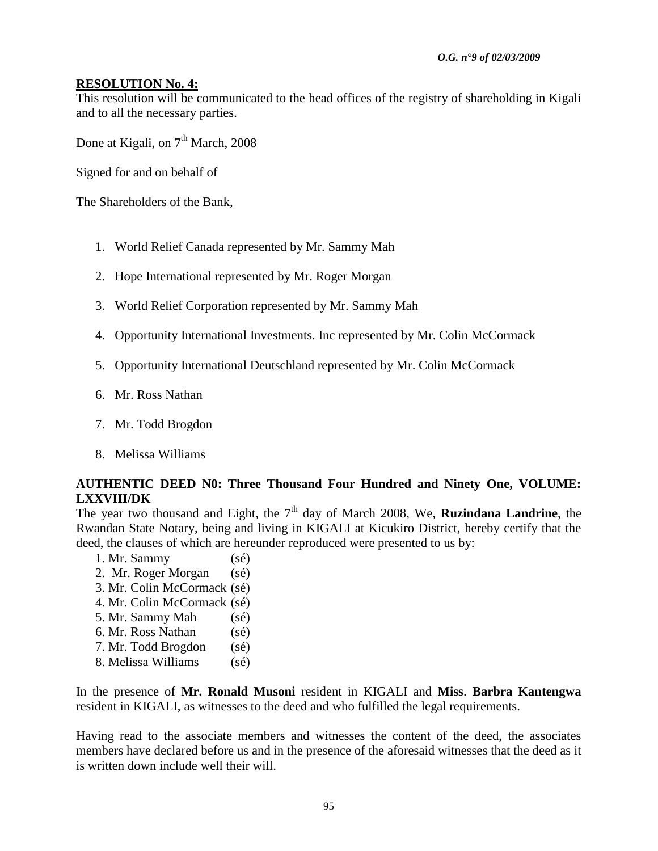## **RESOLUTION No. 4:**

This resolution will be communicated to the head offices of the registry of shareholding in Kigali and to all the necessary parties.

Done at Kigali, on  $7<sup>th</sup>$  March, 2008

Signed for and on behalf of

The Shareholders of the Bank,

- 1. World Relief Canada represented by Mr. Sammy Mah
- 2. Hope International represented by Mr. Roger Morgan
- 3. World Relief Corporation represented by Mr. Sammy Mah
- 4. Opportunity International Investments. Inc represented by Mr. Colin McCormack
- 5. Opportunity International Deutschland represented by Mr. Colin McCormack
- 6. Mr. Ross Nathan
- 7. Mr. Todd Brogdon
- 8. Melissa Williams

## **AUTHENTIC DEED N0: Three Thousand Four Hundred and Ninety One, VOLUME: LXXVIII/DK**

The year two thousand and Eight, the  $7<sup>th</sup>$  day of March 2008, We, **Ruzindana Landrine**, the Rwandan State Notary, being and living in KIGALI at Kicukiro District, hereby certify that the deed, the clauses of which are hereunder reproduced were presented to us by:

- 1. Mr. Sammy (sé) 2. Mr. Roger Morgan (sé) 3. Mr. Colin McCormack (sé)
- 4. Mr. Colin McCormack (sé)
- 5. Mr. Sammy Mah (sé)
- 6. Mr. Ross Nathan (sé)
- 7. Mr. Todd Brogdon (sé)
- 8. Melissa Williams (sé)

In the presence of **Mr. Ronald Musoni** resident in KIGALI and **Miss**. **Barbra Kantengwa**  resident in KIGALI, as witnesses to the deed and who fulfilled the legal requirements.

Having read to the associate members and witnesses the content of the deed, the associates members have declared before us and in the presence of the aforesaid witnesses that the deed as it is written down include well their will.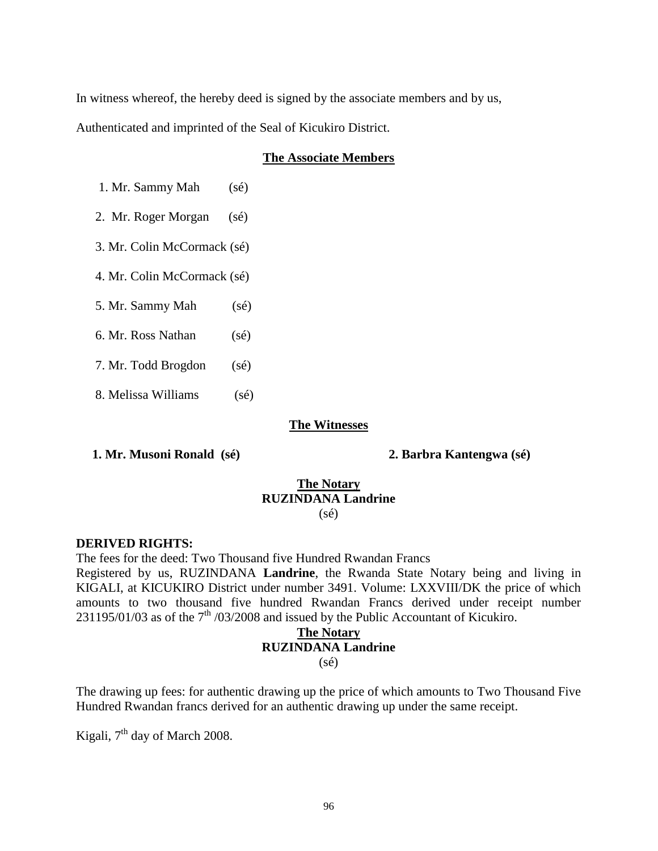In witness whereof, the hereby deed is signed by the associate members and by us, Authenticated and imprinted of the Seal of Kicukiro District.

## **The Associate Members**

1. Mr. Sammy Mah (sé)

2. Mr. Roger Morgan (sé)

3. Mr. Colin McCormack (sé)

4. Mr. Colin McCormack (sé)

5. Mr. Sammy Mah (sé)

6. Mr. Ross Nathan (sé)

7. Mr. Todd Brogdon (sé)

8. Melissa Williams (sé)

### **The Witnesses**

 **1. Mr. Musoni Ronald (sé) 2. Barbra Kantengwa (sé)**

### **The Notary RUZINDANA Landrine** (sé)

### **DERIVED RIGHTS:**

The fees for the deed: Two Thousand five Hundred Rwandan Francs

Registered by us, RUZINDANA **Landrine**, the Rwanda State Notary being and living in KIGALI, at KICUKIRO District under number 3491. Volume: LXXVIII/DK the price of which amounts to two thousand five hundred Rwandan Francs derived under receipt number 231195/01/03 as of the  $7<sup>th</sup>$  /03/2008 and issued by the Public Accountant of Kicukiro.

#### **The Notary RUZINDANA Landrine**

(sé)

The drawing up fees: for authentic drawing up the price of which amounts to Two Thousand Five Hundred Rwandan francs derived for an authentic drawing up under the same receipt.

Kigali,  $7<sup>th</sup>$  day of March 2008.